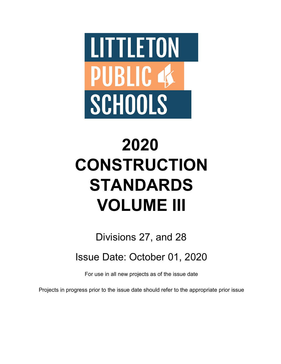

# **2020 CONSTRUCTION STANDARDS VOLUME III**

Divisions 27, and 28

Issue Date: October 01, 2020

For use in all new projects as of the issue date

Projects in progress prior to the issue date should refer to the appropriate prior issue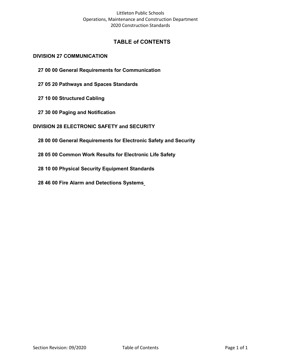# **TABLE of CONTENTS**

#### **[DIVISION 27 COMMUNICATION](#page-2-0)**

- **[27 00 00 General Requirements for Communication](#page-2-1)**
- **[27 05 20 Pathways and Spaces Standards](#page-3-0)**
- **[27 10 00 Structured Cabling](#page-13-0)**
- **[27 30 00 Paging and Notification](#page-32-0)**

#### **[DIVISION 28 ELECTRONIC SAFETY and SECURITY](#page-43-0)**

- **[28 00 00 General Requirements for Electronic Safety and Security](#page-43-1)**
- **[28 05 00 Common Work Results for Electronic Life Safety](#page-44-0)**
- **28 10 00 Physical Security Equipment Standards**
- **28 46 [00 Fire Alarm and Detections Systems](#page-54-0)**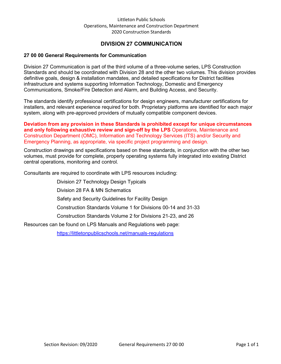# **DIVISION 27 COMMUNICATION**

#### <span id="page-2-1"></span><span id="page-2-0"></span>**27 00 00 General Requirements for Communication**

Division 27 Communication is part of the third volume of a three-volume series, LPS Construction Standards and should be coordinated with Division 28 and the other two volumes. This division provides definitive goals, design & installation mandates, and detailed specifications for District facilities infrastructure and systems supporting Information Technology, Domestic and Emergency Communications, Smoke/Fire Detection and Alarm, and Building Access, and Security.

The standards identify professional certifications for design engineers, manufacturer certifications for installers, and relevant experience required for both. Proprietary platforms are identified for each major system, along with pre-approved providers of mutually compatible component devices.

**Deviation from any provision in these Standards is prohibited except for unique circumstances and only following exhaustive review and sign-off by the LPS** Operations, Maintenance and Construction Department (OMC), Information and Technology Services (ITS) and/or Security and Emergency Planning, as appropriate, via specific project programming and design.

Construction drawings and specifications based on these standards, in conjunction with the other two volumes, must provide for complete, properly operating systems fully integrated into existing District central operations, monitoring and control.

Consultants are required to coordinate with LPS resources including:

Division 27 Technology Design Typicals Division 28 FA & MN Schematics Safety and Security Guidelines for Facility Design Construction Standards Volume 1 for Divisions 00-14 and 31-33 Construction Standards Volume 2 for Divisions 21-23, and 26

Resources can be found on LPS Manuals and Regulations web page:

<https://littletonpublicschools.net/manuals-regulations>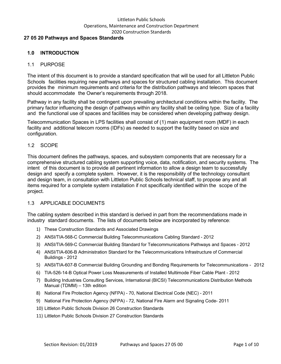#### <span id="page-3-0"></span>**27 05 20 Pathways and Spaces Standards**

# **1.0 INTRODUCTION**

#### 1.1 PURPOSE

The intent of this document is to provide a standard specification that will be used for all Littleton Public Schools facilities requiring new pathways and spaces for structured cabling installation. This document provides the minimum requirements and criteria for the distribution pathways and telecom spaces that should accommodate the Owner's requirements through 2018.

Pathway in any facility shall be contingent upon prevailing architectural conditions within the facility. The primary factor influencing the design of pathways within any facility shall be ceiling type. Size of a facility and the functional use of spaces and facilities may be considered when developing pathway design.

Telecommunication Spaces in LPS facilities shall consist of (1) main equipment room (MDF) in each facility and additional telecom rooms (IDFs) as needed to support the facility based on size and configuration.

#### 1.2 SCOPE

This document defines the pathways, spaces, and subsystem components that are necessary for a comprehensive structured cabling system supporting voice, data, notification, and security systems. The intent of this document is to provide all pertinent information to allow a design team to successfully design and specify a complete system. However, it is the responsibility of the technology consultant and design team, in consultation with Littleton Public Schools technical staff, to propose any and all items required for a complete system installation if not specifically identified within the scope of the project.

#### 1.3 APPLICABLE DOCUMENTS

The cabling system described in this standard is derived in part from the recommendations made in industry standard documents. The lists of documents below are incorporated by reference:

- 1) These Construction Standards and Associated Drawings
- 2) ANSI/TIA-568-C Commercial Building Telecommunications Cabling Standard 2012
- 3) ANSI/TIA-569-C Commercial Building Standard for Telecommunications Pathways and Spaces 2012
- 4) ANSI/TIA-606-B Administration Standard for the Telecommunications Infrastructure of Commercial Buildings - 2012
- 5) ANSI/TIA-607-B Commercial Building Grounding and Bonding Requirements for Telecommunications 2012
- 6) TIA-526-14-B Optical Power Loss Measurements of Installed Multimode Fiber Cable Plant 2012
- 7) Building Industries Consulting Services, International (BICSI) Telecommunications Distribution Methods Manual (TDMM) – 13th edition
- 8) National Fire Protection Agency (NFPA) 70, National Electrical Code (NEC) 2011
- 9) National Fire Protection Agency (NFPA) 72, National Fire Alarm and Signaling Code- 2011
- 10) Littleton Public Schools Division 26 Construction Standards
- 11) Littleton Public Schools Division 27 Construction Standards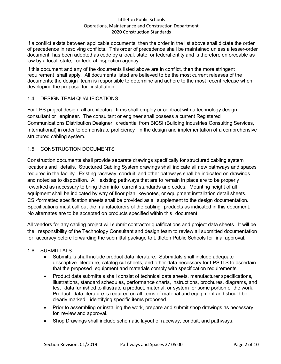If a conflict exists between applicable documents, then the order in the list above shall dictate the order of precedence in resolving conflicts. This order of precedence shall be maintained unless a lesser-order document has been adopted as code by a local, state, or federal entity and is therefore enforceable as law by a local, state, or federal inspection agency.

If this document and any of the documents listed above are in conflict, then the more stringent requirement shall apply. All documents listed are believed to be the most current releases of the documents; the design team is responsible to determine and adhere to the most recent release when developing the proposal for installation.

# 1.4 DESIGN TEAM QUALIFICATIONS

For LPS project design, all architectural firms shall employ or contract with a technology design consultant or engineer. The consultant or engineer shall possess a current Registered Communications Distribution Designer credential from BICSI (Building Industries Consulting Services, International) in order to demonstrate proficiency in the design and implementation of a comprehensive structured cabling system.

# 1.5 CONSTRUCTION DOCUMENTS

Construction documents shall provide separate drawings specifically for structured cabling system locations and details. Structured Cabling System drawings shall indicate all new pathways and spaces required in the facility. Existing raceway, conduit, and other pathways shall be indicated on drawings and noted as to disposition. All existing pathways that are to remain in place are to be properly reworked as necessary to bring them into current standards and codes. Mounting height of all equipment shall be indicated by way of floor plan keynotes, or equipment installation detail sheets. CSI-formatted specification sheets shall be provided as a supplement to the design documentation. Specifications must call out the manufacturers of the cabling products as indicated in this document. No alternates are to be accepted on products specified within this document.

All vendors for any cabling project will submit contractor qualifications and project data sheets. It will be the responsibility of the Technology Consultant and design team to review all submitted documentation for accuracy before forwarding the submittal package to Littleton Public Schools for final approval.

# 1.6 SUBMITTALS

- Submittals shall include product data literature. Submittals shall include adequate descriptive literature, catalog cut sheets, and other data necessary for LPS ITS to ascertain that the proposed equipment and materials comply with specification requirements.
- Product data submittals shall consist of technical data sheets, manufacturer specifications, illustrations, standard schedules, performance charts, instructions, brochures, diagrams, and test data furnished to illustrate a product, material, or system for some portion of the work. Product data literature is required on all items of material and equipment and should be clearly marked, identifying specific items proposed.
- Prior to assembling or installing the work, prepare and submit shop drawings as necessary for review and approval.
- Shop Drawings shall include schematic layout of raceway, conduit, and pathways.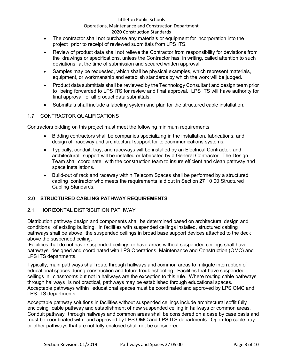#### Littleton Public Schools

# Operations, Maintenance and Construction Department

# 2020 Construction Standards

- The contractor shall not purchase any materials or equipment for incorporation into the project prior to receipt of reviewed submittals from LPS ITS.
- Review of product data shall not relieve the Contractor from responsibility for deviations from the drawings or specifications, unless the Contractor has, in writing, called attention to such deviations at the time of submission and secured written approval.
- Samples may be requested, which shall be physical examples, which represent materials, equipment, or workmanship and establish standards by which the work will be judged.
- Product data submittals shall be reviewed by the Technology Consultant and design team prior to being forwarded to LPS ITS for review and final approval. LPS ITS will have authority for final approval of all product data submittals.
- Submittals shall include a labeling system and plan for the structured cable installation.

# 1.7 CONTRACTOR QUALIFICATIONS

Contractors bidding on this project must meet the following minimum requirements:

- Bidding contractors shall be companies specializing in the installation, fabrications, and design of raceway and architectural support for telecommunications systems.
- Typically, conduit, tray, and raceways will be installed by an Electrical Contractor, and architectural support will be installed or fabricated by a General Contractor. The Design Team shall coordinate with the construction team to insure efficient and clean pathway and space installations.
- Build-out of rack and raceway within Telecom Spaces shall be performed by a structured cabling contractor who meets the requirements laid out in Section 27 10 00 Structured Cabling Standards.

# **2.0 STRUCTURED CABLING PATHWAY REQUIREMENTS**

#### 2.1 HORIZONTAL DISTRIBUTION PATHWAY

Distribution pathway design and components shall be determined based on architectural design and conditions of existing building. In facilities with suspended ceilings installed, structured cabling pathways shall be above the suspended ceilings in broad base support devices attached to the deck above the suspended ceiling.

Facilities that do not have suspended ceilings or have areas without suspended ceilings shall have pathways designed and coordinated with LPS Operations, Maintenance and Construction (OMC) and LPS ITS departments.

Typically, main pathways shall route through hallways and common areas to mitigate interruption of educational spaces during construction and future troubleshooting. Facilities that have suspended ceilings in classrooms but not in hallways are the exception to this rule. Where routing cable pathways through hallways is not practical, pathways may be established through educational spaces. Acceptable pathways within educational spaces must be coordinated and approved by LPS OMC and LPS ITS departments.

Acceptable pathway solutions in facilities without suspended ceilings include architectural soffit fully enclosing cable pathway and establishment of new suspended ceiling in hallways or common areas. Conduit pathway through hallways and common areas shall be considered on a case by case basis and must be coordinated with and approved by LPS OMC and LPS ITS departments. Open-top cable tray or other pathways that are not fully enclosed shall not be considered.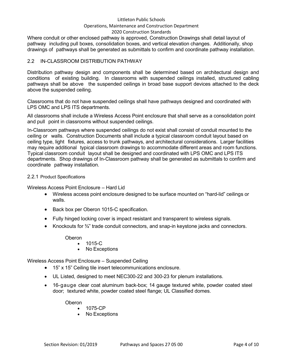#### Littleton Public Schools

#### Operations, Maintenance and Construction Department

#### 2020 Construction Standards

Where conduit or other enclosed pathway is approved, Construction Drawings shall detail layout of pathway including pull boxes, consolidation boxes, and vertical elevation changes. Additionally, shop drawings of pathways shall be generated as submittals to confirm and coordinate pathway installation.

#### 2.2 IN-CLASSROOM DISTRIBUTION PATHWAY

Distribution pathway design and components shall be determined based on architectural design and conditions of existing building. In classrooms with suspended ceilings installed, structured cabling pathways shall be above the suspended ceilings in broad base support devices attached to the deck above the suspended ceiling.

Classrooms that do not have suspended ceilings shall have pathways designed and coordinated with LPS OMC and LPS ITS departments.

All classrooms shall include a Wireless Access Point enclosure that shall serve as a consolidation point and pull point in classrooms without suspended ceilings.

In-Classroom pathways where suspended ceilings do not exist shall consist of conduit mounted to the ceiling or walls. Construction Documents shall include a typical classroom conduit layout based on ceiling type, light fixtures, access to trunk pathways, and architectural considerations. Larger facilities may require additional typical classroom drawings to accommodate different areas and room functions. Typical classroom conduit layout shall be designed and coordinated with LPS OMC and LPS ITS departments. Shop drawings of In-Classroom pathway shall be generated as submittals to confirm and coordinate pathway installation.

#### 2.2.1 Product Specifications

Wireless Access Point Enclosure – Hard Lid

- Wireless access point enclosure designed to be surface mounted on "hard-lid" ceilings or walls.
- Back box per Oberon 1015-C specification.
- Fully hinged locking cover is impact resistant and transparent to wireless signals.
- Knockouts for  $\frac{3}{4}$ " trade conduit connectors, and snap-in keystone jacks and connectors.

Oberon

- 1015-C
- No Exceptions

Wireless Access Point Enclosure – Suspended Ceiling

- 15" x 15" Ceiling tile insert telecommunications enclosure.
- UL Listed, designed to meet NEC300-22 and 300-23 for plenum installations.
- 16-gauge clear coat aluminum back-box; 14 gauge textured white, powder coated steel door; textured white, powder coated steel flange; UL Classified domes.

Oberon

- 1075-CP
- No Exceptions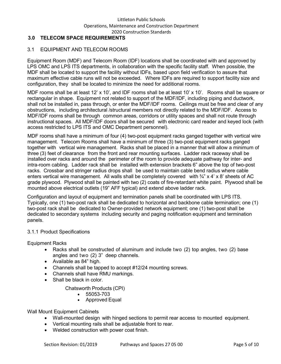# **3.0 TELECOM SPACE REQUIREMENTS**

# 3.1 EQUIPMENT AND TELECOM ROOMS

Equipment Room (MDF) and Telecom Room (IDF) locations shall be coordinated with and approved by LPS OMC and LPS ITS departments, in collaboration with the specific facility staff. When possible, the MDF shall be located to support the facility without IDFs, based upon field verification to assure that maximum effective cable runs will not be exceeded. Where IDFs are required to support facility size and configuration, they shall be located to minimize the need for additional rooms.

MDF rooms shall be at least 12' x 10', and IDF rooms shall be at least 10' x 10'. Rooms shall be square or rectangular in shape. Equipment not related to support of the MDF/IDF, including piping and ductwork, shall not be installed in, pass through, or enter the MDF/IDF rooms. Ceilings must be free and clear of any obstructions, including architectural /structural members not directly related to the MDF/IDF. Access to MDF/IDF rooms shall be through common areas, corridors or utility spaces and shall not route through instructional spaces. All MDF/IDF doors shall be secured with electronic card reader and keyed lock (with access restricted to LPS ITS and OMC Department personnel).

MDF rooms shall have a minimum of four (4) two-post equipment racks ganged together with vertical wire management. Telecom Rooms shall have a minimum of three (3) two-post equipment racks ganged together with vertical wire management. Racks shall be placed in a manner that will allow a minimum of three (3) feet of clearance from the front and rear mounting surfaces. Ladder rack raceway shall be installed over racks and around the perimeter of the room to provide adequate pathway for inter- and intra-room cabling. Ladder rack shall be installed with extension brackets 6" above the top of two-post racks. Crossbar and stringer radius drops shall be used to maintain cable bend radius where cable enters vertical wire management. All walls shall be completely covered with  $\frac{3}{4}$  x 4' x 8' sheets of AC grade plywood. Plywood shall be painted with two (2) coats of fire-retardant white paint. Plywood shall be mounted above electrical outlets (19" AFF typical) and extend above ladder rack.

Configuration and layout of equipment and termination panels shall be coordinated with LPS ITS. Typically, one (1) two-post rack shall be dedicated to horizontal and backbone cable termination; one (1) two-post rack shall be dedicated to Owner-provided network equipment; one (1) two-post shall be dedicated to secondary systems including security and paging notification equipment and termination panels.

#### 3.1.1 Product Specifications

Equipment Racks

- Racks shall be constructed of aluminum and include two (2) top angles, two (2) base angles and two (2) 3" deep channels.
- Available as 84" high.
- Channels shall be tapped to accept #12/24 mounting screws.
- Channels shall have RMU markings.
- Shall be black in color.

Chatsworth Products (CPI)

- 55053-703
- Approved Equal

Wall Mount Equipment Cabinets

- Wall-mounted design with hinged sections to permit rear access to mounted equipment.
- Vertical mounting rails shall be adjustable front to rear.
- Welded construction with power coat finish.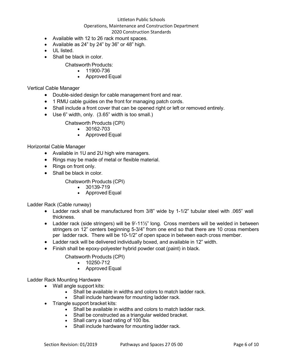#### Littleton Public Schools

# Operations, Maintenance and Construction Department

#### 2020 Construction Standards

- Available with 12 to 26 rack mount spaces.
- Available as 24" by 24" by 36" or 48" high.
- UL listed.
- Shall be black in color.
	- Chatsworth Products:
		- 11900-736
		- Approved Equal

Vertical Cable Manager

- Double-sided design for cable management front and rear.
- 1 RMU cable guides on the front for managing patch cords.
- Shall include a front cover that can be opened right or left or removed entirely.
- Use 6" width, only. (3.65" width is too small.)
	- Chatsworth Products (CPI)
		- 30162-703
		- Approved Equal

Horizontal Cable Manager

- Available in 1U and 2U high wire managers.
- Rings may be made of metal or flexible material.
- Rings on front only.
- Shall be black in color.

Chatsworth Products (CPI)

- 30139-719
- Approved Equal

Ladder Rack (Cable runway)

- Ladder rack shall be manufactured from 3/8" wide by 1-1/2" tubular steel with .065" wall thickness.
- Ladder rack (side stringers) will be 9'-11½" long. Cross members will be welded in between stringers on 12" centers beginning 5-3/4" from one end so that there are 10 cross members per ladder rack. There will be 10-1/2" of open space in between each cross member.
- Ladder rack will be delivered individually boxed, and available in 12" width.
- Finish shall be epoxy-polyester hybrid powder coat (paint) in black.
	- Chatsworth Products (CPI)
		- 10250-712
		- Approved Equal

Ladder Rack Mounting Hardware

- Wall angle support kits:
	- Shall be available in widths and colors to match ladder rack.
	- Shall include hardware for mounting ladder rack.
- Triangle support bracket kits:
	- Shall be available in widths and colors to match ladder rack.
	- Shall be constructed as a triangular welded bracket.
	- Shall carry a load rating of 100 lbs.
	- Shall include hardware for mounting ladder rack.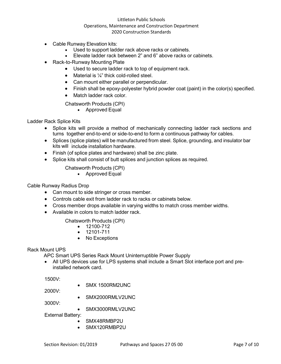- Cable Runway Elevation kits:
	- Used to support ladder rack above racks or cabinets.
	- Elevate ladder rack between 2" and 6" above racks or cabinets.
- Rack-to-Runway Mounting Plate
	- Used to secure ladder rack to top of equipment rack.
	- Material is  $\frac{1}{4}$ " thick cold-rolled steel.
	- Can mount either parallel or perpendicular.
	- Finish shall be epoxy-polyester hybrid powder coat (paint) in the color(s) specified.
	- Match ladder rack color.

Chatsworth Products (CPI)

• Approved Equal

Ladder Rack Splice Kits

- Splice kits will provide a method of mechanically connecting ladder rack sections and turns together end-to-end or side-to-end to form a continuous pathway for cables.
- Splices (splice plates) will be manufactured from steel. Splice, grounding, and insulator bar kits will include installation hardware.
- Finish (of splice plates and hardware) shall be zinc plate.
- Splice kits shall consist of butt splices and junction splices as required.
	- Chatsworth Products (CPI)
		- Approved Equal

#### Cable Runway Radius Drop

- Can mount to side stringer or cross member.
- Controls cable exit from ladder rack to racks or cabinets below.
- Cross member drops available in varying widths to match cross member widths.
- Available in colors to match ladder rack.

Chatsworth Products (CPI)

- 12100-712
- 12101-711
- No Exceptions

#### Rack Mount UPS

APC Smart UPS Series Rack Mount Uninterruptible Power Supply

• All UPS devices use for LPS systems shall include a Smart Slot interface port and preinstalled network card.

1500V:

2000V: • SMX2000RMLV2UNC

3000V:

• SMX3000RMLV2UNC

External Battery:

- SMX48RMBP2U
- SMX120RMBP2U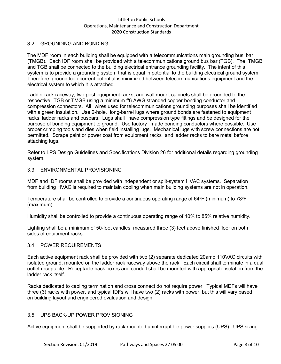#### 3.2 GROUNDING AND BONDING

The MDF room in each building shall be equipped with a telecommunications main grounding bus bar (TMGB). Each IDF room shall be provided with a telecommunications ground bus bar (TGB). The TMGB and TGB shall be connected to the building electrical entrance grounding facility. The intent of this system is to provide a grounding system that is equal in potential to the building electrical ground system. Therefore, ground loop current potential is minimized between telecommunications equipment and the electrical system to which it is attached.

Ladder rack raceway, two post equipment racks, and wall mount cabinets shall be grounded to the respective TGB or TMGB using a minimum #6 AWG stranded copper bonding conductor and compression connectors. All wires used for telecommunications grounding purposes shall be identified with a green insulation. Use 2-hole, long-barrel lugs where ground bonds are fastened to equipment racks, ladder racks and busbars. Lugs shall have compression type fittings and be designed for the purpose of bonding equipment to ground. Use factory made bonding conductors where possible. Use proper crimping tools and dies when field installing lugs. Mechanical lugs with screw connections are not permitted. Scrape paint or power coat from equipment racks and ladder racks to bare metal before attaching lugs.

Refer to LPS Design Guidelines and Specifications Division 26 for additional details regarding grounding system.

#### 3.3 ENVIRONMENTAL PROVISIONING

MDF and IDF rooms shall be provided with independent or split-system HVAC systems. Separation from building HVAC is required to maintain cooling when main building systems are not in operation.

Temperature shall be controlled to provide a continuous operating range of 64°F (minimum) to 78°F (maximum).

Humidity shall be controlled to provide a continuous operating range of 10% to 85% relative humidity.

Lighting shall be a minimum of 50-foot candles, measured three (3) feet above finished floor on both sides of equipment racks.

#### 3.4 POWER REQUIREMENTS

Each active equipment rack shall be provided with two (2) separate dedicated 20amp 110VAC circuits with isolated ground, mounted on the ladder rack raceway above the rack. Each circuit shall terminate in a dual outlet receptacle. Receptacle back boxes and conduit shall be mounted with appropriate isolation from the ladder rack itself.

Racks dedicated to cabling termination and cross connect do not require power. Typical MDFs will have three (3) racks with power, and typical IDFs will have two (2) racks with power, but this will vary based on building layout and engineered evaluation and design.

# 3.5 UPS BACK-UP POWER PROVISIONING

Active equipment shall be supported by rack mounted uninterruptible power supplies (UPS). UPS sizing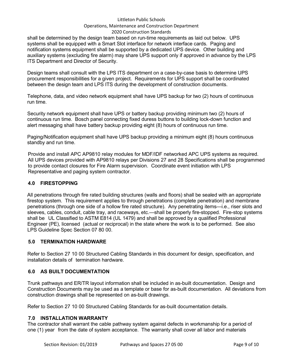#### Littleton Public Schools

#### Operations, Maintenance and Construction Department

#### 2020 Construction Standards

shall be determined by the design team based on run-time requirements as laid out below. UPS systems shall be equipped with a Smart Slot interface for network interface cards. Paging and notification systems equipment shall be supported by a dedicated UPS device. Other building and auxiliary systems (excluding fire alarm) may share UPS support only if approved in advance by the LPS ITS Department and Director of Security.

Design teams shall consult with the LPS ITS department on a case-by-case basis to determine UPS procurement responsibilities for a given project. Requirements for UPS support shall be coordinated between the design team and LPS ITS during the development of construction documents.

Telephone, data, and video network equipment shall have UPS backup for two (2) hours of continuous run time.

Security network equipment shall have UPS or battery backup providing minimum two (2) hours of continuous run time. Bosch panel connecting fixed duress buttons to building lock-down function and alert messaging shall have battery backup providing eight (8) hours of continuous run time.

Paging/Notification equipment shall have UPS backup providing a minimum eight (8) hours continuous standby and run time.

Provide and install APC AP9810 relay modules for MDF/IDF networked APC UPS systems as required. All UPS devices provided with AP9810 relays per Divisions 27 and 28 Specifications shall be programmed to provide contact closures for Fire Alarm supervision. Coordinate event initiation with LPS Representative and paging system contractor.

# **4.0 FIRESTOPPING**

All penetrations through fire rated building structures (walls and floors) shall be sealed with an appropriate firestop system. This requirement applies to through penetrations (complete penetration) and membrane penetrations (through one side of a hollow fire rated structure). Any penetrating items—i.e., riser slots and sleeves, cables, conduit, cable tray, and raceways, etc.—shall be properly fire-stopped. Fire-stop systems shall be UL Classified to ASTM E814 (UL 1479) and shall be approved by a qualified Professional Engineer (PE), licensed (actual or reciprocal) in the state where the work is to be performed. See also LPS Guideline Spec Section 07 80 00.

# **5.0 TERMINATION HARDWARE**

Refer to Section 27 10 00 Structured Cabling Standards in this document for design, specification, and installation details of termination hardware.

# **6.0 AS BUILT DOCUMENTATION**

Trunk pathways and ER/TR layout information shall be included in as-built documentation. Design and Construction Documents may be used as a template or base for as-built documentation. All deviations from construction drawings shall be represented on as-built drawings.

Refer to Section 27 10 00 Structured Cabling Standards for as-built documentation details.

#### **7.0 INSTALLATION WARRANTY**

The contractor shall warrant the cable pathway system against defects in workmanship for a period of one (1) year from the date of system acceptance. The warranty shall cover all labor and materials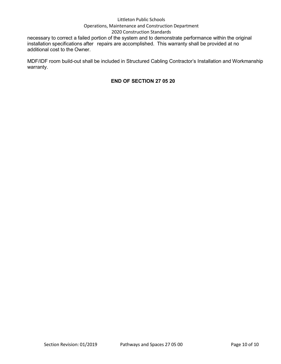#### Littleton Public Schools Operations, Maintenance and Construction Department

# 2020 Construction Standards

necessary to correct a failed portion of the system and to demonstrate performance within the original installation specifications after repairs are accomplished. This warranty shall be provided at no additional cost to the Owner.

MDF/IDF room build-out shall be included in Structured Cabling Contractor's Installation and Workmanship warranty.

# **END OF SECTION 27 05 20**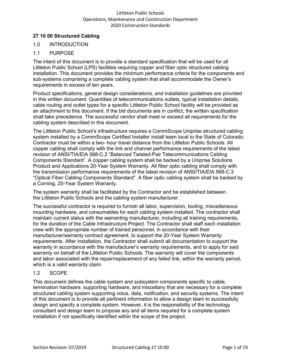# <span id="page-13-0"></span>**27 10 00 Structured Cabling**

# 1.0 INTRODUCTION

# 1.1 PURPOSE

The intent of this document is to provide a standard specification that will be used for all Littleton Public School (LPS) facilities requiring copper and fiber optic structured cabling installation. This document provides the minimum performance criteria for the components and sub-systems comprising a complete cabling system that shall accommodate the Owner's requirements in excess of ten years.

Product specifications, general design considerations, and installation guidelines are provided in this written document. Quantities of telecommunications outlets, typical installation details, cable routing and outlet types for a specific Littleton Public School facility will be provided as an attachment to this document. If the bid documents are in conflict, the written specification shall take precedence. The successful vendor shall meet or exceed all requirements for the cabling system described in this document.

The Littleton Public School's infrastructure requires a CommScope Uniprise structured cabling system installed by a CommScope Certified Installer install team local to the State of Colorado. Contractor must be within a two- hour travel distance from the Littleton Public Schools. All copper cabling shall comply with the link and channel performance requirements of the latest revision of ANSI/TIA/EIA 568-C.2 "Balanced Twisted-Pair Telecommunications Cabling Components Standard". A copper cabling system shall be backed by a Uniprise Solutions Product and Applications 20-Year System Warranty. All fiber optic cabling shall comply with the transmission performance requirements of the latest revision of ANSI/TIA/EIA 568-C.3 "Optical Fiber Cabling Components Standard". A fiber optic cabling system shall be backed by a Corning, 25-Year System Warranty.

The system warranty shall be facilitated by the Contractor and be established between the Littleton Public Schools and the cabling system manufacturer.

The successful contractor is required to furnish all labor, supervision, tooling, miscellaneous mounting hardware, and consumables for each cabling system installed. The contractor shall maintain current status with the warranting manufacturer, including all training requirements, for the duration of the Cable Infrastructure Project. The Contractor shall staff each installation crew with the appropriate number of trained personnel, in accordance with their manufacturer/warranty contract agreement, to support the 20-Year System Warranty requirements. After installation, the Contractor shall submit all documentation to support the warranty in accordance with the manufacturer's warranty requirements, and to apply for said warranty on behalf of the Littleton Public Schools. The warranty will cover the components and labor associated with the repair/replacement of any failed link, within the warranty period, which is a valid warranty claim.

# 1.2 SCOPE

This document defines the cable system and subsystem components specific to cable, termination hardware, supporting hardware, and miscellany that are necessary for a complete structured cabling system supporting voice, data, notification, and security systems. The intent of this document is to provide all pertinent information to allow a design team to successfully design and specify a complete system. However, it is the responsibility of the technology consultant and design team to propose any and all items required for a complete system installation if not specifically identified within the scope of the project.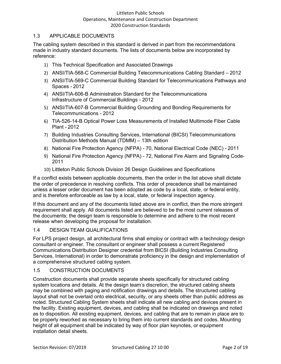# 1.3 APPLICABLE DOCUMENTS

The cabling system described in this standard is derived in part from the recommendations made in industry standard documents. The lists of documents below are incorporated by reference:

- 1) This Technical Specification and Associated Drawings
- 2) ANSI/TIA-568-C Commercial Building Telecommunications Cabling Standard 2012
- 3) ANSI/TIA-569-C Commercial Building Standard for Telecommunications Pathways and Spaces - 2012
- 4) ANSI/TIA-606-B Administration Standard for the Telecommunications Infrastructure of Commercial Buildings - 2012
- 5) ANSI/TIA-607-B Commercial Building Grounding and Bonding Requirements for Telecommunications - 2012
- 6) TIA-526-14-B Optical Power Loss Measurements of Installed Multimode Fiber Cable Plant - 2012
- 7) Building Industries Consulting Services, International (BICSI) Telecommunications Distribution Methods Manual (TDMM) – 13th edition
- 8) National Fire Protection Agency (NFPA) 70, National Electrical Code (NEC) 2011
- 9) National Fire Protection Agency (NFPA) 72, National Fire Alarm and Signaling Code-2011
- 10) Littleton Public Schools Division 26 Design Guidelines and Specifications

If a conflict exists between applicable documents, then the order in the list above shall dictate the order of precedence in resolving conflicts. This order of precedence shall be maintained unless a lesser order document has been adopted as code by a local, state, or federal entity, and is therefore enforceable as law by a local, state, or federal inspection agency.

If this document and any of the documents listed above are in conflict, then the more stringent requirement shall apply. All documents listed are believed to be the most current releases of the documents; the design team is responsible to determine and adhere to the most recent release when developing the proposal for installation.

# 1.4 DESIGN TEAM QUALIFICATIONS

For LPS project design, all architectural firms shall employ or contract with a technology design consultant or engineer. The consultant or engineer shall possess a current Registered Communications Distribution Designer credential from BICSI (Building Industries Consulting Services, International) in order to demonstrate proficiency in the design and implementation of a comprehensive structured cabling system.

# 1.5 CONSTRUCTION DOCUMENTS

Construction documents shall provide separate sheets specifically for structured cabling system locations and details. At the design team's discretion, the structured cabling sheets may be combined with paging and notification drawings and details. The structured cabling layout shall not be overlaid onto electrical, security, or any sheets other than public address as noted. Structured Cabling System sheets shall indicate all new cabling and devices present in the facility. Existing equipment, devices, and cabling shall be indicated on drawings and noted as to disposition. All existing equipment, devices, and cabling that are to remain in place are to be properly reworked as necessary to bring them into current standards and codes. Mounting height of all equipment shall be indicated by way of floor plan keynotes, or equipment installation detail sheets.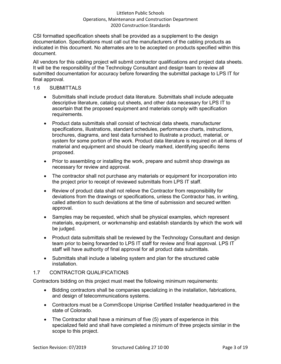CSI formatted specification sheets shall be provided as a supplement to the design documentation. Specifications must call out the manufacturers of the cabling products as indicated in this document. No alternates are to be accepted on products specified within this document.

All vendors for this cabling project will submit contractor qualifications and project data sheets. It will be the responsibility of the Technology Consultant and design team to review all submitted documentation for accuracy before forwarding the submittal package to LPS IT for final approval.

#### 1.6 SUBMITTALS

- Submittals shall include product data literature. Submittals shall include adequate descriptive literature, catalog cut sheets, and other data necessary for LPS IT to ascertain that the proposed equipment and materials comply with specification requirements.
- Product data submittals shall consist of technical data sheets, manufacturer specifications, illustrations, standard schedules, performance charts, instructions, brochures, diagrams, and test data furnished to illustrate a product, material, or system for some portion of the work. Product data literature is required on all items of material and equipment and should be clearly marked, identifying specific items proposed.
- Prior to assembling or installing the work, prepare and submit shop drawings as necessary for review and approval.
- The contractor shall not purchase any materials or equipment for incorporation into the project prior to receipt of reviewed submittals from LPS IT staff.
- Review of product data shall not relieve the Contractor from responsibility for deviations from the drawings or specifications, unless the Contractor has, in writing, called attention to such deviations at the time of submission and secured written approval.
- Samples may be requested, which shall be physical examples, which represent materials, equipment, or workmanship and establish standards by which the work will be judged.
- Product data submittals shall be reviewed by the Technology Consultant and design team prior to being forwarded to LPS IT staff for review and final approval. LPS IT staff will have authority of final approval for all product data submittals.
- Submittals shall include a labeling system and plan for the structured cable installation.

# 1.7 CONTRACTOR QUALIFICATIONS

Contractors bidding on this project must meet the following minimum requirements:

- Bidding contractors shall be companies specializing in the installation, fabrications, and design of telecommunications systems.
- Contractors must be a CommScope Uniprise Certified Installer headquartered in the state of Colorado.
- The Contractor shall have a minimum of five (5) years of experience in this specialized field and shall have completed a minimum of three projects similar in the scope to this project.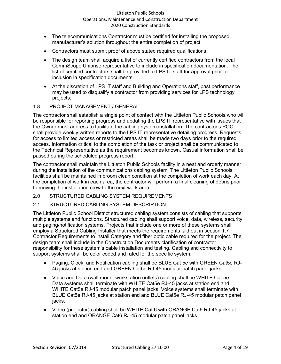- The telecommunications Contractor must be certified for installing the proposed manufacturer's solution throughout the entire completion of project.
- Contractors must submit proof of above stated required qualifications.
- The design team shall acquire a list of currently certified contractors from the local CommScope Uniprise representative to include in specification documentation. The list of certified contractors shall be provided to LPS IT staff for approval prior to inclusion in specification documents.
- At the discretion of LPS IT staff and Building and Operations staff, past performance may be used to disqualify a contractor from providing services for LPS technology projects.

#### 1.8 PROJECT MANAGEMENT / GENERAL

The contractor shall establish a single point of contact with the Littleton Public Schools who will be responsible for reporting progress and updating the LPS IT representative with issues that the Owner must address to facilitate the cabling system installation. The contractor's POC shall provide weekly written reports to the LPS IT representative detailing progress. Requests for access to limited access or restricted areas shall be made two days prior to the required access. Information critical to the completion of the task or project shall be communicated to the Technical Representative as the requirement becomes known. Casual information shall be passed during the scheduled progress report.

The contractor shall maintain the Littleton Public Schools facility in a neat and orderly manner during the installation of the communications cabling system. The Littleton Public Schools facilities shall be maintained in broom clean condition at the completion of work each day. At the completion of work in each area, the contractor will perform a final cleaning of debris prior to moving the installation crew to the next work area.

2.0 STRUCTURED CABLING SYSTEM REQUIREMENTS

# 2.1 STRUCTURED CABLING SYSTEM DESCRIPTION

The Littleton Public School District structured cabling system consists of cabling that supports multiple systems and functions. Structured cabling shall support voice, data, wireless, security, and paging/notification systems. Projects that include one or more of these systems shall employ a Structured Cabling Installer that meets the requirements laid out in section 1.7 Contractor Requirements to install Category and fiber optic cable required for the project. The design team shall include in the Construction Documents clarification of contractor responsibility for these system's cable installation and testing. Cabling and connectivity to support systems shall be color coded and rated for the specific system.

- Paging, Clock, and Notification cabling shall be BLUE Cat 5e with GREEN Cat5e RJ-45 jacks at station end and GREEN Cat5e RJ-45 modular patch panel jacks.
- Voice and Data (wall mount workstation outlets) cabling shall be WHITE Cat 5e. Data systems shall terminate with WHITE Cat5e RJ-45 jacks at station end and WHITE Cat5e RJ-45 modular patch panel jacks. Voice systems shall terminate with BLUE Cat5e RJ-45 jacks at station end and BLUE Cat5e RJ-45 modular patch panel jacks.
- Video (projector) cabling shall be WHITE Cat 6 with ORANGE Cat6 RJ-45 jacks at station end and ORANGE Cat6 RJ-45 modular patch panel jacks.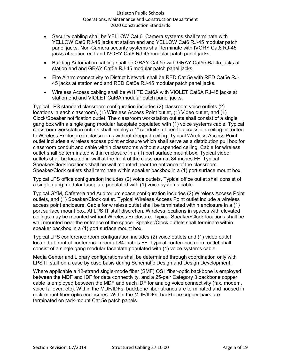- Security cabling shall be YELLOW Cat 6. Camera systems shall terminate with YELLOW Cat6 RJ-45 jacks at station end and YELLOW Cat6 RJ-45 modular patch panel jacks. Non-Camera security systems shall terminate with IVORY Cat6 RJ-45 jacks at station end and IVORY Cat6 RJ-45 modular patch panel jacks.
- Building Automation cabling shall be GRAY Cat 5e with GRAY Cat5e RJ-45 jacks at station end and GRAY Cat5e RJ-45 modular patch panel jacks.
- Fire Alarm connectivity to District Network shall be RED Cat 5e with RED Cat5e RJ-45 jacks at station end and RED Cat5e RJ-45 modular patch panel jacks.
- Wireless Access cabling shall be WHITE Cat6A with VIOLET Cat6A RJ-45 jacks at station end and VIOLET Cat6A modular patch panel jacks.

Typical LPS standard classroom configuration includes (2) classroom voice outlets (2) locations in each classroom), (1) Wireless Access Point outlet, (1) Video outlet, and (1) Clock/Speaker notification outlet. The classroom workstation outlets shall consist of a single gang box with a single gang modular faceplate populated with (1) voice systems cable. Typical classroom workstation outlets shall employ a 1" conduit stubbed to accessible ceiling or routed to Wireless Enclosure in classrooms without dropped ceiling. Typical Wireless Access Point outlet includes a wireless access point enclosure which shall serve as a distribution pull box for classroom conduit and cable within classrooms without suspended ceiling. Cable for wireless outlet shall be terminated within enclosure in a (1) port surface mount box. Typical video outlets shall be located in-wall at the front of the classroom at 84 inches FF. Typical Speaker/Clock locations shall be wall mounted near the entrance of the classroom. Speaker/Clock outlets shall terminate within speaker backbox in a (1) port surface mount box.

Typical LPS office configuration includes (2) voice outlets. Typical office outlet shall consist of a single gang modular faceplate populated with (1) voice systems cable.

Typical GYM, Cafeteria and Auditorium space configuration includes (2) Wireless Access Point outlets, and (1) Speaker/Clock outlet. Typical Wireless Access Point outlet include a wireless access point enclosure. Cable for wireless outlet shall be terminated within enclosure in a (1) port surface mount box. At LPS IT staff discretion, Wireless locations in spaces with elevated ceilings may be mounted without Wireless Enclosure. Typical Speaker/Clock locations shall be wall mounted near the entrance of the space. Speaker/Clock outlets shall terminate within speaker backbox in a (1) port surface mount box.

Typical LPS conference room configuration includes (2) voice outlets and (1) video outlet located at front of conference room at 84 inches FF. Typical conference room outlet shall consist of a single gang modular faceplate populated with (1) voice systems cable.

Media Center and Library configurations shall be determined through coordination only with LPS IT staff on a case by case basis during Schematic Design and Design Development.

Where applicable a 12-strand single-mode fiber (SMF) OS1 fiber-optic backbone is employed between the MDF and IDF for data connectivity, and a 25-pair Category 3 backbone copper cable is employed between the MDF and each IDF for analog voice connectivity (fax, modem, voice failover, etc). Within the MDF/IDFs, backbone fiber strands are terminated and housed in rack-mount fiber-optic enclosures. Within the MDF/IDFs, backbone copper pairs are terminated on rack-mount Cat 5e patch panels.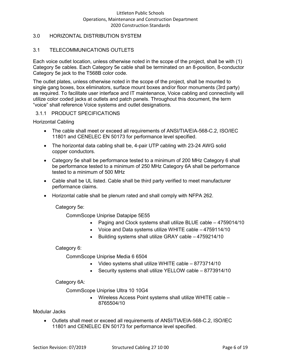# 3.0 HORIZONTAL DISTRIBUTION SYSTEM

# 3.1 TELECOMMUNICATIONS OUTLETS

Each voice outlet location, unless otherwise noted in the scope of the project, shall be with (1) Category 5e cables. Each Category 5e cable shall be terminated on an 8-position, 8-conductor Category 5e jack to the T568B color code.

The outlet plates, unless otherwise noted in the scope of the project, shall be mounted to single gang boxes, box eliminators, surface mount boxes and/or floor monuments (3rd party) as required. To facilitate user interface and IT maintenance, Voice cabling and connectivity will utilize color coded jacks at outlets and patch panels. Throughout this document, the term "voice" shall reference Voice systems and outlet designations.

#### 3.1.1 PRODUCT SPECIFICATIONS

Horizontal Cabling

- The cable shall meet or exceed all requirements of ANSI/TIA/EIA-568-C.2, ISO/IEC 11801 and CENELEC EN 50173 for performance level specified.
- The horizontal data cabling shall be, 4-pair UTP cabling with 23-24 AWG solid copper conductors.
- Category 5e shall be performance tested to a minimum of 200 MHz Category 6 shall be performance tested to a minimum of 250 MHz Category 6A shall be performance tested to a minimum of 500 MHz
- Cable shall be UL listed. Cable shall be third party verified to meet manufacturer performance claims.
- Horizontal cable shall be plenum rated and shall comply with NFPA 262.

Category 5e:

CommScope Uniprise Datapipe 5E55

- Paging and Clock systems shall utilize BLUE cable 4759014/10
- Voice and Data systems utilize WHITE cable 4759114/10
- Building systems shall utilize GRAY cable 4759214/10

#### Category 6:

CommScope Uniprise Media 6 6504

- Video systems shall utilize WHITE cable 8773714/10
- Security systems shall utilize YELLOW cable 8773914/10

Category 6A:

CommScope Uniprise Ultra 10 10G4

• Wireless Access Point systems shall utilize WHITE cable – 8765504/10

#### Modular Jacks

• Outlets shall meet or exceed all requirements of ANSI/TIA/EIA-568-C.2, ISO/IEC 11801 and CENELEC EN 50173 for performance level specified.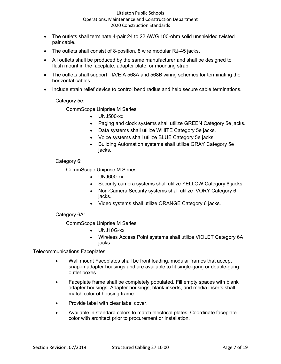- The outlets shall terminate 4-pair 24 to 22 AWG 100-ohm solid unshielded twisted pair cable.
- The outlets shall consist of 8-position, 8 wire modular RJ-45 jacks.
- All outlets shall be produced by the same manufacturer and shall be designed to flush mount in the faceplate, adapter plate, or mounting strap.
- The outlets shall support TIA/EIA 568A and 568B wiring schemes for terminating the horizontal cables.
- Include strain relief device to control bend radius and help secure cable terminations.

Category 5e:

CommScope Uniprise M Series

- UNJ500-xx
- Paging and clock systems shall utilize GREEN Category 5e jacks.
- Data systems shall utilize WHITE Category 5e jacks.
- Voice systems shall utilize BLUE Category 5e jacks.
- Building Automation systems shall utilize GRAY Category 5e jacks.

#### Category 6:

CommScope Uniprise M Series

- UNJ600-xx
- Security camera systems shall utilize YELLOW Category 6 jacks.
- Non-Camera Security systems shall utilize IVORY Category 6 jacks.
- Video systems shall utilize ORANGE Category 6 jacks.

Category 6A:

CommScope Uniprise M Series

- UNJ10G-xx
- Wireless Access Point systems shall utilize VIOLET Category 6A jacks.

Telecommunications Faceplates

- Wall mount Faceplates shall be front loading, modular frames that accept snap-in adapter housings and are available to fit single-gang or double-gang outlet boxes.
- Faceplate frame shall be completely populated. Fill empty spaces with blank adapter housings. Adapter housings, blank inserts, and media inserts shall match color of housing frame.
- Provide label with clear label cover.
- Available in standard colors to match electrical plates. Coordinate faceplate color with architect prior to procurement or installation.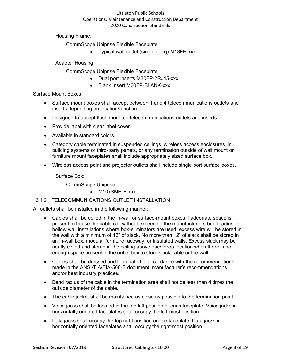Housing Frame:

CommScope Uniprise Flexible Faceplate

• Typical wall outlet (single gang) M13FP-xxx

Adapter Housing:

CommScope Uniprise Flexible Faceplate

- Dual port inserts M30FP-2RJ45-xxx
- Blank Insert M30FP-BLANK-xxx

Surface Mount Boxes

- Surface mount boxes shall accept between 1 and 4 telecommunications outlets and inserts depending on location/function.
- Designed to accept flush mounted telecommunications outlets and inserts.
- Provide label with clear label cover.
- Available in standard colors.
- Category cable terminated in suspended ceilings, wireless access enclosures, in building systems or third-party panels, or any termination outside of wall mount or furniture mount faceplates shall include appropriately sized surface box.
- Wireless access point and projector outlets shall include single port surface boxes.

Surface Box:

CommScope Uniprise

• M10xSMB-B-xxx

# 3.1.2 TELECOMMUNICATIONS OUTLET INSTALLATION

All outlets shall be installed in the following manner:

- Cables shall be coiled in the in-wall or surface-mount boxes if adequate space is present to house the cable coil without exceeding the manufacturer's bend radius. In hollow wall installations where box-eliminators are used, excess wire will be stored in the wall with a minimum of 12" of slack. No more than 12" of slack shall be stored in an in-wall box, modular furniture raceway, or insulated walls. Excess slack may be neatly coiled and stored in the ceiling above each drop location when there is not enough space present in the outlet box to store slack cable or the wall.
- Cables shall be dressed and terminated in accordance with the recommendations made in the ANSI/TIA/EIA-568-B document, manufacturer's recommendations and/or best industry practices.
- Bend radius of the cable in the termination area shall not be less than 4 times the outside diameter of the cable.
- The cable jacket shall be maintained as close as possible to the termination point.
- Voice jacks shall be located in the top left position of each faceplate. Voice jacks in horizontally oriented faceplates shall occupy the left-most position.
- Data jacks shall occupy the top right position on the faceplate. Data jacks in horizontally oriented faceplates shall occupy the right-most position.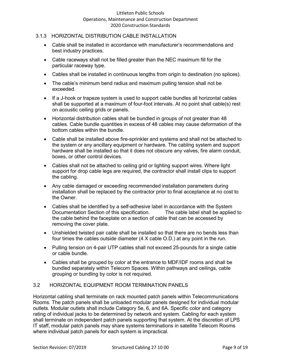#### 3.1.3 HORIZONTAL DISTRIBUTION CABLE INSTALLATION

- Cable shall be installed in accordance with manufacturer's recommendations and best industry practices.
- Cable raceways shall not be filled greater than the NEC maximum fill for the particular raceway type.
- Cables shall be installed in continuous lengths from origin to destination (no splices).
- The cable's minimum bend radius and maximum pulling tension shall not be exceeded.
- If a J-hook or trapeze system is used to support cable bundles all horizontal cables shall be supported at a maximum of four-foot intervals. At no point shall cable(s) rest on acoustic ceiling grids or panels.
- Horizontal distribution cables shall be bundled in groups of not greater than 48 cables. Cable bundle quantities in excess of 48 cables may cause deformation of the bottom cables within the bundle.
- Cable shall be installed above fire-sprinkler and systems and shall not be attached to the system or any ancillary equipment or hardware. The cabling system and support hardware shall be installed so that it does not obscure any valves, fire alarm conduit, boxes, or other control devices.
- Cables shall not be attached to ceiling grid or lighting support wires. Where light support for drop cable legs are required, the contractor shall install clips to support the cabling.
- Any cable damaged or exceeding recommended installation parameters during installation shall be replaced by the contractor prior to final acceptance at no cost to the Owner.
- Cables shall be identified by a self-adhesive label in accordance with the System Documentation Section of this specification. The cable label shall be applied to the cable behind the faceplate on a section of cable that can be accessed by removing the cover plate.
- Unshielded twisted pair cable shall be installed so that there are no bends less than four times the cables outside diameter (4 X cable O.D.) at any point in the run.
- Pulling tension on 4-pair UTP cables shall not exceed 25-pounds for a single cable or cable bundle.
- Cables shall be grouped by color at the entrance to MDF/IDF rooms and shall be bundled separately within Telecom Spaces. Within pathways and ceilings, cable grouping or bundling by color is not required.

# 3.2 HORIZONTAL EQUIPMENT ROOM TERMINATION PANELS

Horizontal cabling shall terminate on rack mounted patch panels within Telecommunications Rooms. The patch panels shall be unloaded modular panels designed for individual modular outlets. Modular outlets shall include Category 5e, 6, and 6A. Specific color and category rating of individual jacks to be determined by network and system. Cabling for each system shall terminate on independent patch panels supporting that system. At the discretion of LPS IT staff, modular patch panels may share systems terminations in satellite Telecom Rooms where individual patch panels for each system is impractical.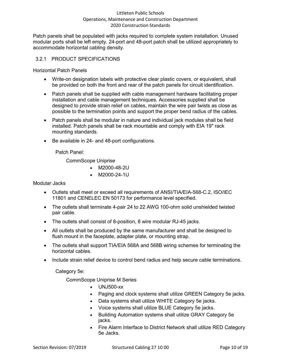Patch panels shall be populated with jacks required to complete system installation. Unused modular ports shall be left empty. 24-port and 48-port patch shall be utilized appropriately to accommodate horizontal cabling density.

#### 3.2.1 PRODUCT SPECIFICATIONS

Horizontal Patch Panels

- Write-on designation labels with protective clear plastic covers, or equivalent, shall be provided on both the front and rear of the patch panels for circuit identification.
- Patch panels shall be supplied with cable management hardware facilitating proper installation and cable management techniques. Accessories supplied shall be designed to provide strain relief on cables, maintain the wire pair twists as close as possible to the termination points and support the proper bend radius of the cables.
- Patch panels shall be modular in nature and individual jack modules shall be field installed. Patch panels shall be rack mountable and comply with EIA 19" rack mounting standards.
- Be available in 24- and 48-port configurations.

Patch Panel:

CommScope Uniprise

- M2000-48-2U
- M2000-24-1U

Modular Jacks

- Outlets shall meet or exceed all requirements of ANSI/TIA/EIA-568-C.2, ISO/IEC 11801 and CENELEC EN 50173 for performance level specified.
- The outlets shall terminate 4-pair 24 to 22 AWG 100-ohm solid unshielded twisted pair cable.
- The outlets shall consist of 8-position, 8 wire modular RJ-45 jacks.
- All outlets shall be produced by the same manufacturer and shall be designed to flush mount in the faceplate, adapter plate, or mounting strap.
- The outlets shall support TIA/EIA 568A and 568B wiring schemes for terminating the horizontal cables.
- Include strain relief device to control bend radius and help secure cable terminations.

Category 5e:

CommScope Uniprise M Series

- UNJ500-xx
- Paging and clock systems shall utilize GREEN Category 5e jacks.
- Data systems shall utilize WHITE Category 5e jacks.
- Voice systems shall utilize BLUE Category 5e jacks.
- Building Automation systems shall utilize GRAY Category 5e jacks.
- Fire Alarm Interface to District Network shall utilize RED Category 5e Jacks.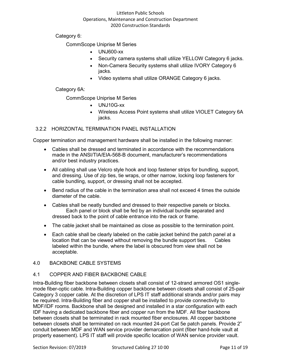Category 6:

CommScope Uniprise M Series

- UNJ600-xx
- Security camera systems shall utilize YELLOW Category 6 jacks.
- Non-Camera Security systems shall utilize IVORY Category 6 jacks.
- Video systems shall utilize ORANGE Category 6 jacks.

Category 6A:

CommScope Uniprise M Series

- UNJ10G-xx
- Wireless Access Point systems shall utilize VIOLET Category 6A jacks.

# 3.2.2 HORIZONTAL TERMINATION PANEL INSTALLATION

Copper termination and management hardware shall be installed in the following manner:

- Cables shall be dressed and terminated in accordance with the recommendations made in the ANSI/TIA/EIA-568-B document, manufacturer's recommendations and/or best industry practices.
- All cabling shall use Velcro style hook and loop fastener strips for bundling, support, and dressing. Use of zip ties, tie wraps, or other narrow, locking loop fasteners for cable bundling, support, or dressing shall not be accepted.
- Bend radius of the cable in the termination area shall not exceed 4 times the outside diameter of the cable.
- Cables shall be neatly bundled and dressed to their respective panels or blocks. Each panel or block shall be fed by an individual bundle separated and dressed back to the point of cable entrance into the rack or frame.
- The cable jacket shall be maintained as close as possible to the termination point.
- Each cable shall be clearly labeled on the cable jacket behind the patch panel at a location that can be viewed without removing the bundle support ties. Cables labeled within the bundle, where the label is obscured from view shall not be acceptable.

# 4.0 BACKBONE CABLE SYSTEMS

# 4.1 COPPER AND FIBER BACKBONE CABLE

Intra-Building fiber backbone between closets shall consist of 12-strand armored OS1 singlemode fiber-optic cable. Intra-Building copper backbone between closets shall consist of 25-pair Category 3 copper cable. At the discretion of LPS IT staff additional strands and/or pairs may be required. Intra-Building fiber and copper shall be installed to provide connectivity to MDF/IDF rooms. Backbone shall be designed and installed in a star configuration with each IDF having a dedicated backbone fiber and copper run from the MDF. All fiber backbone between closets shall be terminated in rack mounted fiber enclosures. All copper backbone between closets shall be terminated on rack mounted 24-port Cat 5e patch panels. Provide 2" conduit between MDF and WAN service provider demarcation point (fiber hand-hole vault at property easement). LPS IT staff will provide specific location of WAN service provider vault.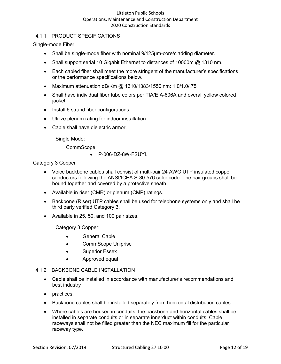# 4.1.1 PRODUCT SPECIFICATIONS

Single-mode Fiber

- Shall be single-mode fiber with nominal 9/125µm-core/cladding diameter.
- Shall support serial 10 Gigabit Ethernet to distances of 10000m @ 1310 nm.
- Each cabled fiber shall meet the more stringent of the manufacturer's specifications or the performance specifications below.
- Maximum attenuation dB/Km @ 1310/1383/1550 nm: 1.0/1.0/.75
- Shall have individual fiber tube colors per TIA/EIA-606A and overall yellow colored jacket.
- Install 6 strand fiber configurations.
- Utilize plenum rating for indoor installation.
- Cable shall have dielectric armor.

Single Mode:

**CommScope** 

• P-006-DZ-8W-FSUYL

Category 3 Copper

- Voice backbone cables shall consist of multi-pair 24 AWG UTP insulated copper conductors following the ANSI/ICEA S-80-576 color code. The pair groups shall be bound together and covered by a protective sheath.
- Available in riser (CMR) or plenum (CMP) ratings.
- Backbone (Riser) UTP cables shall be used for telephone systems only and shall be third party verified Category 3.
- Available in 25, 50, and 100 pair sizes.

Category 3 Copper:

- General Cable
- CommScope Uniprise
- Superior Essex
- Approved equal

#### 4.1.2 BACKBONE CABLE INSTALLATION

- Cable shall be installed in accordance with manufacturer's recommendations and best industry
- practices.
- Backbone cables shall be installed separately from horizontal distribution cables.
- Where cables are housed in conduits, the backbone and horizontal cables shall be installed in separate conduits or in separate innerduct within conduits. Cable raceways shall not be filled greater than the NEC maximum fill for the particular raceway type.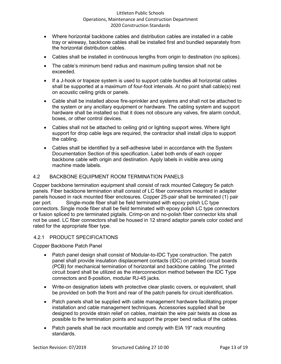- Where horizontal backbone cables and distribution cables are installed in a cable tray or wireway, backbone cables shall be installed first and bundled separately from the horizontal distribution cables.
- Cables shall be installed in continuous lengths from origin to destination (no splices).
- The cable's minimum bend radius and maximum pulling tension shall not be exceeded.
- If a J-hook or trapeze system is used to support cable bundles all horizontal cables shall be supported at a maximum of four-foot intervals. At no point shall cable(s) rest on acoustic ceiling grids or panels.
- Cable shall be installed above fire-sprinkler and systems and shall not be attached to the system or any ancillary equipment or hardware. The cabling system and support hardware shall be installed so that it does not obscure any valves, fire alarm conduit, boxes, or other control devices.
- Cables shall not be attached to ceiling grid or lighting support wires. Where light support for drop cable legs are required, the contractor shall install clips to support the cabling.
- Cables shall be identified by a self-adhesive label in accordance with the System Documentation Section of this specification. Label both ends of each copper backbone cable with origin and destination. Apply labels in visible area using machine made labels.

# 4.2 BACKBONE EQUIPMENT ROOM TERMINATION PANELS

Copper backbone termination equipment shall consist of rack mounted Category 5e patch panels. Fiber backbone termination shall consist of LC fiber connectors mounted in adapter panels housed in rack mounted fiber enclosures. Copper 25-pair shall be terminated (1) pair per port. Single-mode fiber shall be field terminated with epoxy polish LC type connectors. Single mode fiber shall be field terminated with epoxy polish LC type connectors or fusion spliced to pre terminated pigtails. Crimp-on and no-polish fiber connector kits shall not be used. LC fiber connectors shall be housed in 12 strand adaptor panels color coded and rated for the appropriate fiber type.

# 4.2.1 PRODUCT SPECIFICATIONS

Copper Backbone Patch Panel

- Patch panel design shall consist of Modular-to-IDC Type construction. The patch panel shall provide insulation displacement contacts (IDC) on printed circuit boards (PCB) for mechanical termination of horizontal and backbone cabling. The printed circuit board shall be utilized as the interconnection method between the IDC Type connectors and 8-position, modular RJ-45 jacks.
- Write-on designation labels with protective clear plastic covers, or equivalent, shall be provided on both the front and rear of the patch panels for circuit identification.
- Patch panels shall be supplied with cable management hardware facilitating proper installation and cable management techniques. Accessories supplied shall be designed to provide strain relief on cables, maintain the wire pair twists as close as possible to the termination points and support the proper bend radius of the cables.
- Patch panels shall be rack mountable and comply with EIA 19" rack mounting standards.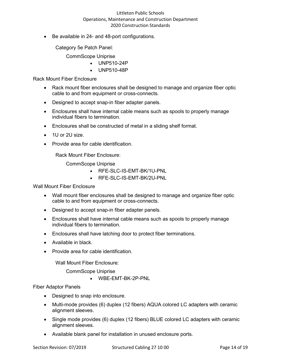Be available in 24- and 48-port configurations.

Category 5e Patch Panel:

CommScope Uniprise

- UNP510-24P
- UNP510-48P

Rack Mount Fiber Enclosure

- Rack mount fiber enclosures shall be designed to manage and organize fiber optic cable to and from equipment or cross-connects.
- Designed to accept snap-in fiber adapter panels.
- Enclosures shall have internal cable means such as spools to properly manage individual fibers to termination.
- Enclosures shall be constructed of metal in a sliding shelf format.
- 1U or 2U size.
- Provide area for cable identification.

Rack Mount Fiber Enclosure:

CommScope Uniprise

- RFE-SLC-IS-EMT-BK/1U-PNL
- RFE-SLC-IS-EMT-BK/2U-PNL

Wall Mount Fiber Enclosure

- Wall mount fiber enclosures shall be designed to manage and organize fiber optic cable to and from equipment or cross-connects.
- Designed to accept snap-in fiber adapter panels.
- Enclosures shall have internal cable means such as spools to properly manage individual fibers to termination.
- Enclosures shall have latching door to protect fiber terminations.
- Available in black.
- Provide area for cable identification.

Wall Mount Fiber Enclosure:

CommScope Uniprise

• WBE-EMT-BK-2P-PNL

Fiber Adaptor Panels

- Designed to snap into enclosure.
- Multi-mode provides (6) duplex (12 fibers) AQUA colored LC adapters with ceramic alignment sleeves.
- Single mode provides (6) duplex (12 fibers) BLUE colored LC adapters with ceramic alignment sleeves.
- Available blank panel for installation in unused enclosure ports.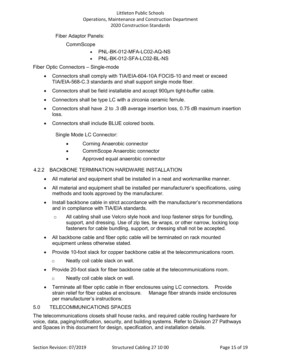Fiber Adaptor Panels:

**CommScope** 

- PNL-BK-012-MFA-LC02-AQ-NS
- PNL-BK-012-SFA-LC02-BL-NS

Fiber Optic Connectors – Single-mode

- Connectors shall comply with TIA/EIA-604-10A FOCIS-10 and meet or exceed TIA/EIA-568-C.3 standards and shall support single mode fiber.
- Connectors shall be field installable and accept 900µm tight-buffer cable.
- Connectors shall be type LC with a zirconia ceramic ferrule.
- Connectors shall have .2 to .3 dB average insertion loss, 0.75 dB maximum insertion loss.
- Connectors shall include BLUE colored boots.

Single Mode LC Connector:

- Corning Anaerobic connector
- CommScope Anaerobic connector
- Approved equal anaerobic connector
- 4.2.2 BACKBONE TERMINATION HARDWARE INSTALLATION
	- All material and equipment shall be installed in a neat and workmanlike manner.
	- All material and equipment shall be installed per manufacturer's specifications, using methods and tools approved by the manufacturer.
	- Install backbone cable in strict accordance with the manufacturer's recommendations and in compliance with TIA/EIA standards.
		- $\circ$  All cabling shall use Velcro style hook and loop fastener strips for bundling, support, and dressing. Use of zip ties, tie wraps, or other narrow, locking loop fasteners for cable bundling, support, or dressing shall not be accepted.
	- All backbone cable and fiber optic cable will be terminated on rack mounted equipment unless otherwise stated.
	- Provide 10-foot slack for copper backbone cable at the telecommunications room.
		- o Neatly coil cable slack on wall.
	- Provide 20-foot slack for fiber backbone cable at the telecommunications room.
		- o Neatly coil cable slack on wall.
	- Terminate all fiber optic cable in fiber enclosures using LC connectors. Provide strain relief for fiber cables at enclosure. Manage fiber strands inside enclosures per manufacturer's instructions.

#### 5.0 TELECOMMUNICATIONS SPACES

The telecommunications closets shall house racks, and required cable routing hardware for voice, data, paging/notification, security, and building systems. Refer to Division 27 Pathways and Spaces in this document for design, specification, and installation details.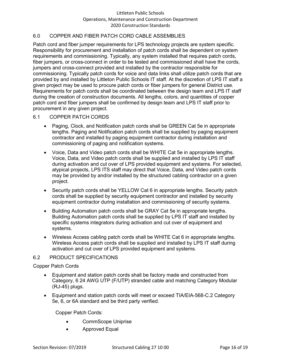# 6.0 COPPER AND FIBER PATCH CORD CABLE ASSEMBLIES

Patch cord and fiber jumper requirements for LPS technology projects are system specific. Responsibility for procurement and installation of patch cords shall be dependent on system requirements and commissioning. Typically, any system installed that requires patch cords, fiber jumpers, or cross-connect in order to be tested and commissioned shall have the cords, jumpers and cross-connect provided and installed by the contractor responsible for commissioning. Typically patch cords for voice and data links shall utilize patch cords that are provided by and installed by Littleton Public Schools IT staff. At the discretion of LPS IT staff a given project may be used to procure patch cords or fiber jumpers for general District use. Requirements for patch cords shall be coordinated between the design team and LPS IT staff during the creation of construction documents. All lengths, colors, and quantities of copper patch cord and fiber jumpers shall be confirmed by design team and LPS IT staff prior to procurement in any given project.

#### 6.1 COPPER PATCH CORDS

- Paging, Clock, and Notification patch cords shall be GREEN Cat 5e in appropriate lengths. Paging and Notification patch cords shall be supplied by paging equipment contractor and installed by paging equipment contractor during installation and commissioning of paging and notification systems.
- Voice, Data and Video patch cords shall be WHITE Cat 5e in appropriate lengths. Voice, Data, and Video patch cords shall be supplied and installed by LPS IT staff during activation and cut over of LPS provided equipment and systems. For selected, atypical projects, LPS ITS staff may direct that Voice, Data, and Video patch cords may be provided by and/or installed by the structured cabling contractor on a given project.
- Security patch cords shall be YELLOW Cat 6 in appropriate lengths. Security patch cords shall be supplied by security equipment contractor and installed by security equipment contractor during installation and commissioning of security systems.
- Building Automation patch cords shall be GRAY Cat 5e in appropriate lengths. Building Automation patch cords shall be supplied by LPS IT staff and installed by specific systems integrators during activation and cut over of equipment and systems.
- Wireless Access cabling patch cords shall be WHITE Cat 6 in appropriate lengths. Wireless Access patch cords shall be supplied and installed by LPS IT staff during activation and cut over of LPS provided equipment and systems.

# 6.2 PRODUCT SPECIFICATIONS

#### Copper Patch Cords

- Equipment and station patch cords shall be factory made and constructed from Category, 6 24 AWG UTP (F/UTP) stranded cable and matching Category Modular (RJ-45) plugs.
- Equipment and station patch cords will meet or exceed TIA/EIA-568-C.2 Category 5e, 6, or 6A standard and be third party verified.

Copper Patch Cords:

- CommScope Uniprise
- Approved Equal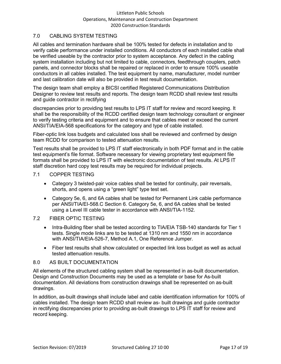# 7.0 CABLING SYSTEM TESTING

All cables and termination hardware shall be 100% tested for defects in installation and to verify cable performance under installed conditions. All conductors of each installed cable shall be verified useable by the contractor prior to system acceptance. Any defect in the cabling system installation including but not limited to cable, connectors, feedthrough couplers, patch panels, and connector blocks shall be repaired or replaced in order to ensure 100% useable conductors in all cables installed. The test equipment by name, manufacturer, model number and last calibration date will also be provided in test result documentation.

The design team shall employ a BICSI certified Registered Communications Distribution Designer to review test results and reports. The design team RCDD shall review test results and guide contractor in rectifying

discrepancies prior to providing test results to LPS IT staff for review and record keeping. It shall be the responsibility of the RCDD certified design team technology consultant or engineer to verify testing criteria and equipment and to ensure that cables meet or exceed the current ANSI/TIA/EIA-568 specifications for the category and type of cable installed.

Fiber-optic link loss budgets and calculated loss shall be reviewed and confirmed by design team RCDD for comparison to tested attenuation results.

Test results shall be provided to LPS IT staff electronically in both PDF format and in the cable test equipment's file format. Software necessary for viewing proprietary test equipment file formats shall be provided to LPS IT with electronic documentation of test results. At LPS IT staff discretion hard copy test results may be required for individual projects.

- 7.1 COPPER TESTING
	- Category 3 twisted-pair voice cables shall be tested for continuity, pair reversals, shorts, and opens using a "green light" type test set.
	- Category 5e, 6, and 6A cables shall be tested for Permanent Link cable performance per ANSI/TIA/EI-568.C Section 6. Category 5e, 6, and 6A cables shall be tested using a Level III cable tester in accordance with ANSI/TIA-1152.
- 7.2 FIBER OPTIC TESTING
	- Intra-Building fiber shall be tested according to TIA/EIA TSB-140 standards for Tier 1 tests. Single mode links are to be tested at 1310 nm and 1550 nm in accordance with ANSI/TIA/EIA-526-7, Method A.1, One Reference Jumper.
	- Fiber test results shall show calculated or expected link loss budget as well as actual tested attenuation results.

# 8.0 AS BUILT DOCUMENTATION

All elements of the structured cabling system shall be represented in as-built documentation. Design and Construction Documents may be used as a template or base for As-built documentation. All deviations from construction drawings shall be represented on as-built drawings.

In addition, as-built drawings shall include label and cable identification information for 100% of cables installed. The design team RCDD shall review as- built drawings and guide contractor in rectifying discrepancies prior to providing as-built drawings to LPS IT staff for review and record keeping.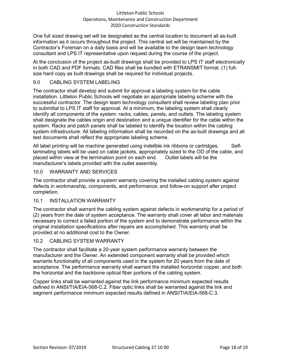One full sized drawing set will be designated as the central location to document all as-built information as it occurs throughout the project. This central set will be maintained by the Contractor's Foreman on a daily basis and will be available to the design team technology consultant and LPS IT representative upon request during the course of the project.

At the conclusion of the project as-built drawings shall be provided to LPS IT staff electronically in both CAD and PDF formats. CAD files shall be bundled with ETRANSMIT format. (1) fullsize hard copy as built drawings shall be required for individual projects.

# 9.0 CABLING SYSTEM LABELING

The contractor shall develop and submit for approval a labeling system for the cable installation. Littleton Public Schools will negotiate an appropriate labeling scheme with the successful contractor. The design team technology consultant shall review labeling plan prior to submittal to LPS IT staff for approval. At a minimum, the labeling system shall clearly identify all components of the system: racks, cables, panels, and outlets. The labeling system shall designate the cables origin and destination and a unique identifier for the cable within the system. Racks and patch panels shall be labeled to identify the location within the cabling system infrastructure. All labeling information shall be recorded on the as-built drawings and all test documents shall reflect the appropriate labeling scheme.

All label printing will be machine generated using indelible ink ribbons or cartridges. Selflaminating labels will be used on cable jackets, appropriately sized to the OD of the cable, and placed within view at the termination point on each end. Outlet labels will be the manufacturer's labels provided with the outlet assembly.

# 10.0 WARRANTY AND SERVICES

The contractor shall provide a system warranty covering the installed cabling system against defects in workmanship, components, and performance, and follow-on support after project completion.

#### 10.1 INSTALLATION WARRANTY

The contractor shall warrant the cabling system against defects in workmanship for a period of (2) years from the date of system acceptance. The warranty shall cover all labor and materials necessary to correct a failed portion of the system and to demonstrate performance within the original installation specifications after repairs are accomplished. This warranty shall be provided at no additional cost to the Owner.

#### 10.2 CABLING SYSTEM WARRANTY

The contractor shall facilitate a 20-year system performance warranty between the manufacturer and the Owner. An extended component warranty shall be provided which warrants functionality of all components used in the system for 20 years from the date of acceptance. The performance warranty shall warrant the installed horizontal copper, and both the horizontal and the backbone optical fiber portions of the cabling system.

Copper links shall be warranted against the link performance minimum expected results defined in ANSI/TIA/EIA-568-C.2. Fiber optic links shall be warranted against the link and segment performance minimum expected results defined in ANSI/TIA/EIA-568-C.3.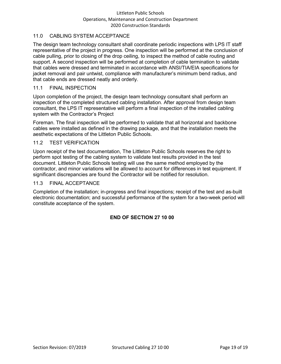# 11.0 CABLING SYSTEM ACCEPTANCE

The design team technology consultant shall coordinate periodic inspections with LPS IT staff representative of the project in progress. One inspection will be performed at the conclusion of cable pulling, prior to closing of the drop ceiling, to inspect the method of cable routing and support. A second inspection will be performed at completion of cable termination to validate that cables were dressed and terminated in accordance with ANSI/TIA/EIA specifications for jacket removal and pair untwist, compliance with manufacturer's minimum bend radius, and that cable ends are dressed neatly and orderly.

#### 11.1 FINAL INSPECTION

Upon completion of the project, the design team technology consultant shall perform an inspection of the completed structured cabling installation. After approval from design team consultant, the LPS IT representative will perform a final inspection of the installed cabling system with the Contractor's Project

Foreman. The final inspection will be performed to validate that all horizontal and backbone cables were installed as defined in the drawing package, and that the installation meets the aesthetic expectations of the Littleton Public Schools.

#### 11.2 TEST VERIFICATION

Upon receipt of the test documentation, The Littleton Public Schools reserves the right to perform spot testing of the cabling system to validate test results provided in the test document. Littleton Public Schools testing will use the same method employed by the contractor, and minor variations will be allowed to account for differences in test equipment. If significant discrepancies are found the Contractor will be notified for resolution.

#### 11.3 FINAL ACCEPTANCE

Completion of the installation; in-progress and final inspections; receipt of the test and as-built electronic documentation; and successful performance of the system for a two-week period will constitute acceptance of the system.

# **END OF SECTION 27 10 00**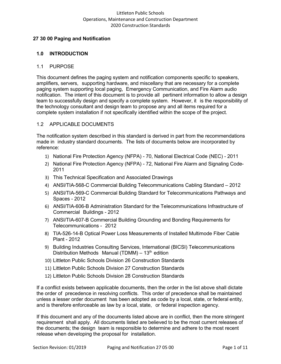#### <span id="page-32-0"></span>**27 30 00 Paging and Notification**

#### **1.0 INTRODUCTION**

#### 1.1 PURPOSE

This document defines the paging system and notification components specific to speakers, amplifiers, servers, supporting hardware, and miscellany that are necessary for a complete paging system supporting local paging, Emergency Communication, and Fire Alarm audio notification. The intent of this document is to provide all pertinent information to allow a design team to successfully design and specify a complete system. However, it is the responsibility of the technology consultant and design team to propose any and all items required for a complete system installation if not specifically identified within the scope of the project.

#### 1.2 APPLICABLE DOCUMENTS

The notification system described in this standard is derived in part from the recommendations made in industry standard documents. The lists of documents below are incorporated by reference:

- 1) National Fire Protection Agency (NFPA) 70, National Electrical Code (NEC) 2011
- 2) National Fire Protection Agency (NFPA) 72, National Fire Alarm and Signaling Code-2011
- 3) This Technical Specification and Associated Drawings
- 4) ANSI/TIA-568-C Commercial Building Telecommunications Cabling Standard 2012
- 5) ANSI/TIA-569-C Commercial Building Standard for Telecommunications Pathways and Spaces - 2012
- 6) ANSI/TIA-606-B Administration Standard for the Telecommunications Infrastructure of Commercial Buildings - 2012
- 7) ANSI/TIA-607-B Commercial Building Grounding and Bonding Requirements for Telecommunications - 2012
- 8) TIA-526-14-B Optical Power Loss Measurements of Installed Multimode Fiber Cable Plant - 2012
- 9) Building Industries Consulting Services, International (BICSI) Telecommunications Distribution Methods Manual (TDMM) –  $13<sup>th</sup>$  edition
- 10) Littleton Public Schools Division 26 Construction Standards
- 11) Littleton Public Schools Division 27 Construction Standards
- 12) Littleton Public Schools Division 28 Construction Standards

If a conflict exists between applicable documents, then the order in the list above shall dictate the order of precedence in resolving conflicts. This order of precedence shall be maintained unless a lesser order document has been adopted as code by a local, state, or federal entity, and is therefore enforceable as law by a local, state, or federal inspection agency.

If this document and any of the documents listed above are in conflict, then the more stringent requirement shall apply. All documents listed are believed to be the most current releases of the documents; the design team is responsible to determine and adhere to the most recent release when developing the proposal for installation.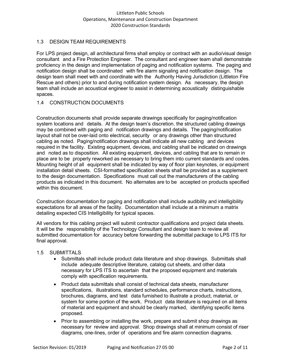# 1.3 DESIGN TEAM REQUIREMENTS

For LPS project design, all architectural firms shall employ or contract with an audio/visual design consultant and a Fire Protection Engineer. The consultant and engineer team shall demonstrate proficiency in the design and implementation of paging and notification systems. The paging and notification design shall be coordinated with fire alarm signaling and notification design. The design team shall meet with and coordinate with the Authority Having Jurisdiction (Littleton Fire Rescue and others) prior to and during notification system design. As necessary, the design team shall include an acoustical engineer to assist in determining acoustically distinguishable spaces.

# 1.4 CONSTRUCTION DOCUMENTS

Construction documents shall provide separate drawings specifically for paging/notification system locations and details. At the design team's discretion, the structured cabling drawings may be combined with paging and notification drawings and details. The paging/notification layout shall not be over-laid onto electrical, security or any drawings other than structured cabling as noted. Paging/notification drawings shall indicate all new cabling and devices required in the facility. Existing equipment, devices, and cabling shall be indicated on drawings and noted as to disposition. All existing equipment, devices, and cabling that are to remain in place are to be properly reworked as necessary to bring them into current standards and codes. Mounting height of all equipment shall be indicated by way of floor plan keynotes, or equipment installation detail sheets. CSI-formatted specification sheets shall be provided as a supplement to the design documentation. Specifications must call out the manufacturers of the cabling products as indicated in this document. No alternates are to be accepted on products specified within this document.

Construction documentation for paging and notification shall include audibility and intelligibility expectations for all areas of the facility. Documentation shall include at a minimum a matrix detailing expected CIS Intelligibility for typical spaces.

All vendors for this cabling project will submit contractor qualifications and project data sheets. It will be the responsibility of the Technology Consultant and design team to review all submitted documentation for accuracy before forwarding the submittal package to LPS ITS for final approval.

# 1.5 SUBMITTALS

- Submittals shall include product data literature and shop drawings. Submittals shall include adequate descriptive literature, catalog cut sheets, and other data necessary for LPS ITS to ascertain that the proposed equipment and materials comply with specification requirements.
- Product data submittals shall consist of technical data sheets, manufacturer specifications, illustrations, standard schedules, performance charts, instructions, brochures, diagrams, and test data furnished to illustrate a product, material, or system for some portion of the work. Product data literature is required on all items of material and equipment and should be clearly marked, identifying specific items proposed.
- Prior to assembling or installing the work, prepare and submit shop drawings as necessary for review and approval. Shop drawings shall at minimum consist of riser diagrams, one-lines, order of operations and fire alarm connection diagrams.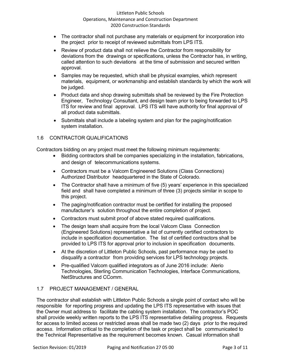- The contractor shall not purchase any materials or equipment for incorporation into the project prior to receipt of reviewed submittals from LPS ITS.
- Review of product data shall not relieve the Contractor from responsibility for deviations from the drawings or specifications, unless the Contractor has, in writing, called attention to such deviations at the time of submission and secured written approval.
- Samples may be requested, which shall be physical examples, which represent materials, equipment, or workmanship and establish standards by which the work will be judged.
- Product data and shop drawing submittals shall be reviewed by the Fire Protection Engineer, Technology Consultant, and design team prior to being forwarded to LPS ITS for review and final approval. LPS ITS will have authority for final approval of all product data submittals.
- Submittals shall include a labeling system and plan for the paging/notification system installation.

# 1.6 CONTRACTOR QUALIFICATIONS

Contractors bidding on any project must meet the following minimum requirements:

- Bidding contractors shall be companies specializing in the installation, fabrications, and design of telecommunications systems.
- Contractors must be a Valcom Engineered Solutions (Class Connections) Authorized Distributor headquartered in the State of Colorado.
- The Contractor shall have a minimum of five (5) years' experience in this specialized field and shall have completed a minimum of three (3) projects similar in scope to this project.
- The paging/notification contractor must be certified for installing the proposed manufacturer's solution throughout the entire completion of project.
- Contractors must submit proof of above stated required qualifications.
- The design team shall acquire from the local Valcom Class Connection (Engineered Solutions) representative a list of currently certified contractors to include in specification documentation. The list of certified contractors shall be provided to LPS ITS for approval prior to inclusion in specification documents.
- At the discretion of Littleton Public Schools, past performance may be used to disqualify a contractor from providing services for LPS technology projects.
- Pre-qualified Valcom qualified integrators as of June 2016 include: Alerio Technologies, Sterling Communication Technologies, Interface Communications, NetStructures and CComm.

# 1.7 PROJECT MANAGEMENT / GENERAL

The contractor shall establish with Littleton Public Schools a single point of contact who will be responsible for reporting progress and updating the LPS ITS representative with issues that the Owner must address to facilitate the cabling system installation. The contractor's POC shall provide weekly written reports to the LPS ITS representative detailing progress. Requests for access to limited access or restricted areas shall be made two (2) days prior to the required acces*s*. Information critical to the completion of the task or project shall be communicated to the Technical Representative as the requirement becomes known. Casual information shall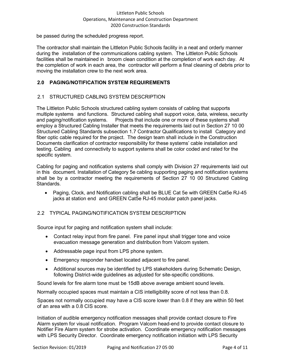be passed during the scheduled progress report.

The contractor shall maintain the Littleton Public Schools facility in a neat and orderly manner during the installation of the communications cabling system. The Littleton Public Schools facilities shall be maintained in broom clean condition at the completion of work each day. At the completion of work in each area, the contractor will perform a final cleaning of debris prior to moving the installation crew to the next work area.

# **2.0 PAGING/NOTIFICATION SYSTEM REQUIREMENTS**

# 2.1 STRUCTURED CABLING SYSTEM DESCRIPTION

The Littleton Public Schools structured cabling system consists of cabling that supports multiple systems and functions. Structured cabling shall support voice, data, wireless, security and paging/notification systems. Projects that include one or more of these systems shall employ a Structured Cabling Installer that meets the requirements laid out in Section 27 10 00 Structured Cabling Standards subsection 1.7 Contractor Qualifications to install Category and fiber optic cable required for the project. The design team shall include in the Construction Documents clarification of contractor responsibility for these systems' cable installation and testing. Cabling and connectivity to support systems shall be color coded and rated for the specific system.

Cabling for paging and notification systems shall comply with Division 27 requirements laid out in this document. Installation of Category 5e cabling supporting paging and notification systems shall be by a contractor meeting the requirements of Section 27 10 00 Structured Cabling **Standards** 

• Paging, Clock, and Notification cabling shall be BLUE Cat 5e with GREEN Cat5e RJ-45 jacks at station end and GREEN Cat5e RJ-45 modular patch panel jacks.

# 2.2 TYPICAL PAGING/NOTIFICATION SYSTEM DESCRIPTION

Source input for paging and notification system shall include:

- Contact relay input from fire panel. Fire panel input shall trigger tone and voice evacuation message generation and distribution from Valcom system.
- Addressable page input from LPS phone system.
- Emergency responder handset located adjacent to fire panel.
- Additional sources may be identified by LPS stakeholders during Schematic Design, following District-wide guidelines as adjusted for site-specific conditions.

Sound levels for fire alarm tone must be 15dB above average ambient sound levels.

Normally occupied spaces must maintain a CIS intelligibility score of not less than 0.8.

Spaces not normally occupied may have a CIS score lower than 0.8 if they are within 50 feet of an area with a 0.8 CIS score.

Initiation of audible emergency notification messages shall provide contact closure to Fire Alarm system for visual notification. Program Valcom head-end to provide contact closure to Notifier Fire Alarm system for strobe activation. Coordinate emergency notification messages with LPS Security Director. Coordinate emergency notification initiation with LPS Security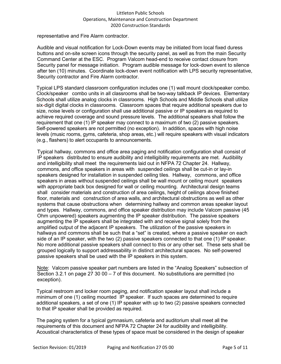representative and Fire Alarm contractor.

Audible and visual notification for Lock-Down events may be initiated from local fixed duress buttons and on-site screen icons through the security panel, as well as from the main Security Command Center at the ESC. Program Valcom head-end to receive contact closure from Security panel for message initiation. Program audible message for lock-down event to silence after ten (10) minutes. Coordinate lock-down event notification with LPS security representative, Security contractor and Fire Alarm contractor.

Typical LPS standard classroom configuration includes one (1) wall mount clock/speaker combo. Clock/speaker combo units in all classrooms shall be two-way talkback IP devices. Elementary Schools shall utilize analog clocks in classrooms. High Schools and Middle Schools shall utilize six-digit digital clocks in classrooms. Classroom spaces that require additional speakers due to size, noise levels or configuration shall use additional passive or IP speakers as required to achieve required coverage and sound pressure levels. The additional speakers shall follow the requirement that one (1) IP speaker may connect to a maximum of two (2) passive speakers. Self-powered speakers are not permitted (no exception). In addition, spaces with high noise levels (music rooms, gyms, cafeteria, shop areas, etc.) will require speakers with visual indicators (e.g., flashers) to alert occupants to announcements.

Typical hallway, commons and office area paging and notification configuration shall consist of IP speakers distributed to ensure audibility and intelligibility requirements are met. Audibility and intelligibility shall meet the requirements laid out in NFPA 72 Chapter 24. Hallway, commons, and office speakers in areas with suspended ceilings shall be cut-in or lay-in speakers designed for installation in suspended ceiling tiles. Hallway, commons, and office speakers in areas without suspended ceilings shall be wall mount or ceiling mount speakers with appropriate back box designed for wall or ceiling mounting. Architectural design teams shall consider materials and construction of area ceilings, height of ceilings above finished floor, materials and construction of area walls, and architectural obstructions as well as other systems that cause obstructions when determining hallway and common areas speaker layout and types. Hallway, commons, and office speaker distribution may include Valcom passive (45 Ohm unpowered) speakers augmenting the IP speaker distribution. The passive speakers augmenting the IP speakers shall be integrated with and receive signal solely from the amplified output of the adjacent IP speakers. The utilization of the passive speakers in hallways and commons shall be such that a "set" is created, where a passive speaker on each side of an IP speaker, with the two (2) passive speakers connected to that one (1) IP speaker. No more additional passive speakers shall connect to this or any other set. These sets shall be grouped logically to support addressability in distinct architectural spaces. No self-powered passive speakers shall be used with the IP speakers in this system.

Note: Valcom passive speaker part numbers are listed in the "Analog Speakers" subsection of Section 3.2.1 on page 27 30 00  $-7$  of this document. No substitutions are permitted (no exception).

Typical restroom and locker room paging, and notification speaker layout shall include a minimum of one (1) ceiling mounted IP speaker. If such spaces are determined to require additional speakers, a set of one (1) IP speaker with up to two (2) passive speakers connected to that IP speaker shall be provided as required.

The paging system for a typical gymnasium, cafeteria and auditorium shall meet all the requirements of this document and NFPA 72 Chapter 24 for audibility and intelligibility. Acoustical characteristics of these types of space must be considered in the design of speaker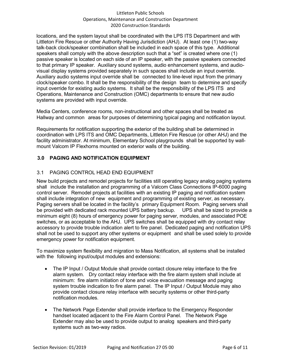locations, and the system layout shall be coordinated with the LPS ITS Department and with Littleton Fire Rescue or other Authority Having Jurisdiction (AHJ). At least one (1) two-way talk-back clock/speaker combination shall be included in each space of this type. Additional speakers shall comply with the above description such that a "set" is created where one (1) passive speaker is located on each side of an IP speaker, with the passive speakers connected to that primary IP speaker. Auxiliary sound systems, audio enhancement systems, and audiovisual display systems provided separately in such spaces shall include an input override. Auxiliary audio systems input override shall be connected to line-level input from the primary clock/speaker combo. It shall be the responsibility of the design team to determine and specify input override for existing audio systems. It shall be the responsibility of the LPS ITS and Operations, Maintenance and Construction (OMC) departments to ensure that new audio systems are provided with input override.

Media Centers, conference rooms, non-instructional and other spaces shall be treated as Hallway and common areas for purposes of determining typical paging and notification layout.

Requirements for notification supporting the exterior of the building shall be determined in coordination with LPS ITS and OMC Departments, Littleton Fire Rescue (or other AHJ) and the facility administrator. At minimum, Elementary School playgrounds shall be supported by wallmount Valcom IP Flexhorns mounted on exterior walls of the building.

# **3.0 PAGING AND NOTIFICATION EQUIPMENT**

# 3.1 PAGING CONTROL HEAD END EQUIPMENT

New build projects and remodel projects for facilities still operating legacy analog paging systems shall include the installation and programming of a Valcom Class Connections IP-6000 paging control server. Remodel projects at facilities with an existing IP paging and notification system shall include integration of new equipment and programming of existing server, as necessary. Paging servers shall be located in the facility's primary Equipment Room. Paging servers shall be provided with dedicated rack mounted UPS battery backup. UPS shall be sized to provide a minimum eight (8) hours of emergency power for paging server, modules, and associated POE switches, or as acceptable to the AHJ. UPS switches shall be equipped with dry contact relay accessory to provide trouble indication alert to fire panel. Dedicated paging and notification UPS shall not be used to support any other systems or equipment and shall be used solely to provide emergency power for notification equipment.

To maximize system flexibility and migration to Mass Notification, all systems shall be installed with the following input/output modules and extensions:

- The IP Input / Output Module shall provide contact closure relay interface to the fire alarm system. Dry contact relay interface with the fire alarm system shall include at minimum: fire alarm initiation of tone and voice evacuation message and paging system trouble indication to fire alarm panel. The IP Input / Output Module may also provide contact closure relay interface with security systems or other third-party notification modules.
- The Network Page Extender shall provide interface to the Emergency Responder handset located adjacent to the Fire Alarm Control Panel. The Network Page Extender may also be used to provide output to analog speakers and third-party systems such as two-way radios.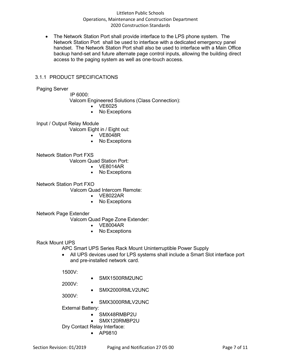• The Network Station Port shall provide interface to the LPS phone system. The Network Station Port shall be used to interface with a dedicated emergency panel handset. The Network Station Port shall also be used to interface with a Main Office backup hand-set and future alternate page control inputs, allowing the building direct access to the paging system as well as one-touch access.

# 3.1.1 PRODUCT SPECIFICATIONS

Paging Server

IP 6000:

Valcom Engineered Solutions (Class Connection):

- VE6025
- No Exceptions

Input / Output Relay Module

Valcom Eight in / Eight out:

- VE8048R
- No Exceptions

Network Station Port FXS

Valcom Quad Station Port:

- VE8014AR
- No Exceptions

Network Station Port FXO

Valcom Quad Intercom Remote:

- VE8022AR
- No Exceptions

Network Page Extender

Valcom Quad Page Zone Extender:

- VE8004AR
- No Exceptions

Rack Mount UPS

APC Smart UPS Series Rack Mount Uninterruptible Power Supply

• All UPS devices used for LPS systems shall include a Smart Slot interface port and pre-installed network card.

1500V:

• SMX1500RM2UNC

2000V:

• SMX2000RMLV2UNC

3000V:

• SMX3000RMLV2UNC

External Battery:

- SMX48RMBP2U
- SMX120RMBP2U

Dry Contact Relay Interface:

• AP9810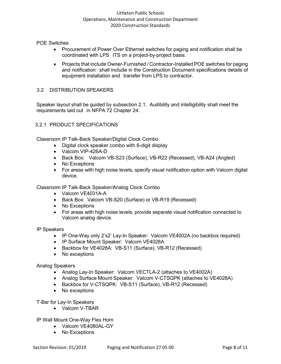POE Switches

- Procurement of Power Over Ethernet switches for paging and notification shall be coordinated with LPS ITS on a project-by-project basis.
- Projects that include Owner-Furnished / Contractor-Installed POE switches for paging and notification shall include in the Construction Document specifications details of equipment installation and transfer from LPS to contractor.

#### 3.2 DISTRIBUTION SPEAKERS

Speaker layout shall be guided by subsection 2.1. Audibility and intelligibility shall meet the requirements laid out in NFPA 72 Chapter 24.

## 3.2.1 PRODUCT SPECIFICATIONS

Classroom IP Talk-Back Speaker/Digital Clock Combo

- Digital clock speaker combo with 6-digit display
- Valcom VIP-426A-D
- Back Box: Valcom VB-S23 (Surface), VB-R22 (Recessed), VB-A24 (Angled)
- No Exceptions
- For areas with high noise levels, specify visual notification option with Valcom digital device.

Classroom IP Talk-Back Speaker/Analog Clock Combo

- Valcom VE4031A-A
- Back Box: Valcom VB-S20 (Surface) or VB-R19 (Recessed)
- No Exceptions
- For areas with high noise levels, provide separate visual notification connected to Valcom analog device.

IP Speakers

- IP One-Way only 2'x2' Lay-In Speaker: Valcom VE4002A (no backbox required)
- IP Surface Mount Speaker: Valcom VE4028A
- Backbox for VE4028A: VB-S11 (Surface), VB-R12 (Recessed)
- No exceptions

#### Analog Speakers

- Analog Lay-In Speaker: Valcom VECTLA-2 (attaches to VE4002A)
- Analog Surface Mount Speaker: Valcom V-CTSQPK (attaches to VE4028A)
- Backbox for V-CTSQPK: VB-S11 (Surface), VB-R12 (Recessed)
- No exceptions

T-Bar for Lay-In Speakers

• Valcom V-TBAR

IP Wall Mount One-Way Flex Horn

- Valcom VE4080AL-GY
- No Exceptions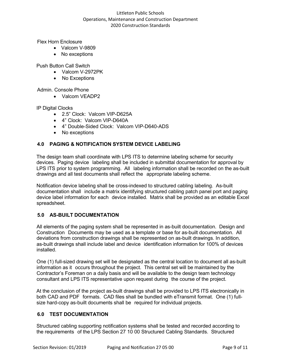Flex Horn Enclosure

- Valcom V-9809
- No exceptions

Push Button Call Switch

- Valcom V-2972PK
- No Exceptions

Admin. Console Phone

• Valcom VEADP2

IP Digital Clocks

- 2.5" Clock: Valcom VIP-D625A
- 4" Clock: Valcom VIP-D640A
- 4" Double-Sided Clock: Valcom VIP-D640-ADS
- No exceptions

## **4.0 PAGING & NOTIFICATION SYSTEM DEVICE LABELING**

The design team shall coordinate with LPS ITS to determine labeling scheme for security devices. Paging device labeling shall be included in submittal documentation for approval by LPS ITS prior to system programming. All labeling information shall be recorded on the as-built drawings and all test documents shall reflect the appropriate labeling scheme.

Notification device labeling shall be cross-indexed to structured cabling labeling. As-built documentation shall include a matrix identifying structured cabling patch panel port and paging device label information for each device installed. Matrix shall be provided as an editable Excel spreadsheet.

# **5.0 AS-BUILT DOCUMENTATION**

All elements of the paging system shall be represented in as-built documentation. Design and Construction Documents may be used as a template or base for as-built documentation. All deviations from construction drawings shall be represented on as-built drawings. In addition, as-built drawings shall include label and device identification information for 100% of devices installed.

One (1) full-sized drawing set will be designated as the central location to document all as-built information as it occurs throughout the project. This central set will be maintained by the Contractor's Foreman on a daily basis and will be available to the design team technology consultant and LPS ITS representative upon request during the course of the project.

At the conclusion of the project as-built drawings shall be provided to LPS ITS electronically in both CAD and PDF formats. CAD files shall be bundled with eTransmit format. One (1) fullsize hard-copy as-built documents shall be required for individual projects.

## **6.0 TEST DOCUMENTATION**

Structured cabling supporting notification systems shall be tested and recorded according to the requirements of the LPS Section 27 10 00 Structured Cabling Standards. Structured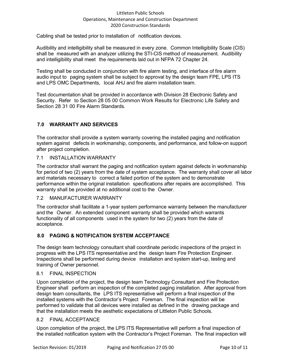Cabling shall be tested prior to installation of notification devices.

Audibility and intelligibility shall be measured in every zone. Common Intelligibility Scale (CIS) shall be measured with an analyzer utilizing the STI-CIS method of measurement. Audibility and intelligibility shall meet the requirements laid out in NFPA 72 Chapter 24.

Testing shall be conducted in conjunction with fire alarm testing, and interface of fire alarm audio input to paging system shall be subject to approval by the design team FPE, LPS ITS and LPS OMC Departments, local AHJ and fire alarm installation team.

Test documentation shall be provided in accordance with Division 28 Electronic Safety and Security. Refer to Section 28 05 00 Common Work Results for Electronic Life Safety and Section 28 31 00 Fire Alarm Standards.

# **7.0 WARRANTY AND SERVICES**

The contractor shall provide a system warranty covering the installed paging and notification system against defects in workmanship, components, and performance, and follow-on support after project completion.

#### 7.1 INSTALLATION WARRANTY

The contractor shall warrant the paging and notification system against defects in workmanship for period of two (2) years from the date of system acceptance. The warranty shall cover all labor and materials necessary to correct a failed portion of the system and to demonstrate performance within the original installation specifications after repairs are accomplished. This warranty shall be provided at no additional cost to the Owner.

#### 7.2 MANUFACTURER WARRANTY

The contractor shall facilitate a 1-year system performance warranty between the manufacturer and the Owner. An extended component warranty shall be provided which warrants functionality of all components used in the system for two (2) years from the date of acceptance.

## **8.0 PAGING & NOTIFICATION SYSTEM ACCEPTANCE**

The design team technology consultant shall coordinate periodic inspections of the project in progress with the LPS ITS representative and the design team Fire Protection Engineer. Inspections shall be performed during device installation and system start-up, testing and training of Owner personnel.

#### 8.1 FINAL INSPECTION

Upon completion of the project, the design team Technology Consultant and Fire Protection Engineer shall perform an inspection of the completed paging installation. After approval from design team consultants, the LPS ITS representative will perform a final inspection of the installed systems with the Contractor's Project Foreman. The final inspection will be performed to validate that all devices were installed as defined in the drawing package and that the installation meets the aesthetic expectations of Littleton Public Schools*.*

#### 8.2 FINAL ACCEPTANCE

Upon completion of the project, the LPS ITS Representative will perform a final inspection of the installed notification system with the Contractor's Project Foreman. The final inspection will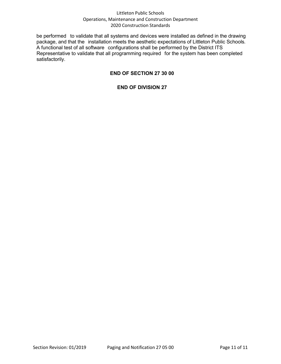be performed to validate that all systems and devices were installed as defined in the drawing package, and that the installation meets the aesthetic expectations of Littleton Public Schools*.* A functional test of all software configurations shall be performed by the District ITS Representative to validate that all programming required for the system has been completed satisfactorily.

# **END OF SECTION 27 30 00**

#### **END OF DIVISION 27**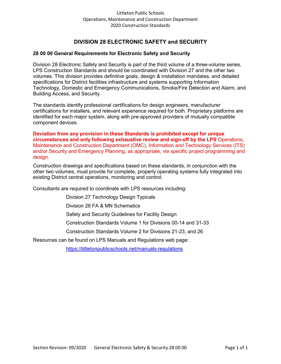# **DIVISION 28 ELECTRONIC SAFETY and SECURITY**

#### **28 00 00 General Requirements for Electronic Safety and Security**

Division 28 Electronic Safety and Security is part of the third volume of a three-volume series, LPS Construction Standards and should be coordinated with Division 27 and the other two volumes. This division provides definitive goals, design & installation mandates, and detailed specifications for District facilities infrastructure and systems supporting Information Technology, Domestic and Emergency Communications, Smoke/Fire Detection and Alarm, and Building Access, and Security.

The standards identify professional certifications for design engineers, manufacturer certifications for installers, and relevant experience required for both. Proprietary platforms are identified for each major system, along with pre-approved providers of mutually compatible component devices.

**Deviation from any provision in these Standards is prohibited except for unique circumstances and only following exhaustive review and sign-off by the LPS** Operations, Maintenance and Construction Department (OMC), Information and Technology Services (ITS) and/or Security and Emergency Planning, as appropriate, via specific project programming and design.

Construction drawings and specifications based on these standards, in conjunction with the other two volumes, must provide for complete, properly operating systems fully integrated into existing District central operations, monitoring and control.

Consultants are required to coordinate with LPS resources including:

Division 27 Technology Design Typicals

Division 28 FA & MN Schematics

Safety and Security Guidelines for Facility Design

Construction Standards Volume 1 for Divisions 00-14 and 31-33

Construction Standards Volume 2 for Divisions 21-23, and 26

Resources can be found on LPS Manuals and Regulations web page:

<https://littletonpublicschools.net/manuals-regulations>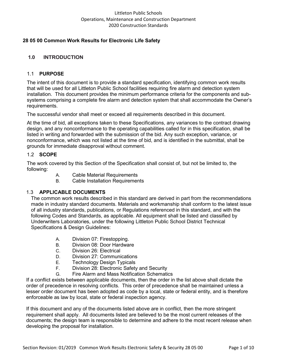# **28 05 00 Common Work Results for Electronic Life Safety**

# **1.0 INTRODUCTION**

## 1.1 **PURPOSE**

The intent of this document is to provide a standard specification, identifying common work results that will be used for all Littleton Public School facilities requiring fire alarm and detection system installation. This document provides the minimum performance criteria for the components and subsystems comprising a complete fire alarm and detection system that shall accommodate the Owner's requirements.

The successful vendor shall meet or exceed all requirements described in this document.

At the time of bid, all exceptions taken to these Specifications, any variances to the contract drawing design, and any nonconformance to the operating capabilities called for in this specification, shall be listed in writing and forwarded with the submission of the bid. Any such exception, variance, or nonconformance, which was not listed at the time of bid, and is identified in the submittal, shall be grounds for immediate disapproval without comment.

## 1.2 **SCOPE**

The work covered by this Section of the Specification shall consist of, but not be limited to, the following:

- A. Cable Material Requirements
- B. Cable Installation Requirements

## 1.3 **APPLICABLE DOCUMENTS**

The common work results described in this standard are derived in part from the recommendations made in industry standard documents. Materials and workmanship shall conform to the latest issue of all industry standards, publications, or Regulations referenced in this standard, and with the following Codes and Standards, as applicable. All equipment shall be listed and classified by Underwriters Laboratories, under the following Littleton Public School District Technical Specifications & Design Guidelines:

- A. Division 07: Firestopping.
- B. Division 08: Door Hardware
- C. Division 26: Electrical
- D. Division 27: Communications
- E. Technology Design Typicals
- F. Division 28: Electronic Safety and Security
- G. Fire Alarm and Mass Notification Schematics

If a conflict exists between applicable documents, then the order in the list above shall dictate the order of precedence in resolving conflicts. This order of precedence shall be maintained unless a lesser order document has been adopted as code by a local, state or federal entity, and is therefore enforceable as law by local, state or federal inspection agency.

If this document and any of the documents listed above are in conflict, then the more stringent requirement shall apply. All documents listed are believed to be the most current releases of the documents; the design team is responsible to determine and adhere to the most recent release when developing the proposal for installation.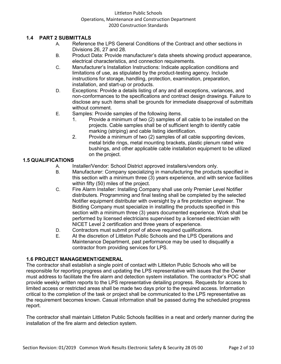# **1.4 PART 2 SUBMITTALS**

- A. Reference the LPS General Conditions of the Contract and other sections in Divisions 26, 27 and 28.
- B. Product Data: Provide manufacturer's data sheets showing product appearance, electrical characteristics, and connection requirements.
- C. Manufacturer's Installation Instructions: Indicate application conditions and limitations of use, as stipulated by the product-testing agency. Include instructions for storage, handling, protection, examination, preparation, installation, and start-up or products.
- D. Exceptions: Provide a details listing of any and all exceptions, variances, and non-conformances to the specifications and contract design drawings. Failure to disclose any such items shall be grounds for immediate disapproval of submittals without comment.
- E. Samples: Provide samples of the following items.
	- 1. Provide a minimum of two (2) samples of all cable to be installed on the projects. Cable samples shall be of sufficient length to identify cable marking (striping) and cable listing identification.
	- 2. Provide a minimum of two (2) samples of all cable supporting devices, metal bridle rings, metal mounting brackets, plastic plenum rated wire bushings, and other applicable cable installation equipment to be utilized on the project.

# **1.5 QUALIFICATIONS**

- A. Installer/Vendor: School District approved installers/vendors only.<br>B. Manufacturer: Company specializing in manufacturing the product
- Manufacturer: Company specializing in manufacturing the products specified in this section with a minimum three (3) years experience, and with service facilities within fifty (50) miles of the project.
- C. Fire Alarm Installer: Installing Company shall use only Premier Level Notifier distributers. Programming and final testing shall be completed by the selected Notifier equipment distributer with oversight by a fire protection engineer. The Bidding Company must specialize in installing the products specified in this section with a minimum three (3) years documented experience. Work shall be performed by licensed electricians supervised by a licensed electrician with NICET Level 2 certification and three years of experience.
- D. Contractors must submit proof of above required qualifications.
- E. At the discretion of Littleton Public Schools and the LPS Operations and Maintenance Department, past performance may be used to disqualify a contractor from providing services for LPS.

## **1.6 PROJECT MANAGEMENT/GENERAL**

The contractor shall establish a single point of contact with Littleton Public Schools who will be responsible for reporting progress and updating the LPS representative with issues that the Owner must address to facilitate the fire alarm and detection system installation. The contractor's POC shall provide weekly written reports to the LPS representative detailing progress. Requests for access to limited access or restricted areas shall be made two days prior to the required access. Information critical to the completion of the task or project shall be communicated to the LPS representative as the requirement becomes known. Casual information shall be passed during the scheduled progress report.

The contractor shall maintain Littleton Public Schools facilities in a neat and orderly manner during the installation of the fire alarm and detection system.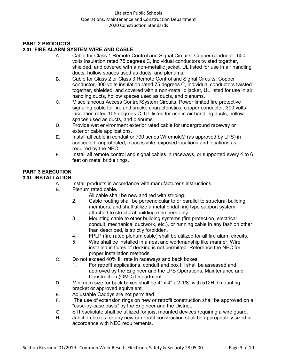# **PART 2 PRODUCTS**

# **2.01 FIRE ALARM SYSTEM WIRE AND CABLE**

- A. Cable for Class 1 Remote Control and Signal Circuits: Copper conductor, 600 volts insulation rated 75 degrees C, individual conductors twisted together, shielded, and covered with a non-metallic jacket, UL listed for use in air handling ducts, hollow spaces used as ducts, and plenums.
- B. Cable for Class 2 or Class 3 Remote Control and Signal Circuits: Copper conductor, 300 volts insulation rated 75 degrees C, individual conductors twisted together, shielded, and covered with a non-metallic jacket, UL listed for use in air handling ducts, hollow spaces used as ducts, and plenums.
- C. Miscellaneous Access Control/System Circuits: Power limited fire protective signaling cable for fire and smoke characteristics, copper conductor, 300 volts insulation rated 105 degrees C, UL listed for use in air handling ducts, hollow spaces used as ducts, and plenums.
- D. Provide wet environment exterior rated cable for underground raceway or exterior cable applications.
- E. Install all cable in conduit or 700 series Wiremold© (as approved by LPS) in concealed, unprotected, inaccessible, exposed locations and locations as required by the NEC.
- F. Install all remote control and signal cables in raceways, or supported every 4 to 6 feet on metal bridle rings.

# **PART 3 EXECUTION**

# **3.01 INSTALLATION**

- A. Install products in accordance with manufacturer's instructions.
- B. Plenum rated cable.
	- 1. All cable shall be new and red with striping.<br>2. Cable routing shall be perpendicular to or pa
	- Cable routing shall be perpendicular to or parallel to structural building members, and shall utilize a metal bridal ring type support system attached to structural building members only.
	- 3. Mounting cable to other building systems (fire protection, electrical conduit, mechanical ductwork, etc.), or running cable in any fashion other than described, is strictly forbidden.
	- 4. FPLP (fire rated plenum cable) shall be utilized for all fire alarm circuits.
	- 5. Wire shall be installed in a neat and workmanship like manner. Wire installed in flutes of decking is not permitted. Reference the NEC for proper installation methods.
- C. Do not exceed 40% fill rate in raceways and back boxes.
	- 1. For retrofit applications, conduit and box fill shall be assessed and approved by the Engineer and the LPS Operations, Maintenance and Construction (OMC) Department
- D. Minimum size for back boxes shall be 4" x 4" x 2-1/8" with 512HD mounting bracket or approved equivalent.
- E. Adjustable Caddys are not permitted.
- F. The use of extension rings on new or retrofit construction shall be approved on a "case-by-case basis" by the Engineer and the District.
- G. STI backplate shall be utilized for joist mounted devices requiring a wire guard.
- H. Junction boxes for any new or retrofit construction shall be appropriately sized in accordance with NEC requirements.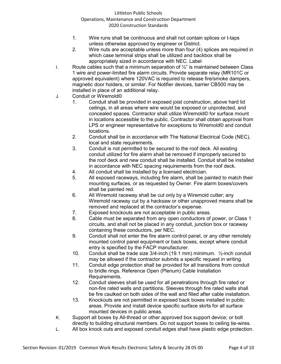- 1. Wire runs shall be continuous and shall not contain splices or t-taps unless otherwise approved by engineer or District.
- 2. Wire nuts are acceptable unless more than four (4) splices are required in which case terminal strips shall be utilized and backbox shall be appropriately sized in accordance with NEC. Label
- I. Route cables such that a minimum separation of  $\frac{1}{2}$ " is maintained between Class 1 wire and power-limited fire alarm circuits. Provide separate relay (MR101C or approved equivalent) where 120VAC is required to release fire/smoke dampers, magnetic door holders, or similar. For Notifier devices, barrier CB500 may be installed in place of an additional relay.
- J. Conduit or Wiremold©
	- 1. Conduit shall be provided in exposed joist construction, above hard lid ceilings, in all areas where wire would be exposed or unprotected, and concealed spaces. Contractor shall utilize Wiremold© for surface mount in locations accessible to the public. Contractor shall obtain approval from LPS or engineer representative for exceptions to Wiremold© and conduit locations.
	- 2. Conduit shall be in accordance with The National Electrical Code (NEC), local and state requirements.
	- 3. Conduit is not permitted to be secured to the roof deck. All existing conduit utilized for fire alarm shall be removed if improperly secured to the roof deck and new conduit shall be installed. Conduit shall be installed in accordance with NEC spacing requirements from the roof deck.
	- 4. All conduit shall be installed by a licensed electrician.
	- 5. All exposed raceways, including fire alarm, shall be painted to match their mounting surfaces, or as requested by Owner. Fire alarm boxes/covers shall be painted red.
	- 6. All Wiremold raceway shall be cut only by a Wiremold cutter; any Wiremold raceway cut by a hacksaw or other unapproved means shall be removed and replaced at the contractor's expense.
	- 7. Exposed knockouts are not acceptable in public areas.
	- 8. Cable must be separated from any open conductors of power, or Class 1 circuits, and shall not be placed in any conduit, junction box or raceway containing these conductors, per NEC.
	- 9. Conduit shall not enter the fire alarm control panel, or any other remotely mounted control panel equipment or back boxes, except where conduit entry is specified by the FACP manufacturer.
	- 10. Conduit shall be trade size 3/4-inch (19.1 mm) minimum. ½-inch conduit may be allowed if the contractor submits a specific request in writing.
	- 11. Conduit edge protection shall be provided for all transitions from conduit to bridle rings. Reference Open (Plenum) Cable Installation Requirements.
	- 12. Conduit sleeves shall be used for all penetrations through fire rated or non-fire rated walls and partitions. Sleeves through fire rated walls shall be fire caulked on both sides of the wall and filled after cable installation.
	- 13. Knockouts are not permitted in exposed back boxes installed in public areas. Provide and install device specific surface skirts for all surface mounted devices in public areas.
- K. Support all boxes by All-thread or other approved box support device; or bolt directly to building structural members. Do not support boxes to ceiling tie-wires.
- L. All box knock outs and exposed conduit edges shall have plastic edge protection.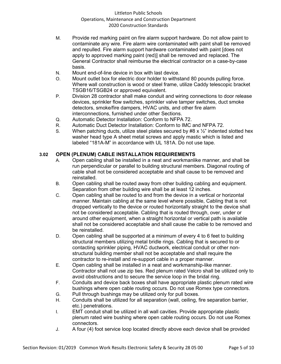- M. Provide red marking paint on fire alarm support hardware. Do not allow paint to contaminate any wire. Fire alarm wire contaminated with paint shall be removed and repulled. Fire alarm support hardware contaminated with paint [does not apply to approved marking paint (red)] shall be removed and replaced. The General Contractor shall reimburse the electrical contractor on a case-by-case basis.
- N. Mount end-of-line device in box with last device.
- O. Mount outlet box for electric door holder to withstand 80 pounds pulling force. Where wall construction is wood or steel frame, utilize Caddy telescopic bracket TSGB16/TSGB24 or approved equivalent.
- P. Division 28 contractor shall make conduit and wiring connections to door release devices, sprinkler flow switches, sprinkler valve tamper switches, duct smoke detectors, smoke/fire dampers, HVAC units, and other fire alarm interconnections, furnished under other Sections.
- Q. Automatic Detector Installation: Conform to NFPA 72.
- R. Automatic Duct Detector Installation: Conform to IMC and NFPA 72.
- S. When patching ducts, utilize steel plates secured by #8 x  $\frac{1}{2}$ " indented slotted hex washer head type A sheet metal screws and apply mastic which is listed and labeled "181A-M" in accordance with UL 181A. Do not use tape.

# **3.02 OPEN (PLENUM) CABLE INSTALLATION REQUIREMENTS**

- A. Open cabling shall be installed in a neat and workmanlike manner, and shall be run perpendicular or parallel to building structural members. Diagonal routing of cable shall not be considered acceptable and shall cause to be removed and reinstalled.
- B. Open cabling shall be routed away from other building cabling and equipment. Separation from other building wire shall be at least 12 inches.
- C. Open cabling shall be routed to and from the device in a vertical or horizontal manner. Maintain cabling at the same level where possible, Cabling that is not dropped vertically to the device or routed horizontally straight to the device shall not be considered acceptable. Cabling that is routed through, over, under or around other equipment, when a straight horizontal or vertical path is available shall not be considered acceptable and shall cause the cable to be removed and be reinstalled.
- D. Open cabling shall be supported at a minimum of every 4 to 6 feet to building structural members utilizing metal bridle rings. Cabling that is secured to or contacting sprinkler piping, HVAC ductwork, electrical conduit or other nonstructural building member shall not be acceptable and shall require the contractor to re-install and re-support cable in a proper manner.
- E. Open cabling shall be installed in a neat and workmanship-like manner. Contractor shall not use zip ties. Red plenum rated Velcro shall be utilized only to avoid obstructions and to secure the service loop in the bridal ring.
- F. Conduits and device back boxes shall have appropriate plastic plenum rated wire bushings where open cable routing occurs. Do not use Romex type connectors.
- G. Pull through bushings may be utilized only for pull boxes.
- H. Conduits shall be utilized for all separation (wall, ceiling, fire separation barrier, etc.) penetrations.
- I. EMT conduit shall be utilized in all wall cavities. Provide appropriate plastic plenum rated wire bushing where open cable routing occurs. Do not use Romex connectors.
- J. A four (4) foot service loop located directly above each device shall be provided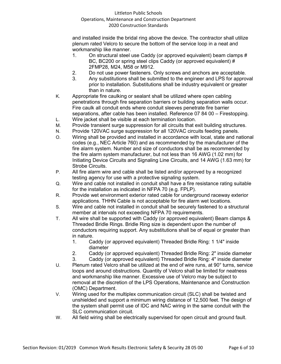and installed inside the bridal ring above the device. The contractor shall utilize plenum rated Velcro to secure the bottom of the service loop in a neat and workmanship like manner.

- 1. On structural steel use Caddy (or approved equivalent) beam clamps # BC, BC200 or spring steel clips Caddy (or approved equivalent) # 2FMP28, M24, M58 or M912.
- 2. Do not use power fasteners. Only screws and anchors are acceptable.
- 3. Any substitutions shall be submitted to the engineer and LPS for approval prior to installation. Substitutions shall be industry equivalent or greater than in nature.
- K. Appropriate fire caulking or sealant shall be utilized where open cabling penetrations through fire separation barriers or building separation walls occur. Fire caulk all conduit ends where conduit sleeves penetrate fire barrier separations, after cable has been installed. Reference 07 84 00 – Firestopping.
- L. Wire jacket shall be visible at each termination location.
- M. Provide transient surge suppression for all circuits that exit building structures.
- N. Provide 120VAC surge suppression for all 120VAC circuits feeding panels.
- O. Wiring shall be provided and installed in accordance with local, state and national codes (e.g., NEC Article 760) and as recommended by the manufacturer of the fire alarm system. Number and size of conductors shall be as recommended by the fire alarm system manufacturer, but not less than 16 AWG (1.02 mm) for Initiating Device Circuits and Signaling Line Circuits, and 14 AWG (1.63 mm) for Strobe Circuits.
- P. All fire alarm wire and cable shall be listed and/or approved by a recognized testing agency for use with a protective signaling system.
- Q. Wire and cable not installed in conduit shall have a fire resistance rating suitable for the installation as indicated in NFPA 70 (e.g. FPLP).
- R. Provide wet environment exterior rated cable for underground raceway exterior applications. THHN Cable is not acceptable for fire alarm wet locations.
- S. Wire and cable not installed in conduit shall be securely fastened to a structural member at intervals not exceeding NFPA 70 requirements.
- T. All wire shall be supported with Caddy (or approved equivalent) Beam clamps & Threaded Bridle Rings. Bridle Ring size is dependent upon the number of conductors requiring support. Any substitutions shall be of equal or greater than in nature.
	- 1. Caddy (or approved equivalent) Threaded Bridle Ring: 1 1/4" inside diameter
	- 2. Caddy (or approved equivalent) Threaded Bridle Ring: 2" inside diameter
	- 3. Caddy (or approved equivalent) Threaded Bridle Ring: 4" inside diameter
- U. Plenum rated Velcro shall be utilized at the end of wire runs, at 90° turns, service loops and around obstructions. Quantity of Velcro shall be limited for neatness and workmanship like manner. Excessive use of Velcro may be subject to removal at the discretion of the LPS Operations, Maintenance and Construction (OMC) Department.
- V. Wiring used for the multiplex communication circuit (SLC) shall be twisted and unshielded and support a minimum wiring distance of 12,500 feet. The design of the system shall permit use of IDC and NAC wiring in the same conduit with the SLC communication circuit.
- W. All field wiring shall be electrically supervised for open circuit and ground fault.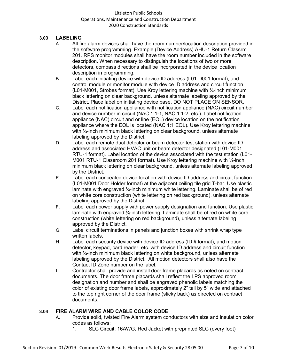## **3.03 LABELING**

- A. All fire alarm devices shall have the room number/location description provided in the software programming. Example (Device Address) AHU-1 Return Classrm 201. RPS monitor modules shall have the room number included in the software description. When necessary to distinguish the locations of two or more detectors, compass directions shall be incorporated in the device location description in programming.
- B. Label each initiating device with device ID address (L01-D001 format), and control module or monitor module with device ID address and circuit function (L01-M001, Strobes format). Use Kroy lettering machine with ¼-inch minimum black lettering on clear background, unless alternate labeling approved by the District. Place label on initiating device base. DO NOT PLACE ON SENSOR.
- C. Label each notification appliance with notification appliance (NAC) circuit number and device number in circuit (NAC 1:1-1, NAC 1:1-2, etc.). Label notification appliance (NAC) circuit and or line (EOL) device location on the notification appliance where the EOL is located (NAC 1:1 EOL). Use Kroy lettering machine with  $\frac{1}{4}$ -inch minimum black lettering on clear background, unless alternate labeling approved by the District.
- D. Label each remote duct detector or beam detector test station with device ID address and associated HVAC unit or beam detector designated (L01-M001 RTU-1 format). Label location of the device associated with the test station (L01- M001 RTU-1 Classroom 201 format). Use Kroy lettering machine with ¼-inch minimum black lettering on clear background, unless alternate labeling approved by the District.
- E. Label each concealed device location with device ID address and circuit function (L01-M001 Door Holder format) at the adjacent ceiling tile grid T-bar. Use plastic laminate with engraved ¼-inch minimum white lettering. Laminate shall be of red on white core construction (white lettering on red background), unless alternate labeling approved by the District.
- F. Label each power supply with power supply designation and function. Use plastic laminate with engraved  $\frac{1}{4}$ -inch lettering. Laminate shall be of red on white core construction (white lettering on red background), unless alternate labeling approved by the District.
- G. Label circuit terminations in panels and junction boxes with shrink wrap type written labels.
- H. Label each security device with device ID address (ID # format), and motion detector, keypad, card reader, etc. with device ID address and circuit function with  $\frac{1}{4}$ -inch minimum black lettering on white background, unless alternate labeling approved by the District. All motion detectors shall also have the Contact ID Zone number on the label.
- I. Contractor shall provide and install door frame placards as noted on contract documents. The door frame placards shall reflect the LPS approved room designation and number and shall be engraved phenolic labels matching the color of existing door frame labels, approximately 2" tall by 5" wide and attached to the top right corner of the door frame (sticky back) as directed on contract documents.

#### **3.04 FIRE ALARM WIRE AND CABLE COLOR CODE**

- A. Provide solid, twisted Fire Alarm system conductors with size and insulation color codes as follows:
	- 1. SLC Circuit: 16AWG, Red Jacket with preprinted SLC (every foot)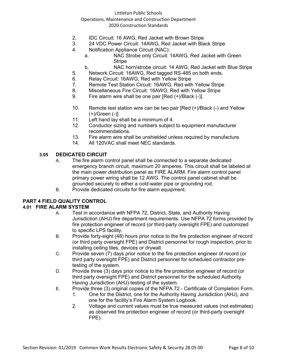#### Littleton Public Schools

#### Operations, Maintenance and Construction Department 2020 Construction Standards

- 2. IDC Circuit: 16 AWG, Red Jacket with Brown Stripe
- 3. 24 VDC Power Circuit: 14AWG, Red Jacket with Black Stripe
- 4. Notification Appliance Circuit (NAC):
	- a. NAC Strobe only Circuit: 14AWG, Red Jacket with Green **Stripe**
	- b. NAC horn/strobe circuit: 14 AWG, Red Jacket with Blue Stripe
- 5. Network Circuit: 16AWG, Red tagged RS-485 on both ends.
- 6. Relay Circuit: 16AWG, Red with Yellow Stripe<br>7. Remote Test Station Circuit: 16AWG, Red with
- 7. Remote Test Station Circuit: 16AWG, Red with Yellow Stripe
- 8. Miscellaneous Fire Circuit: 16AWG, Red with Yellow Stripe
- 9. Fire alarm wire shall be one pair [Red (+)/Black (-)].
- 10. Remote test station wire can be two pair [Red (+)/Black (-) and Yellow (+)/Green (-)]
- 11. Left hand lay shall be a minimum of 4.
- 12. Conductor sizing and numbers subject to equipment manufacturer recommendations.
- 13. Fire alarm wire shall be unshielded unless required by manufacture.
- 14. All 120VAC shall meet NEC standards.

#### **3.05 DEDICATED CIRCUIT**

- A. The fire alarm control panel shall be connected to a separate dedicated emergency branch circuit, maximum 20 amperes. This circuit shall be labeled at the main power distribution panel as FIRE ALARM. Fire alarm control panel primary power wiring shall be 12 AWG. The control panel cabinet shall be grounded securely to either a cold-water pipe or grounding rod.
- B. Provide dedicated circuits for fire alarm equipment.

## **PART 4 FIELD QUALITY CONTROL**

# **4.01 FIRE ALARM SYSTEM**

- A. Test in accordance with NFPA 72, District, State, and Authority Having Jurisdiction (AHJ) fire department requirements. Use NFPA 72 forms provided by fire protection engineer of record (or third-party oversight FPE) and customized to specific LPS facility.
- B. Provide forty-eight (48) hours prior notice to the fire protection engineer of record (or third party oversight FPE) and District personnel for rough inspection, prior to installing ceiling tiles, devices or drywall.
- C. Provide seven (7) days prior notice to the fire protection engineer of record (or third party oversight FPE) and District personnel for scheduled contractor pretesting of the system.
- D. Provide three (3) days prior notice to the fire protection engineer of record (or third party oversight FPE) and District personnel for the scheduled Authority Having Jurisdiction (AHJ) testing of the system.
- E. Provide three (3) original copies of the NFPA 72 Certificate of Completion Form.
	- 1. One for the District, one for the Authority Having Jurisdiction (AHJ), and one for the facility's Fire Alarm System Logbook.
	- 2. Voltage and current values must be true measured values (not estimates) as observed fire protection engineer of record (or third-party oversight FPE).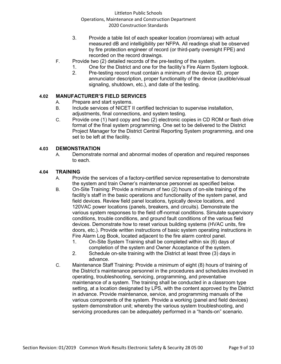- 3. Provide a table list of each speaker location (room/area) with actual measured dB and intelligibility per NFPA. All readings shall be observed by fire protection engineer of record (or third-party oversight FPE) and recorded on the record drawings.
- F. Provide two (2) detailed records of the pre-testing of the system.
	- 1. One for the District and one for the facility's Fire Alarm System logbook.
	- 2. Pre-testing record must contain a minimum of the device ID, proper annunciator description, proper functionality of the device (audible/visual signaling, shutdown, etc.), and date of the testing.

# **4.02 MANUFACTURER'S FIELD SERVICES**

- A. Prepare and start systems.
- B. Include services of NICET II certified technician to supervise installation, adjustments, final connections, and system testing.
- C. Provide one (1) hard copy and two (2) electronic copies in CD ROM or flash drive format of the final system programming. One set to be delivered to the District Project Manager for the District Central Reporting System programming, and one set to be left at the facility.

#### **4.03 DEMONSTRATION**

A. Demonstrate normal and abnormal modes of operation and required responses to each.

#### **4.04 TRAINING**

- A. Provide the services of a factory-certified service representative to demonstrate the system and train Owner's maintenance personnel as specified below.
- B. On-Site Training: Provide a minimum of two (2) hours of on-site training of the facility's staff in the basic operations and functionality of the system panel, and field devices. Review field panel locations, typically device locations, and 120VAC power locations (panels, breakers, and circuits). Demonstrate the various system responses to the field off-normal conditions. Simulate supervisory conditions, trouble conditions, and ground fault conditions of the various field devices. Demonstrate how to reset various building systems (HVAC units, fire doors, etc.). Provide written instructions of basic system operating instructions in Fire Alarm Log Book, located adjacent to the fire alarm control panel.
	- 1. On-Site System Training shall be completed within six (6) days of completion of the system and Owner Acceptance of the system.
	- 2. Schedule on-site training with the District at least three (3) days in advance.
- C. Maintenance Staff Training: Provide a minimum of eight (8) hours of training of the District's maintenance personnel in the procedures and schedules involved in operating, troubleshooting, servicing, programming, and preventative maintenance of a system. The training shall be conducted in a classroom type setting, at a location designated by LPS, with the content approved by the District in advance. Provide maintenance, service, and programming manuals of the various components of the system. Provide a working (panel and field devices) system demonstration unit; whereby the various system troubleshooting, and servicing procedures can be adequately performed in a "hands-on" scenario.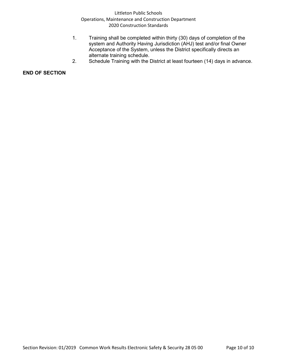- 1. Training shall be completed within thirty (30) days of completion of the system and Authority Having Jurisdiction (AHJ) test and/or final Owner Acceptance of the System, unless the District specifically directs an alternate training schedule.
- 2. Schedule Training with the District at least fourteen (14) days in advance.

#### **END OF SECTION**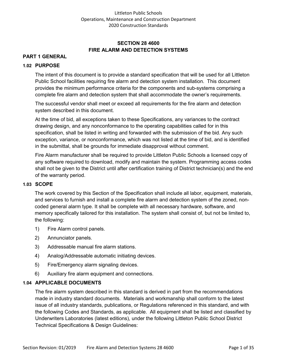# **SECTION 28 4600 FIRE ALARM AND DETECTION SYSTEMS**

# **PART 1 GENERAL**

#### **1.02 PURPOSE**

The intent of this document is to provide a standard specification that will be used for all Littleton Public School facilities requiring fire alarm and detection system installation. This document provides the minimum performance criteria for the components and sub-systems comprising a complete fire alarm and detection system that shall accommodate the owner's requirements.

The successful vendor shall meet or exceed all requirements for the fire alarm and detection system described in this document.

At the time of bid, all exceptions taken to these Specifications, any variances to the contract drawing design, and any nonconformance to the operating capabilities called for in this specification, shall be listed in writing and forwarded with the submission of the bid. Any such exception, variance, or nonconformance, which was not listed at the time of bid, and is identified in the submittal, shall be grounds for immediate disapproval without comment.

Fire Alarm manufacturer shall be required to provide Littleton Public Schools a licensed copy of any software required to download, modify and maintain the system. Programming access codes shall not be given to the District until after certification training of District technician(s) and the end of the warranty period.

#### **1.03 SCOPE**

The work covered by this Section of the Specification shall include all labor, equipment, materials, and services to furnish and install a complete fire alarm and detection system of the zoned, noncoded general alarm type. It shall be complete with all necessary hardware, software, and memory specifically tailored for this installation. The system shall consist of, but not be limited to, the following:

- 1) Fire Alarm control panels.
- 2) Annunciator panels.
- 3) Addressable manual fire alarm stations.
- 4) Analog/Addressable automatic initiating devices.
- 5) Fire/Emergency alarm signaling devices.
- 6) Auxiliary fire alarm equipment and connections.

#### **1.04 APPLICABLE DOCUMENTS**

The fire alarm system described in this standard is derived in part from the recommendations made in industry standard documents. Materials and workmanship shall conform to the latest issue of all industry standards, publications, or Regulations referenced in this standard, and with the following Codes and Standards, as applicable. All equipment shall be listed and classified by Underwriters Laboratories (latest editions), under the following Littleton Public School District Technical Specifications & Design Guidelines: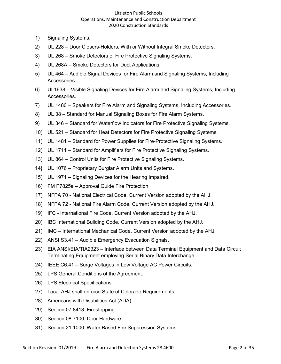- 1) Signaling Systems.
- 2) UL 228 Door Closers-Holders, With or Without Integral Smoke Detectors.
- 3) UL 268 Smoke Detectors of Fire Protective Signaling Systems.
- 4) UL 268A Smoke Detectors for Duct Applications.
- 5) UL 464 Audible Signal Devices for Fire Alarm and Signaling Systems, Including Accessories.
- 6) UL1638 Visible Signaling Devices for Fire Alarm and Signaling Systems, Including Accessories.
- 7) UL 1480 Speakers for Fire Alarm and Signaling Systems, Including Accessories.
- 8) UL 38 Standard for Manual Signaling Boxes for Fire Alarm Systems.
- 9) UL 346 Standard for Waterflow Indicators for Fire Protective Signaling Systems.
- 10) UL 521 Standard for Heat Detectors for Fire Protective Signaling Systems.
- 11) UL 1481 Standard for Power Supplies for Fire-Protective Signaling Systems.
- 12) UL 1711 Standard for Amplifiers for Fire Protective Signaling Systems.
- 13) UL 864 Control Units for Fire Protective Signaling Systems.
- **14)** UL 1076 Proprietary Burglar Alarm Units and Systems.
- 15) UL 1971 Signaling Devices for the Hearing Impaired.
- 16) FM P7825a Approval Guide Fire Protection.
- 17) NFPA 70 National Electrical Code. Current Version adopted by the AHJ.
- 18) NFPA 72 National Fire Alarm Code. Current Version adopted by the AHJ.
- 19) IFC International Fire Code. Current Version adopted by the AHJ.
- 20) IBC International Building Code. Current Version adopted by the AHJ.
- 21) IMC International Mechanical Code. Current Version adopted by the AHJ.
- 22) ANSI S3.41 Audible Emergency Evacuation Signals.
- 23) EIA ANSI/EIA/TIA2323 Interface between Data Terminal Equipment and Data Circuit Terminating Equipment employing Serial Binary Data Interchange.
- 24) IEEE C6.41 Surge Voltages in Low Voltage AC Power Circuits.
- 25) LPS General Conditions of the Agreement.
- 26) LPS Electrical Specifications.
- 27) Local AHJ shall enforce State of Colorado Requirements.
- 28) Americans with Disabilities Act (ADA).
- 29) Section 07 8413: Firestopping.
- 30) Section 08 7100: Door Hardware.
- 31) Section 21 1000: Water Based Fire Suppression Systems.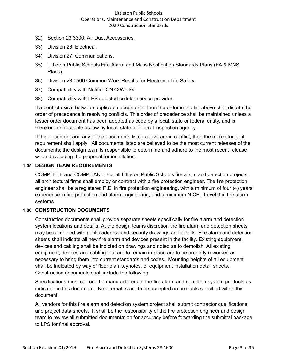- 32) Section 23 3300: Air Duct Accessories.
- 33) Division 26: Electrical.
- 34) Division 27: Communications.
- 35) Littleton Public Schools Fire Alarm and Mass Notification Standards Plans (FA & MNS Plans).
- 36) Division 28 0500 Common Work Results for Electronic Life Safety.
- 37) Compatibility with Notifier ONYXWorks.
- 38) Compatibility with LPS selected cellular service provider.

If a conflict exists between applicable documents, then the order in the list above shall dictate the order of precedence in resolving conflicts. This order of precedence shall be maintained unless a lesser order document has been adopted as code by a local, state or federal entity, and is therefore enforceable as law by local, state or federal inspection agency.

If this document and any of the documents listed above are in conflict, then the more stringent requirement shall apply. All documents listed are believed to be the most current releases of the documents; the design team is responsible to determine and adhere to the most recent release when developing the proposal for installation.

#### **1.05 DESIGN TEAM REQUIREMENTS**

COMPLETE and COMPLIANT: For all Littleton Public Schools fire alarm and detection projects, all architectural firms shall employ or contract with a fire protection engineer. The fire protection engineer shall be a registered P.E. in fire protection engineering, with a minimum of four (4) years' experience in fire protection and alarm engineering, and a minimum NICET Level 3 in fire alarm systems.

## **1.06 CONSTRUCTION DOCUMENTS**

Construction documents shall provide separate sheets specifically for fire alarm and detection system locations and details. At the design teams discretion the fire alarm and detection sheets may be combined with public address and security drawings and details. Fire alarm and detection sheets shall indicate all new fire alarm and devices present in the facility. Existing equipment, devices and cabling shall be indicted on drawings and noted as to demolish. All existing equipment, devices and cabling that are to remain in place are to be properly reworked as necessary to bring them into current standards and codes. Mounting heights of all equipment shall be indicated by way of floor plan keynotes, or equipment installation detail sheets. Construction documents shall include the following:

Specifications must call out the manufacturers of the fire alarm and detection system products as indicated in this document. No alternates are to be accepted on products specified within this document.

All vendors for this fire alarm and detection system project shall submit contractor qualifications and project data sheets. It shall be the responsibility of the fire protection engineer and design team to review all submitted documentation for accuracy before forwarding the submittal package to LPS for final approval.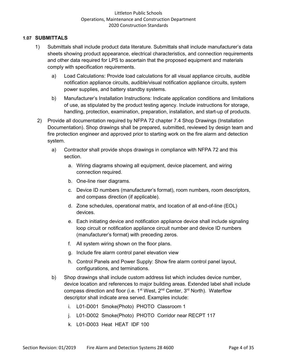#### **1.07 SUBMITTALS**

- 1) Submittals shall include product data literature. Submittals shall include manufacturer's data sheets showing product appearance, electrical characteristics, and connection requirements and other data required for LPS to ascertain that the proposed equipment and materials comply with specification requirements.
	- a) Load Calculations: Provide load calculations for all visual appliance circuits, audible notification appliance circuits, audible/visual notification appliance circuits, system power supplies, and battery standby systems.
	- b) Manufacturer's Installation Instructions: Indicate application conditions and limitations of use, as stipulated by the product testing agency. Include instructions for storage, handling, protection, examination, preparation, installation, and start-up of products.
- 2) Provide all documentation required by NFPA 72 chapter 7.4 Shop Drawings (Installation Documentation). Shop drawings shall be prepared, submitted, reviewed by design team and fire protection engineer and approved prior to starting work on the fire alarm and detection system.
	- a) Contractor shall provide shops drawings in compliance with NFPA 72 and this section.
		- a. Wiring diagrams showing all equipment, device placement, and wiring connection required.
		- b. One-line riser diagrams.
		- c. Device ID numbers (manufacturer's format), room numbers, room descriptors, and compass direction (if applicable).
		- d. Zone schedules, operational matrix, and location of all end-of-line (EOL) devices.
		- e. Each initiating device and notification appliance device shall include signaling loop circuit or notification appliance circuit number and device ID numbers (manufacturer's format) with preceding zeros.
		- f. All system wiring shown on the floor plans.
		- g. Include fire alarm control panel elevation view
		- h. Control Panels and Power Supply: Show fire alarm control panel layout, configurations, and terminations.
	- b) Shop drawings shall include custom address list which includes device number, device location and references to major building areas. Extended label shall include compass direction and floor (i.e.  $1^{st}$  West,  $2^{nd}$  Center,  $3^{rd}$  North). Waterflow descriptor shall indicate area served. Examples include:
		- i. L01-D001 Smoke(Photo) PHOTO Classroom 1
		- j. L01-D002 Smoke(Photo) PHOTO Corridor near RECPT 117
		- k. L01-D003 Heat HEAT IDF 100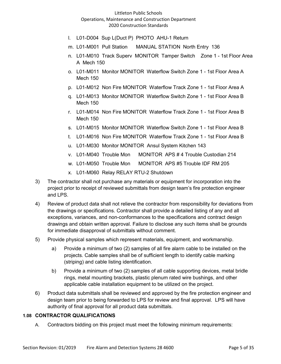- l. L01-D004 Sup L(Duct P) PHOTO AHU-1 Return
- m. L01-M001 Pull Station MANUAL STATION North Entry 136
- n. L01-M010 Track Superv MONITOR Tamper Switch Zone 1 1st Floor Area A Mech 150
- o. L01-M011 Monitor MONITOR Waterflow Switch Zone 1 1st Floor Area A Mech 150
- p. L01-M012 Non Fire MONITOR Waterflow Track Zone 1 1st Floor Area A
- q. L01-M013 Monitor MONITOR Waterflow Switch Zone 1 1st Floor Area B Mech 150
- r. L01-M014 Non Fire MONITOR Waterflow Track Zone 1 1st Floor Area B Mech 150
- s. L01-M015 Monitor MONITOR Waterflow Switch Zone 1 1st Floor Area B
- t. L01-M016 Non Fire MONITOR Waterflow Track Zone 1 1st Floor Area B
- u. L01-M030 Monitor MONITOR Ansul System Kitchen 143
- v. L01-M040 Trouble Mon MONITOR APS # 4 Trouble Custodian 214
- w. L01-M050 Trouble Mon MONITOR APS #5 Trouble IDF RM 205
- x. L01-M060 Relay RELAY RTU-2 Shutdown
- 3) The contractor shall not purchase any materials or equipment for incorporation into the project prior to receipt of reviewed submittals from design team's fire protection engineer and LPS.
- 4) Review of product data shall not relieve the contractor from responsibility for deviations from the drawings or specifications. Contractor shall provide a detailed listing of any and all exceptions, variances, and non-conformances to the specifications and contract design drawings and obtain written approval. Failure to disclose any such items shall be grounds for immediate disapproval of submittals without comment.
- 5) Provide physical samples which represent materials, equipment, and workmanship.
	- a) Provide a minimum of two (2) samples of all fire alarm cable to be installed on the projects. Cable samples shall be of sufficient length to identify cable marking (striping) and cable listing identification.
	- b) Provide a minimum of two (2) samples of all cable supporting devices, metal bridle rings, metal mounting brackets, plastic plenum rated wire bushings, and other applicable cable installation equipment to be utilized on the project.
- 6) Product data submittals shall be reviewed and approved by the fire protection engineer and design team prior to being forwarded to LPS for review and final approval. LPS will have authority of final approval for all product data submittals.

#### **1.08 CONTRACTOR QUALIFICATIONS**

A. Contractors bidding on this project must meet the following minimum requirements: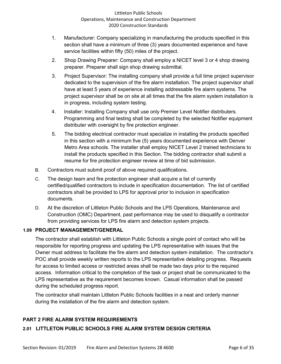- 1. Manufacturer: Company specializing in manufacturing the products specified in this section shall have a minimum of three (3) years documented experience and have service facilities within fifty (50) miles of the project.
- 2. Shop Drawing Preparer: Company shall employ a NICET level 3 or 4 shop drawing preparer. Preparer shall sign shop drawing submittal.
- 3. Project Supervisor: The installing company shall provide a full time project supervisor dedicated to the supervision of the fire alarm installation. The project supervisor shall have at least 5 years of experience installing addressable fire alarm systems. The project supervisor shall be on site at all times that the fire alarm system installation is in progress, including system testing.
- 4. Installer: Installing Company shall use only Premier Level Notifier distributers. Programming and final testing shall be completed by the selected Notifier equipment distributer with oversight by fire protection engineer.
- 5. The bidding electrical contractor must specialize in installing the products specified in this section with a minimum five (5) years documented experience with Denver Metro Area schools. The installer shall employ NICET Level 2 trained technicians to install the products specified in this Section. The bidding contractor shall submit a resume for fire protection engineer review at time of bid submission.
- B. Contractors must submit proof of above required qualifications.
- C. The design team and fire protection engineer shall acquire a list of currently certified/qualified contractors to include in specification documentation. The list of certified contractors shall be provided to LPS for approval prior to inclusion in specification documents.
- D. At the discretion of Littleton Public Schools and the LPS Operations, Maintenance and Construction (OMC) Department, past performance may be used to disqualify a contractor from providing services for LPS fire alarm and detection system projects.

# **1.09 PROJECT MANAGEMENT/GENERAL**

The contractor shall establish with Littleton Public Schools a single point of contact who will be responsible for reporting progress and updating the LPS representative with issues that the Owner must address to facilitate the fire alarm and detection system installation. The contractor's POC shall provide weekly written reports to the LPS representative detailing progress. Requests for access to limited access or restricted areas shall be made two days prior to the required access. Information critical to the completion of the task or project shall be communicated to the LPS representative as the requirement becomes known. Casual information shall be passed during the scheduled progress report.

The contractor shall maintain Littleton Public Schools facilities in a neat and orderly manner during the installation of the fire alarm and detection system.

# **PART 2 FIRE ALARM SYSTEM REQUIREMENTS**

## **2.01 LITTLETON PUBLIC SCHOOLS FIRE ALARM SYSTEM DESIGN CRITERIA**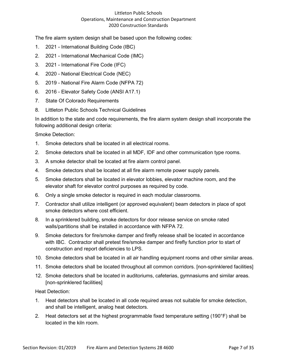The fire alarm system design shall be based upon the following codes:

- 1. 2021 International Building Code (IBC)
- 2. 2021 International Mechanical Code (IMC)
- 3. 2021 International Fire Code (IFC)
- 4. 2020 National Electrical Code (NEC)
- 5. 2019 National Fire Alarm Code (NFPA 72)
- 6. 2016 Elevator Safety Code (ANSI A17.1)
- 7. State Of Colorado Requirements
- 8. Littleton Public Schools Technical Guidelines

In addition to the state and code requirements, the fire alarm system design shall incorporate the following additional design criteria:

Smoke Detection:

- 1. Smoke detectors shall be located in all electrical rooms.
- 2. Smoke detectors shall be located in all MDF, IDF and other communication type rooms.
- 3. A smoke detector shall be located at fire alarm control panel.
- 4. Smoke detectors shall be located at all fire alarm remote power supply panels.
- 5. Smoke detectors shall be located in elevator lobbies, elevator machine room, and the elevator shaft for elevator control purposes as required by code.
- 6. Only a single smoke detector is required in each modular classrooms.
- 7. Contractor shall utilize intelligent (or approved equivalent) beam detectors in place of spot smoke detectors where cost efficient.
- 8. In a sprinklered building, smoke detectors for door release service on smoke rated walls/partitions shall be installed in accordance with NFPA 72.
- 9. Smoke detectors for fire/smoke damper and firefly release shall be located in accordance with IBC. Contractor shall pretest fire/smoke damper and firefly function prior to start of construction and report deficiencies to LPS.
- 10. Smoke detectors shall be located in all air handling equipment rooms and other similar areas.
- 11. Smoke detectors shall be located throughout all common corridors. [non-sprinklered facilities]
- 12. Smoke detectors shall be located in auditoriums, cafeterias, gymnasiums and similar areas. [non-sprinklered facilities]

Heat Detection:

- 1. Heat detectors shall be located in all code required areas not suitable for smoke detection, and shall be intelligent, analog heat detectors.
- 2. Heat detectors set at the highest programmable fixed temperature setting (190°F) shall be located in the kiln room.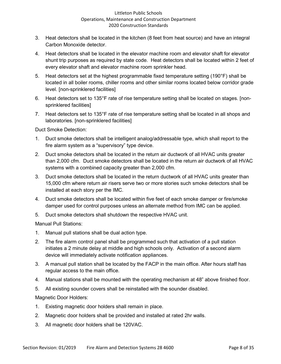- 3. Heat detectors shall be located in the kitchen (8 feet from heat source) and have an integral Carbon Monoxide detector.
- 4. Heat detectors shall be located in the elevator machine room and elevator shaft for elevator shunt trip purposes as required by state code. Heat detectors shall be located within 2 feet of every elevator shaft and elevator machine room sprinkler head.
- 5. Heat detectors set at the highest programmable fixed temperature setting (190°F) shall be located in all boiler rooms, chiller rooms and other similar rooms located below corridor grade level. [non-sprinklered facilities]
- 6. Heat detectors set to 135°F rate of rise temperature setting shall be located on stages. [nonsprinklered facilities]
- 7. Heat detectors set to 135°F rate of rise temperature setting shall be located in all shops and laboratories. [non-sprinklered facilities]

Duct Smoke Detection:

- 1. Duct smoke detectors shall be intelligent analog/addressable type, which shall report to the fire alarm system as a "supervisory" type device.
- 2. Duct smoke detectors shall be located in the return air ductwork of all HVAC units greater than 2,000 cfm. Duct smoke detectors shall be located in the return air ductwork of all HVAC systems with a combined capacity greater than 2,000 cfm.
- 3. Duct smoke detectors shall be located in the return ductwork of all HVAC units greater than 15,000 cfm where return air risers serve two or more stories such smoke detectors shall be installed at each story per the IMC.
- 4. Duct smoke detectors shall be located within five feet of each smoke damper or fire/smoke damper used for control purposes unless an alternate method from IMC can be applied.
- 5. Duct smoke detectors shall shutdown the respective HVAC unit.

Manual Pull Stations:

- 1. Manual pull stations shall be dual action type.
- 2. The fire alarm control panel shall be programmed such that activation of a pull station initiates a 2 minute delay at middle and high schools only. Activation of a second alarm device will immediately activate notification appliances.
- 3. A manual pull station shall be located by the FACP in the main office. After hours staff has regular access to the main office.
- 4. Manual stations shall be mounted with the operating mechanism at 48" above finished floor.
- 5. All existing sounder covers shall be reinstalled with the sounder disabled.

Magnetic Door Holders:

- 1. Existing magnetic door holders shall remain in place.
- 2. Magnetic door holders shall be provided and installed at rated 2hr walls.
- 3. All magnetic door holders shall be 120VAC.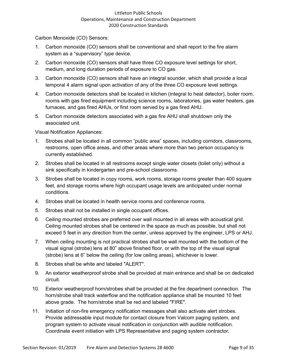Carbon Monoxide (CO) Sensors:

- 1. Carbon monoxide (CO) sensors shall be conventional and shall report to the fire alarm system as a "supervisory" type device.
- 2. Carbon monoxide (CO) sensors shall have three CO exposure level settings for short, medium, and long duration periods of exposure to CO gas.
- 3. Carbon monoxide (CO) sensors shall have an integral sounder, which shall provide a local temporal 4 alarm signal upon activation of any of the three CO exposure level settings.
- 4. Carbon monoxide detectors shall be located in kitchen (integral to heat detector), boiler room, rooms with gas fired equipment including science rooms, laboratories, gas water heaters, gas furnaces, and gas fired AHUs, or first room served by a gas fired AHU.
- 5. Carbon monoxide detectors associated with a gas fire AHU shall shutdown only the associated unit.

Visual Notification Appliances:

- 1. Strobes shall be located in all common "public area" spaces, including corridors, classrooms, restrooms, open office areas, and other areas where more than two person occupancy is currently established.
- 2. Strobes shall be located in all restrooms except single water closets (toilet only) without a sink specifically in kindergarten and pre-school classrooms.
- 3. Strobes shall be located in copy rooms, work rooms, storage rooms greater than 400 square feet, and storage rooms where high occupant usage levels are anticipated under normal conditions.
- 4. Strobes shall be located in health service rooms and conference rooms.
- 5. Strobes shall not be installed in single occupant offices.
- 6. Ceiling mounted strobes are preferred over wall mounted in all areas with acoustical grid. Ceiling mounted strobes shall be centered in the space as much as possible, but shall not exceed 5 feet in any direction from the center, unless approved by the engineer, LPS or AHJ.
- 7. When ceiling mounting is not practical strobes shall be wall mounted with the bottom of the visual signal (strobe) lens at 80" above finished floor, or with the top of the visual signal (strobe) lens at 6" below the ceiling (for low ceiling areas), whichever is lower.
- 8. Strobes shall be white and labeled "ALERT".
- 9. An exterior weatherproof strobe shall be provided at main entrance and shall be on dedicated circuit.
- 10. Exterior weatherproof horn/strobes shall be provided at the fire department connection. The horn/strobe shall track waterflow and the notification appliance shall be mounted 10 feet above grade. The horn/strobe shall be red and labeled "FIRE".
- 11. Initiation of non-fire emergency notification messages shall also activate alert strobes. Provide addressable input module for contact closure from Valcom paging system, and program system to activate visual notification in conjunction with audible notification. Coordinate event initiation with LPS Representative and paging system contractor.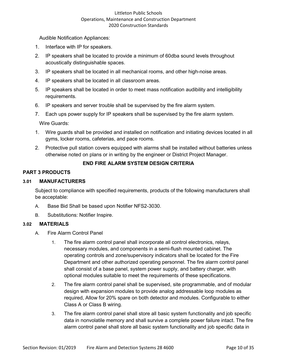Audible Notification Appliances:

- 1. Interface with IP for speakers.
- 2. IP speakers shall be located to provide a minimum of 60dba sound levels throughout acoustically distinguishable spaces.
- 3. IP speakers shall be located in all mechanical rooms, and other high-noise areas.
- 4. IP speakers shall be located in all classroom areas.
- 5. IP speakers shall be located in order to meet mass notification audibility and intelligibility requirements.
- 6. IP speakers and server trouble shall be supervised by the fire alarm system.
- 7. Each ups power supply for IP speakers shall be supervised by the fire alarm system.

Wire Guards:

- 1. Wire guards shall be provided and installed on notification and initiating devices located in all gyms, locker rooms, cafeterias, and pace rooms.
- 2. Protective pull station covers equipped with alarms shall be installed without batteries unless otherwise noted on plans or in writing by the engineer or District Project Manager.

#### **END FIRE ALARM SYSTEM DESIGN CRITERIA**

#### **PART 3 PRODUCTS**

#### **3.01 MANUFACTURERS**

Subject to compliance with specified requirements, products of the following manufacturers shall be acceptable:

- A. Base Bid Shall be based upon Notifier NFS2-3030.
- B. Substitutions: Notifier Inspire.

#### **3.02 MATERIALS**

- A. Fire Alarm Control Panel
	- 1. The fire alarm control panel shall incorporate all control electronics, relays, necessary modules, and components in a semi-flush mounted cabinet. The operating controls and zone/supervisory indicators shall be located for the Fire Department and other authorized operating personnel. The fire alarm control panel shall consist of a base panel, system power supply, and battery charger, with optional modules suitable to meet the requirements of these specifications.
	- 2. The fire alarm control panel shall be supervised, site programmable, and of modular design with expansion modules to provide analog addressable loop modules as required, Allow for 20% spare on both detector and modules. Configurable to either Class A or Class B wiring.
	- 3. The fire alarm control panel shall store all basic system functionality and job specific data in nonvolatile memory and shall survive a complete power failure intact. The fire alarm control panel shall store all basic system functionality and job specific data in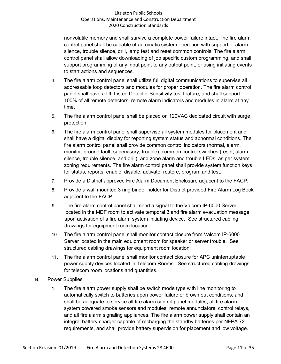nonvolatile memory and shall survive a complete power failure intact. The fire alarm control panel shall be capable of automatic system operation with support of alarm silence, trouble silence, drill, lamp test and reset common controls. The fire alarm control panel shall allow downloading of job specific custom programming, and shall support programming of any input point to any output point, or using initiating events to start actions and sequences.

- 4. The fire alarm control panel shall utilize full digital communications to supervise all addressable loop detectors and modules for proper operation. The fire alarm control panel shall have a UL Listed Detector Sensitivity test feature, and shall support 100% of all remote detectors, remote alarm indicators and modules in alarm at any time.
- 5. The fire alarm control panel shall be placed on 120VAC dedicated circuit with surge protection.
- 6. The fire alarm control panel shall supervise all system modules for placement and shall have a digital display for reporting system status and abnormal conditions. The fire alarm control panel shall provide common control indicators (normal, alarm, monitor, ground fault, supervisory, trouble), common control switches (reset, alarm silence, trouble silence, and drill), and zone alarm and trouble LEDs, as per system zoning requirements. The fire alarm control panel shall provide system function keys for status, reports, enable, disable, activate, restore, program and test.
- 7. Provide a District approved Fire Alarm Document Enclosure adjacent to the FACP.
- 8. Provide a wall mounted 3 ring binder holder for District provided Fire Alarm Log Book adjacent to the FACP.
- 9. The fire alarm control panel shall send a signal to the Valcom IP-6000 Server located in the MDF room to activate temporal 3 and fire alarm evacuation message upon activation of a fire alarm system initiating device. See structured cabling drawings for equipment room location.
- 10. The fire alarm control panel shall monitor contact closure from Valcom IP-6000 Server located in the main equipment room for speaker or server trouble. See structured cabling drawings for equipment room location.
- 11. The fire alarm control panel shall monitor contact closure for APC uninterruptable power supply devices located in Telecom Rooms. See structured cabling drawings for telecom room locations and quantities.
- B. Power Supplies
	- 1. The fire alarm power supply shall be switch mode type with line monitoring to automatically switch to batteries upon power failure or brown out conditions, and shall be adequate to service all fire alarm control panel modules, all fire alarm system powered smoke sensors and modules, remote annunciators, control relays, and all fire alarm signaling appliances. The fire alarm power supply shall contain an integral battery charger capable of recharging the standby batteries per NFPA 72 requirements, and shall provide battery supervision for placement and low voltage.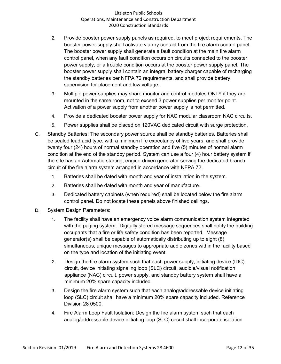- 2. Provide booster power supply panels as required, to meet project requirements. The booster power supply shall activate via dry contact from the fire alarm control panel. The booster power supply shall generate a fault condition at the main fire alarm control panel, when any fault condition occurs on circuits connected to the booster power supply, or a trouble condition occurs at the booster power supply panel. The booster power supply shall contain an integral battery charger capable of recharging the standby batteries per NFPA 72 requirements, and shall provide battery supervision for placement and low voltage.
- 3. Multiple power supplies may share monitor and control modules ONLY if they are mounted in the same room, not to exceed 3 power supplies per monitor point. Activation of a power supply from another power supply is not permitted.
- 4. Provide a dedicated booster power supply for NAC modular classroom NAC circuits.
- 5. Power supplies shall be placed on 120VAC dedicated circuit with surge protection.
- C. Standby Batteries: The secondary power source shall be standby batteries. Batteries shall be sealed lead acid type, with a minimum life expectancy of five years, and shall provide twenty four (24) hours of normal standby operation and five (5) minutes of normal alarm condition at the end of the standby period. System can use a four (4) hour battery system if the site has an Automatic-starting, engine-driven generator serving the dedicated branch circuit of the fire alarm system arranged in accordance with NFPA 72.
	- 1. Batteries shall be dated with month and year of installation in the system.
	- 2. Batteries shall be dated with month and year of manufacture.
	- 3. Dedicated battery cabinets (when required) shall be located below the fire alarm control panel. Do not locate these panels above finished ceilings.
- D. System Design Parameters:
	- 1. The facility shall have an emergency voice alarm communication system integrated with the paging system. Digitally stored message sequences shall notify the building occupants that a fire or life safety condition has been reported. Message generator(s) shall be capable of automatically distributing up to eight (8) simultaneous, unique messages to appropriate audio zones within the facility based on the type and location of the initiating event.
	- 2. Design the fire alarm system such that each power supply, initiating device (IDC) circuit, device initiating signaling loop (SLC) circuit, audible/visual notification appliance (NAC) circuit, power supply, and standby battery system shall have a minimum 20% spare capacity included.
	- 3. Design the fire alarm system such that each analog/addressable device initiating loop (SLC) circuit shall have a minimum 20% spare capacity included. Reference Division 28 0500.
	- 4. Fire Alarm Loop Fault Isolation: Design the fire alarm system such that each analog/addressable device initiating loop (SLC) circuit shall incorporate isolation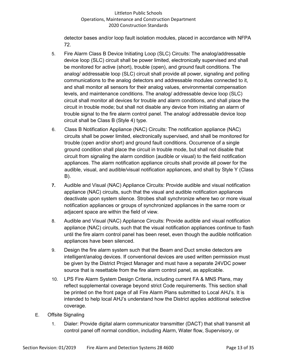detector bases and/or loop fault isolation modules, placed in accordance with NFPA 72.

- 5. Fire Alarm Class B Device Initiating Loop (SLC) Circuits: The analog/addressable device loop (SLC) circuit shall be power limited, electronically supervised and shall be monitored for active (short), trouble (open), and ground fault conditions. The analog/ addressable loop (SLC) circuit shall provide all power, signaling and polling communications to the analog detectors and addressable modules connected to it, and shall monitor all sensors for their analog values, environmental compensation levels, and maintenance conditions. The analog/ addressable device loop (SLC) circuit shall monitor all devices for trouble and alarm conditions, and shall place the circuit in trouble mode; but shall not disable any device from initiating an alarm of trouble signal to the fire alarm control panel. The analog/ addressable device loop circuit shall be Class B (Style 4) type.
- 6. Class B Notification Appliance (NAC) Circuits: The notification appliance (NAC) circuits shall be power limited, electronically supervised, and shall be monitored for trouble (open and/or short) and ground fault conditions. Occurrence of a single ground condition shall place the circuit in trouble mode, but shall not disable that circuit from signaling the alarm condition (audible or visual) to the field notification appliances. The alarm notification appliance circuits shall provide all power for the audible, visual, and audible/visual notification appliances, and shall by Style Y (Class B).
- **7.** Audible and Visual (NAC) Appliance Circuits: Provide audible and visual notification appliance (NAC) circuits, such that the visual and audible notification appliances deactivate upon system silence. Strobes shall synchronize where two or more visual notification appliances or groups of synchronized appliances in the same room or adjacent space are within the field of view.
- 8. Audible and Visual (NAC) Appliance Circuits: Provide audible and visual notification appliance (NAC) circuits, such that the visual notification appliances continue to flash until the fire alarm control panel has been reset, even though the audible notification appliances have been silenced.
- 9. Design the fire alarm system such that the Beam and Duct smoke detectors are intelligent/analog devices. If conventional devices are used written permission must be given by the District Project Manager and must have a separate 24VDC power source that is resettable from the fire alarm control panel, as applicable.
- 10. LPS Fire Alarm System Design Criteria, including current FA & MNS Plans, may reflect supplemental coverage beyond strict Code requirements. This section shall be printed on the front page of all Fire Alarm Plans submitted to Local AHJ's. It is intended to help local AHJ's understand how the District applies additional selective coverage.
- E. Offsite Signaling
	- 1. Dialer: Provide digital alarm communicator transmitter (DACT) that shall transmit all control panel off normal condition, including Alarm, Water flow, Supervisory, or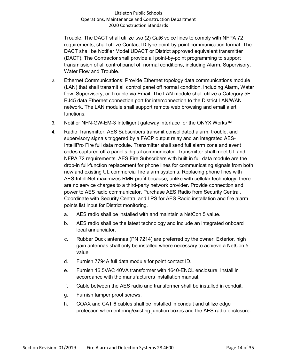Trouble. The DACT shall utilize two (2) Cat6 voice lines to comply with NFPA 72 requirements, shall utilize Contact ID type point-by-point communication format. The DACT shall be Notifier Model UDACT or District approved equivalent transmitter (DACT). The Contractor shall provide all point-by-point programming to support transmission of all control panel off normal conditions, including Alarm, Supervisory, Water Flow and Trouble.

- 2. Ethernet Communications: Provide Ethernet topology data communications module (LAN) that shall transmit all control panel off normal condition, including Alarm, Water flow, Supervisory, or Trouble via Email. The LAN module shall utilize a Category 5E RJ45 data Ethernet connection port for interconnection to the District LAN/WAN network. The LAN module shall support remote web browsing and email alert functions.
- 3. Notifier NFN-GW-EM-3 Intelligent gateway interface for the ONYX Works™
- **4.** Radio Transmitter: AES Subscribers transmit consolidated alarm, trouble, and supervisory signals triggered by a FACP output relay and an integrated AES-IntelliPro Fire full data module. Transmitter shall send full alarm zone and event codes captured off a panel's digital communicator. Transmitter shall meet UL and NFPA 72 requirements. AES Fire Subscribers with built in full data module are the drop-in full-function replacement for phone lines for communicating signals from both new and existing UL commercial fire alarm systems. Replacing phone lines with AES-IntelliNet maximizes RMR profit because, unlike with cellular technology, there are no service charges to a third-party network provider. Provide connection and power to AES radio communicator. Purchase AES Radio from Security Central. Coordinate with Security Central and LPS for AES Radio installation and fire alarm points list input for District monitoring.
	- a. AES radio shall be installed with and maintain a NetCon 5 value.
	- b. AES radio shall be the latest technology and include an integrated onboard local annunciator.
	- c. Rubber Duck antennas (PN 7214) are preferred by the owner. Exterior, high gain antennas shall only be installed where necessary to achieve a NetCon 5 value.
	- d. Furnish 7794A full data module for point contact ID.
	- e. Furnish 16.5VAC 40VA transformer with 1640-ENCL enclosure. Install in accordance with the manufacturers installation manual.
	- f. Cable between the AES radio and transformer shall be installed in conduit.
	- g. Furnish tamper proof screws.
	- h. COAX and CAT 6 cables shall be installed in conduit and utilize edge protection when entering/existing junction boxes and the AES radio enclosure.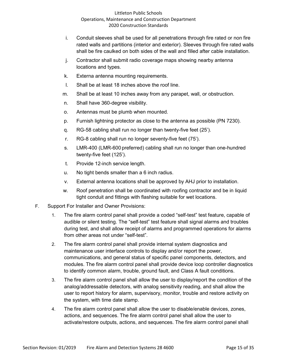- i. Conduit sleeves shall be used for all penetrations through fire rated or non fire rated walls and partitions (interior and exterior). Sleeves through fire rated walls shall be fire caulked on both sides of the wall and filled after cable installation.
- j. Contractor shall submit radio coverage maps showing nearby antenna locations and types.
- k. Externa antenna mounting requirements.
- l. Shall be at least 18 inches above the roof line.
- m. Shall be at least 10 inches away from any parapet, wall, or obstruction.
- n. Shall have 360-degree visibility.
- o. Antennas must be plumb when mounted.
- p. Furnish lightning protector as close to the antenna as possible (PN 7230).
- q. RG-58 cabling shall run no longer than twenty-five feet (25').
- r. RG-8 cabling shall run no longer seventy-five feet (75').
- s. LMR-400 (LMR-600 preferred) cabling shall run no longer than one-hundred twenty-five feet (125').
- t. Provide 12-inch service length.
- u. No tight bends smaller than a 6 inch radius.
- v. External antenna locations shall be approved by AHJ prior to installation.
- w. Roof penetration shall be coordinated with roofing contractor and be in liquid tight conduit and fittings with flashing suitable for wet locations.
- F. Support For Installer and Owner Provisions:
	- 1. The fire alarm control panel shall provide a coded "self-test" test feature, capable of audible or silent testing. The "self-test" test feature shall signal alarms and troubles during test, and shall allow receipt of alarms and programmed operations for alarms from other areas not under "self-test".
	- 2. The fire alarm control panel shall provide internal system diagnostics and maintenance user interface controls to display and/or report the power, communications, and general status of specific panel components, detectors, and modules. The fire alarm control panel shall provide device loop controller diagnostics to identify common alarm, trouble, ground fault, and Class A fault conditions.
	- 3. The fire alarm control panel shall allow the user to display/report the condition of the analog/addressable detectors, with analog sensitivity reading, and shall allow the user to report history for alarm, supervisory, monitor, trouble and restore activity on the system, with time date stamp.
	- 4. The fire alarm control panel shall allow the user to disable/enable devices, zones, actions, and sequences. The fire alarm control panel shall allow the user to activate/restore outputs, actions, and sequences. The fire alarm control panel shall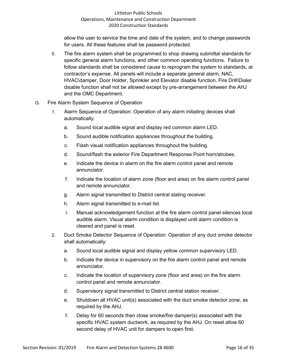allow the user to service the time and date of the system, and to change passwords for users. All these features shall be password protected.

- 5. The fire alarm system shall be programmed to shop drawing submittal standards for specific general alarm functions, and other common operating functions. Failure to follow standards shall be considered cause to reprogram the system to standards, at contractor's expense. All panels will include a separate general alarm, NAC, HVAC\damper, Door Holder, Sprinkler and Elevator disable function. Fire Drill\Dialer disable function shall not be allowed except by pre-arrangement between the AHJ and the OMC Department.
- G. Fire Alarm System Sequence of Operation
	- 1. Alarm Sequence of Operation: Operation of any alarm initiating devices shall automatically:
		- a. Sound local audible signal and display red common alarm LED.
		- b. Sound audible notification appliances throughout the building.
		- c. Flash visual notification appliances throughout the building.
		- d. Sound/flash the exterior Fire Department Response Point horn/strobes.
		- e. Indicate the device in alarm on the fire alarm control panel and remote annunciator.
		- f. Indicate the location of alarm zone (floor and area) on fire alarm control panel and remote annunciator.
		- g. Alarm signal transmitted to District central stating receiver.
		- h. Alarm signal transmitted to e-mail list
		- i. Manual acknowledgement function at the fire alarm control panel silences local audible alarm. Visual alarm condition is displayed until alarm condition is cleared and panel is reset.
	- 2. Duct Smoke Detector Sequence of Operation: Operation of any duct smoke detector shall automatically:
		- a. Sound local audible signal and display yellow common supervisory LED.
		- b. Indicate the device in supervisory on the fire alarm control panel and remote annunciator.
		- c. Indicate the location of supervisory zone (floor and area) on the fire alarm control panel and remote annunciator.
		- d. Supervisory signal transmitted to District central station receiver.
		- e. Shutdown all HVAC unit(s) associated with the duct smoke detector zone, as required by the AHJ.
		- f. Delay for 60 seconds then close smoke/fire damper(s) associated with the specific HVAC system ductwork, as required by the AHJ. On reset allow 60 second delay of HVAC unit for dampers to open first.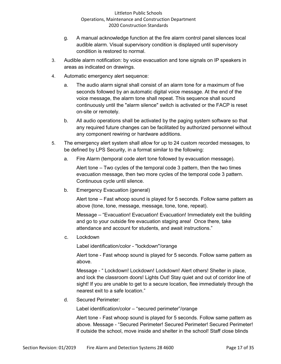- g. A manual acknowledge function at the fire alarm control panel silences local audible alarm. Visual supervisory condition is displayed until supervisory condition is restored to normal.
- 3. Audible alarm notification: by voice evacuation and tone signals on IP speakers in areas as indicated on drawings.
- 4. Automatic emergency alert sequence:
	- a. The audio alarm signal shall consist of an alarm tone for a maximum of five seconds followed by an automatic digital voice message. At the end of the voice message, the alarm tone shall repeat. This sequence shall sound continuously until the "alarm silence" switch is activated or the FACP is reset on-site or remotely.
	- b. All audio operations shall be activated by the paging system software so that any required future changes can be facilitated by authorized personnel without any component rewiring or hardware additions.
- 5. The emergency alert system shall allow for up to 24 custom recorded messages, to be defined by LPS Security, in a format similar to the following:
	- a. Fire Alarm (temporal code alert tone followed by evacuation message).

Alert tone – Two cycles of the temporal code 3 pattern, then the two times evacuation message, then two more cycles of the temporal code 3 pattern. Continuous cycle until silence.

b. Emergency Evacuation (general)

Alert tone – Fast whoop sound is played for 5 seconds. Follow same pattern as above (tone, tone, message, message, tone, tone, repeat).

Message – "Evacuation! Evacuation! Evacuation! Immediately exit the building and go to your outside fire evacuation staging area! Once there, take attendance and account for students, and await instructions."

c. Lockdown

Label identification/color - "lockdown"/orange

Alert tone - Fast whoop sound is played for 5 seconds. Follow same pattern as above.

Message - " Lockdown! Lockdown! Lockdown! Alert others! Shelter in place, and lock the classroom doors! Lights Out! Stay quiet and out of corridor line of sight! If you are unable to get to a secure location, flee immediately through the nearest exit to a safe location."

d. Secured Perimeter:

Label identification/color – "secured perimeter"/orange

Alert tone - Fast whoop sound is played for 5 seconds. Follow same pattern as above. Message - "Secured Perimeter! Secured Perimeter! Secured Perimeter! If outside the school, move inside and shelter in the school! Staff close blinds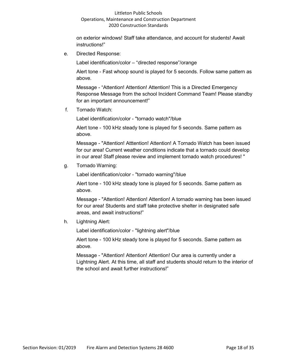on exterior windows! Staff take attendance, and account for students! Await instructions!"

e. Directed Response:

Label identification/color – "directed response"/orange

Alert tone - Fast whoop sound is played for 5 seconds. Follow same pattern as above.

Message - "Attention! Attention! Attention! This is a Directed Emergency Response Message from the school Incident Command Team! Please standby for an important announcement!"

f. Tornado Watch:

Label identification/color - "tornado watch"/blue

Alert tone - 100 kHz steady tone is played for 5 seconds. Same pattern as above.

Message - "Attention! Atttention! Attention! A Tornado Watch has been issued for our area! Current weather conditions indicate that a tornado could develop in our area! Staff please review and implement tornado watch procedures! "

## g. Tornado Warning:

Label identification/color - "tornado warning"/blue

Alert tone - 100 kHz steady tone is played for 5 seconds. Same pattern as above.

Message - "Attention! Attention! Attention! A tornado warning has been issued for our area! Students and staff take protective shelter in designated safe areas, and await instructions!"

h. Lightning Alert:

Label identification/color - "lightning alert"/blue

Alert tone - 100 kHz steady tone is played for 5 seconds. Same pattern as above.

Message - "Attention! Attention! Attention! Our area is currently under a Lightning Alert. At this time, all staff and students should return to the interior of the school and await further instructions!"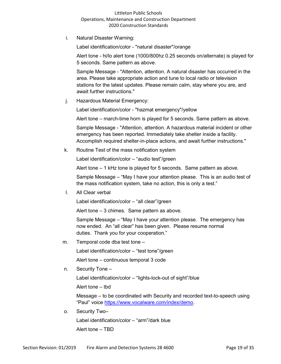i. Natural Disaster Warning:

Label identification/color - "natural disaster''/orange

Alert tone - hi/lo alert tone (1000/800hz 0.25 seconds on/alternate) is played for 5 seconds. Same pattern as above.

Sample Message - "Attention, attention. A natural disaster has occurred in the area. Please take appropriate action and tune to local radio or television stations for the latest updates. Please remain calm, stay where you are, and await further instructions."

j. Hazardous Material Emergency:

Label identification/color - "hazmat emergency"/yellow

Alert tone – march-time horn is played for 5 seconds. Same pattern as above.

Sample Message - "Attention, attention. A hazardous material incident or other emergency has been reported. Immediately take shelter inside a facility. Accomplish required shelter-in-place actions, and await further instructions."

k. Routine Test of the mass notification system

Label identification/color – "audio test"/green

Alert tone – 1 kHz tone is played for 5 seconds. Same pattern as above.

Sample Message – "May I have your attention please. This is an audio test of the mass notification system, take no action, this is only a test."

l. All Clear verbal

Label identification/color – "all clear"/green

Alert tone – 3 chimes. Same pattern as above.

Sample Message – "May I have your attention please. The emergency has now ended. An "all clear" has been given. Please resume normal duties. Thank you for your cooperation."

m. Temporal code dba test tone –

Label identification/color – "test tone"/green

Alert tone – continuous temporal 3 code

n. Security Tone –

Label identification/color – "lights-lock-out of sight"/blue

Alert tone – tbd

Message – to be coordinated with Security and recorded text-to-speech using "Paul" voice [https://www.vocalware.com/index/demo.](https://www.vocalware.com/index/demo)

o. Security Two–

Label identification/color – "arm"/dark blue

Alert tone – TBD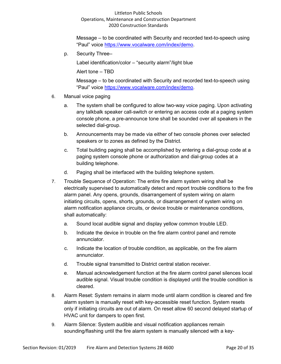Message – to be coordinated with Security and recorded text-to-speech using "Paul" voice [https://www.vocalware.com/index/demo.](https://www.vocalware.com/index/demo)

p. Security Three–

Label identification/color – "security alarm"/light blue

Alert tone – TBD

Message – to be coordinated with Security and recorded text-to-speech using "Paul" voice [https://www.vocalware.com/index/demo.](https://www.vocalware.com/index/demo)

- 6. Manual voice paging
	- a. The system shall be configured to allow two-way voice paging. Upon activating any talkbalk speaker call-switch or entering an access code at a paging system console phone, a pre-announce tone shall be sounded over all speakers in the selected dial-group.
	- b. Announcements may be made via either of two console phones over selected speakers or to zones as defined by the District.
	- c. Total building paging shall be accomplished by entering a dial-group code at a paging system console phone or authorization and dial-group codes at a building telephone.
	- d. Paging shall be interfaced with the building telephone system.
- 7. Trouble Sequence of Operation: The entire fire alarm system wiring shall be electrically supervised to automatically detect and report trouble conditions to the fire alarm panel. Any opens, grounds, disarrangement of system wiring on alarm initiating circuits, opens, shorts, grounds, or disarrangement of system wiring on alarm notification appliance circuits, or device trouble or maintenance conditions, shall automatically:
	- a. Sound local audible signal and display yellow common trouble LED.
	- b. Indicate the device in trouble on the fire alarm control panel and remote annunciator.
	- c. Indicate the location of trouble condition, as applicable, on the fire alarm annunciator.
	- d. Trouble signal transmitted to District central station receiver.
	- e. Manual acknowledgement function at the fire alarm control panel silences local audible signal. Visual trouble condition is displayed until the trouble condition is cleared.
- 8. Alarm Reset: System remains in alarm mode until alarm condition is cleared and fire alarm system is manually reset with key-accessible reset function. System resets only if initiating circuits are out of alarm. On reset allow 60 second delayed startup of HVAC unit for dampers to open first.
- 9. Alarm Silence: System audible and visual notification appliances remain sounding/flashing until the fire alarm system is manually silenced with a key-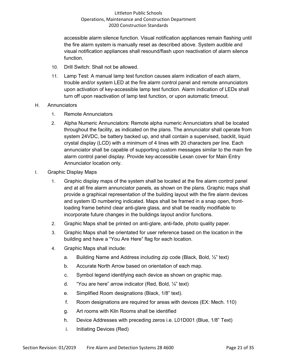accessible alarm silence function. Visual notification appliances remain flashing until the fire alarm system is manually reset as described above. System audible and visual notification appliances shall resound/flash upon reactivation of alarm silence function.

- 10. Drill Switch: Shall not be allowed.
- 11. Lamp Test: A manual lamp test function causes alarm indication of each alarm, trouble and/or system LED at the fire alarm control panel and remote annunciators upon activation of key-accessible lamp test function. Alarm indication of LEDs shall turn off upon reactivation of lamp test function, or upon automatic timeout.
- H. Annunciators
	- 1. Remote Annunciators
	- 2. Alpha Numeric Annunciators: Remote alpha numeric Annunciators shall be located throughout the facility, as indicated on the plans. The annunciator shall operate from system 24VDC, be battery backed up, and shall contain a supervised, backlit, liquid crystal display (LCD) with a minimum of 4 lines with 20 characters per line. Each annunciator shall be capable of supporting custom messages similar to the main fire alarm control panel display. Provide key-accessible Lexan cover for Main Entry Annunciator location only.
- I. Graphic Display Maps
	- 1. Graphic display maps of the system shall be located at the fire alarm control panel and at all fire alarm annunciator panels, as shown on the plans. Graphic maps shall provide a graphical representation of the building layout with the fire alarm devices and system ID numbering indicated. Maps shall be framed in a snap open, frontloading frame behind clear anti-glare glass, and shall be readily modifiable to incorporate future changes in the buildings layout and/or functions.
	- 2. Graphic Maps shall be printed on anti-glare, anti-fade, photo quality paper.
	- 3. Graphic Maps shall be orientated for user reference based on the location in the building and have a "You Are Here" flag for each location.
	- 4. Graphic Maps shall include:
		- a. Building Name and Address including zip code (Black, Bold,  $\frac{1}{2}$ " text)
		- b. Accurate North Arrow based on orientation of each map.
		- c. Symbol legend identifying each device as shown on graphic map.
		- d. "You are here" arrow indicator (Red, Bold, ¼" text)
		- e. Simplified Room designations (Black, 1/8" text).
		- f. Room designations are required for areas with devices (EX: Mech. 110)
		- g. Art rooms with Kiln Rooms shall be identified
		- h. Device Addresses with preceding zeros i.e. L01D001 (Blue, 1/8" Text)
		- i. Initiating Devices (Red)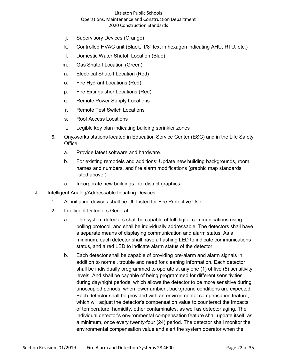- j. Supervisory Devices (Orange)
- k. Controlled HVAC unit (Black, 1/8" text in hexagon indicating AHU, RTU, etc.)
- l. Domestic Water Shutoff Location (Blue)
- m. Gas Shutoff Location (Green)
- n. Electrical Shutoff Location (Red)
- o. Fire Hydrant Locations (Red)
- p. Fire Extinguisher Locations (Red)
- q. Remote Power Supply Locations
- r. Remote Test Switch Locations
- s. Roof Access Locations
- t. Legible key plan indicating building sprinkler zones
- 5. Onyxworks stations located in Education Service Center (ESC) and in the Life Safety **Office** 
	- a. Provide latest software and hardware.
	- b. For existing remodels and additions: Update new building backgrounds, room names and numbers, and fire alarm modifications (graphic map standards listed above.)
	- c. Incorporate new buildings into district graphics.
- J. Intelligent Analog/Addressable Initiating Devices
	- 1. All initiating devices shall be UL Listed for Fire Protective Use.
	- 2. Intelligent Detectors General:
		- a. The system detectors shall be capable of full digital communications using polling protocol, and shall be individually addressable. The detectors shall have a separate means of displaying communication and alarm status. As a minimum, each detector shall have a flashing LED to indicate communications status, and a red LED to indicate alarm status of the detector.
		- b. Each detector shall be capable of providing pre-alarm and alarm signals in addition to normal, trouble and need for cleaning information. Each detector shall be individually programmed to operate at any one (1) of five (5) sensitivity levels. And shall be capable of being programmed for different sensitivities during day/night periods: which allows the detector to be more sensitive during unoccupied periods, when lower ambient background conditions are expected. Each detector shall be provided with an environmental compensation feature, which will adjust the detector's compensation value to counteract the impacts of temperature, humidity, other contaminates, as well as detector aging. The individual detector's environmental compensation feature shall update itself, as a minimum, once every twenty-four (24) period. The detector shall monitor the environmental compensation value and alert the system operator when the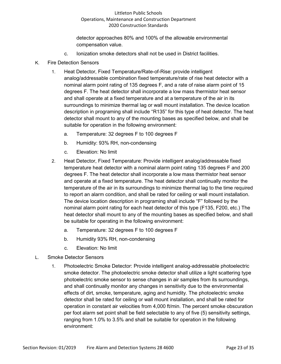detector approaches 80% and 100% of the allowable environmental compensation value.

- c. Ionization smoke detectors shall not be used in District facilities.
- K. Fire Detection Sensors
	- 1. Heat Detector, Fixed Temperature/Rate-of-Rise: provide intelligent analog/addressable combination fixed temperature/rate of rise heat detector with a nominal alarm point rating of 135 degrees F, and a rate of raise alarm point of 15 degrees F. The heat detector shall incorporate a low mass thermistor heat sensor and shall operate at a fixed temperature and at a temperature of the air in its surroundings to minimize thermal lag or wall mount installation. The device location description in programing shall include "R135" for this type of heat detector. The heat detector shall mount to any of the mounting bases as specified below, and shall be suitable for operation in the following environment:
		- a. Temperature: 32 degrees F to 100 degrees F
		- b. Humidity: 93% RH, non-condensing
		- c. Elevation: No limit
	- 2. Heat Detector, Fixed Temperature: Provide intelligent analog/addressable fixed temperature heat detector with a nominal alarm point rating 135 degrees F and 200 degrees F. The heat detector shall incorporate a low mass thermistor heat sensor and operate at a fixed temperature. The heat detector shall continually monitor the temperature of the air in its surroundings to minimize thermal lag to the time required to report an alarm condition, and shall be rated for ceiling or wall mount installation. The device location description in programing shall include "F" followed by the nominal alarm point rating for each heat detector of this type (F135, F200, etc.) The heat detector shall mount to any of the mounting bases as specified below, and shall be suitable for operating in the following environment:
		- a. Temperature: 32 degrees F to 100 degrees F
		- b. Humidity 93% RH, non-condensing
		- c. Elevation: No limit
- L. Smoke Detector Sensors
	- 1. Photoelectric Smoke Detector: Provide intelligent analog-addressable photoelectric smoke detector. The photoelectric smoke detector shall utilize a light scattering type photoelectric smoke sensor to sense changes in air samples from its surroundings, and shall continually monitor any changes in sensitivity due to the environmental effects of dirt, smoke, temperature, aging and humidity. The photoelectric smoke detector shall be rated for ceiling or wall mount installation, and shall be rated for operation in constant air velocities from 4,000 ft/min. The percent smoke obscuration per foot alarm set point shall be field selectable to any of five (5) sensitivity settings, ranging from 1.0% to 3.5% and shall be suitable for operation in the following environment: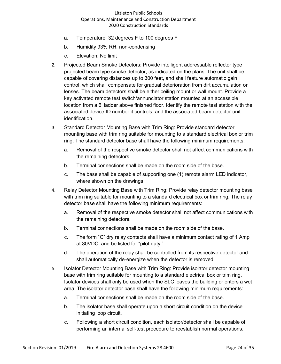- a. Temperature: 32 degrees F to 100 degrees F
- b. Humidity 93% RH, non-condensing
- c. Elevation: No limit
- 2. Projected Beam Smoke Detectors: Provide intelligent addressable reflector type projected beam type smoke detector, as indicated on the plans. The unit shall be capable of covering distances up to 300 feet, and shall feature automatic gain control, which shall compensate for gradual deterioration from dirt accumulation on lenses. The beam detectors shall be either ceiling mount or wall mount. Provide a key activated remote test switch/annunciator station mounted at an accessible location from a 6' ladder above finished floor. Identify the remote test station with the associated device ID number it controls, and the associated beam detector unit identification.
- 3. Standard Detector Mounting Base with Trim Ring: Provide standard detector mounting base with trim ring suitable for mounting to a standard electrical box or trim ring. The standard detector base shall have the following minimum requirements:
	- a. Removal of the respective smoke detector shall not affect communications with the remaining detectors.
	- b. Terminal connections shall be made on the room side of the base.
	- c. The base shall be capable of supporting one (1) remote alarm LED indicator, where shown on the drawings.
- 4. Relay Detector Mounting Base with Trim Ring: Provide relay detector mounting base with trim ring suitable for mounting to a standard electrical box or trim ring. The relay detector base shall have the following minimum requirements:
	- a. Removal of the respective smoke detector shall not affect communications with the remaining detectors.
	- b. Terminal connections shall be made on the room side of the base.
	- c. The form "C" dry relay contacts shall have a minimum contact rating of 1 Amp at 30VDC, and be listed for "pilot duty."
	- d. The operation of the relay shall be controlled from its respective detector and shall automatically de-energize when the detector is removed.
- 5. Isolator Detector Mounting Base with Trim Ring: Provide isolator detector mounting base with trim ring suitable for mounting to a standard electrical box or trim ring. Isolator devices shall only be used when the SLC leaves the building or enters a wet area. The isolator detector base shall have the following minimum requirements:
	- a. Terminal connections shall be made on the room side of the base.
	- b. The isolator base shall operate upon a short circuit condition on the device initiating loop circuit.
	- c. Following a short circuit condition, each isolator/detector shall be capable of performing an internal self-test procedure to reestablish normal operations.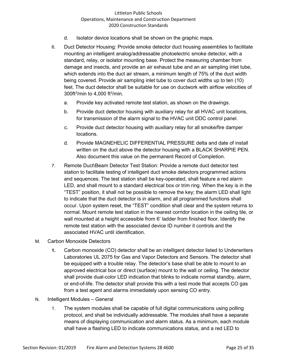- d. Isolator device locations shall be shown on the graphic maps.
- 6. Duct Detector Housing: Provide smoke detector duct housing assemblies to facilitate mounting an intelligent analog/addressable photoelectric smoke detector, with a standard, relay, or isolator mounting base. Protect the measuring chamber from damage and insects, and provide an air exhaust tube and an air sampling inlet tube, which extends into the duct air stream, a minimum length of 75% of the duct width being covered. Provide air sampling inlet tube to cover duct widths up to ten (10) feet. The duct detector shall be suitable for use on ductwork with airflow velocities of 300ft3 /min to 4,000 ft3 /min.
	- a. Provide key activated remote test station, as shown on the drawings.
	- b. Provide duct detector housing with auxiliary relay for all HVAC unit locations, for transmission of the alarm signal to the HVAC unit DDC control panel.
	- c. Provide duct detector housing with auxiliary relay for all smoke/fire damper locations.
	- d. Provide MAGNEHELIC DIFFERENTIAL PRESSURE delta and date of install written on the duct above the detector housing with a BLACK SHARPIE PEN. Also document this value on the permanent Record of Completion.
- 7. Remote Duct\Beam Detector Test Station: Provide a remote duct detector test station to facilitate testing of intelligent duct smoke detectors programmed actions and sequences. The test station shall be key-operated, shall feature a red alarm LED, and shall mount to a standard electrical box or trim ring. When the key is in the "TEST" position, it shall not be possible to remove the key; the alarm LED shall light to indicate that the duct detector is in alarm, and all programmed functions shall occur. Upon system reset, the "TEST" condition shall clear and the system returns to normal. Mount remote test station in the nearest corridor location in the ceiling tile, or wall mounted at a height accessible from 6' ladder from finished floor. Identify the remote test station with the associated device ID number it controls and the associated HVAC until identification.
- M. Carbon Monoxide Detectors
	- **1.** Carbon monoxide (CO) detector shall be an intelligent detector listed to Underwriters Laboratories UL 2075 for Gas and Vapor Detectors and Sensors. The detector shall be equipped with a trouble relay. The detector's base shall be able to mount to an approved electrical box or direct (surface) mount to the wall or ceiling. The detector shall provide dual-color LED indication that blinks to indicate normal standby, alarm, or end-of-life. The detector shall provide this with a test mode that accepts CO gas from a test agent and alarms immediately upon sensing CO entry.
- N. Intelligent Modules General
	- 1. The system modules shall be capable of full digital communications using polling protocol, and shall be individually addressable. The modules shall have a separate means of displaying communication and alarm status. As a minimum, each module shall have a flashing LED to indicate communications status, and a red LED to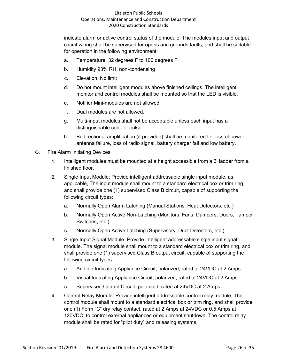indicate alarm or active control status of the module. The modules input and output circuit wiring shall be supervised for opens and grounds faults, and shall be suitable for operation in the following environment:

- a. Temperature: 32 degrees F to 100 degrees F
- b. Humidity 93% RH, non-condensing
- c. Elevation: No limit
- d. Do not mount intelligent modules above finished ceilings. The intelligent monitor and control modules shall be mounted so that the LED is visible.
- e. Notifier Mini-modules are not allowed.
- f. Dual modules are not allowed.
- g. Multi-input modules shall not be acceptable unless each input has a distinguishable color or pulse.
- h. Bi-directional amplification (if provided) shall be monitored for loss of power, antenna failure, loss of radio signal, battery charger fail and low battery.
- O. Fire Alarm Initiating Devices
	- 1. Intelligent modules must be mounted at a height accessible from a 6' ladder from a finished floor.
	- 2. Single Input Module: Provide intelligent addressable single input module, as applicable, The input module shall mount to a standard electrical box or trim ring, and shall provide one (1) supervised Class B circuit, capable of supporting the following circuit types:
		- a. Normally Open Alarm Latching (Manual Stations, Heat Detectors, etc.)
		- b. Normally Open Active Non-Latching (Monitors, Fans, Dampers, Doors, Tamper Switches, etc.)
		- c. Normally Open Active Latching (Supervisory, Duct Detectors, etc.)
	- 3. Single Input Signal Module: Provide intelligent addressable single input signal module. The signal module shall mount to a standard electrical box or trim ring, and shall provide one (1) supervised Class B output circuit, capable of supporting the following circuit types:
		- a. Audible Indicating Appliance Circuit, polarized, rated at 24VDC at 2 Amps.
		- b. Visual Indicating Appliance Circuit, polarized, rated at 24VDC at 2 Amps.
		- c. Supervised Control Circuit, polarized, rated at 24VDC at 2 Amps.
	- 4. Control Relay Module: Provide intelligent addressable control relay module. The control module shall mount to a standard electrical box or trim ring, and shall provide one (1) Form "C" dry relay contact, rated at 2 Amps at 24VDC or 0.5 Amps at 120VDC; to control external appliances or equipment shutdown. The control relay module shall be rated for "pilot duty" and releasing systems.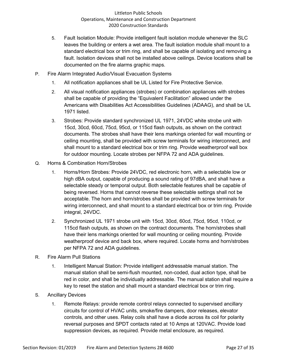- 5. Fault Isolation Module: Provide intelligent fault isolation module whenever the SLC leaves the building or enters a wet area. The fault isolation module shall mount to a standard electrical box or trim ring, and shall be capable of isolating and removing a fault. Isolation devices shall not be installed above ceilings. Device locations shall be documented on the fire alarms graphic maps.
- P. Fire Alarm Integrated Audio/Visual Evacuation Systems
	- 1. All notification appliances shall be UL Listed for Fire Protective Service.
	- 2. All visual notification appliances (strobes) or combination appliances with strobes shall be capable of providing the "Equivalent Facilitation" allowed under the Americans with Disabilities Act Accessibilities Guidelines (ADAAG), and shall be UL 1971 listed.
	- 3. Strobes: Provide standard synchronized UL 1971, 24VDC white strobe unit with 15cd, 30cd, 60cd, 75cd, 95cd, or 115cd flash outputs, as shown on the contract documents. The strobes shall have their lens markings oriented for wall mounting or ceiling mounting, shall be provided with screw terminals for wiring interconnect, and shall mount to a standard electrical box or trim ring. Provide weatherproof wall box for outdoor mounting. Locate strobes per NFPA 72 and ADA guidelines.
- Q. Horns & Combination Horn/Strobes
	- 1. Horns/Horn Strobes: Provide 24VDC, red electronic horn, with a selectable low or high dBA output, capable of producing a sound rating of 97dBA, and shall have a selectable steady or temporal output. Both selectable features shall be capable of being reversed. Horns that cannot reverse these selectable settings shall not be acceptable. The horn and horn/strobes shall be provided with screw terminals for wiring interconnect, and shall mount to a standard electrical box or trim ring. Provide integral, 24VDC.
	- 2. Synchronized UL 1971 strobe unit with 15cd, 30cd, 60cd, 75cd, 95cd, 110cd, or 115cd flash outputs, as shown on the contract documents. The horn/strobes shall have their lens markings oriented for wall mounting or ceiling mounting. Provide weatherproof device and back box, where required. Locate horns and horn/strobes per NFPA 72 and ADA guidelines.
- R. Fire Alarm Pull Stations
	- 1. Intelligent Manual Station: Provide intelligent addressable manual station. The manual station shall be semi-flush mounted, non-coded, dual action type, shall be red in color, and shall be individually addressable. The manual station shall require a key to reset the station and shall mount a standard electrical box or trim ring.
- S. Ancillary Devices
	- 1. Remote Relays: provide remote control relays connected to supervised ancillary circuits for control of HVAC units, smoke/fire dampers, door releases, elevator controls, and other uses. Relay coils shall have a diode across its coil for polarity reversal purposes and SPDT contacts rated at 10 Amps at 120VAC. Provide load suppression devices, as required. Provide metal enclosure, as required.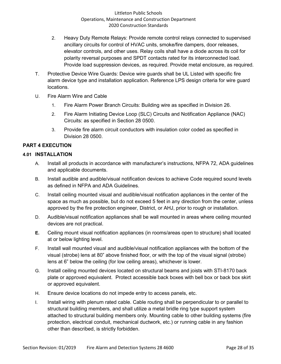- 2. Heavy Duty Remote Relays: Provide remote control relays connected to supervised ancillary circuits for control of HVAC units, smoke/fire dampers, door releases, elevator controls, and other uses. Relay coils shall have a diode across its coil for polarity reversal purposes and SPDT contacts rated for its interconnected load. Provide load suppression devices, as required. Provide metal enclosure, as required.
- T. Protective Device Wire Guards: Device wire guards shall be UL Listed with specific fire alarm device type and installation application. Reference LPS design criteria for wire guard locations.
- U. Fire Alarm Wire and Cable
	- 1. Fire Alarm Power Branch Circuits: Building wire as specified in Division 26.
	- 2. Fire Alarm Initiating Device Loop (SLC) Circuits and Notification Appliance (NAC) Circuits: as specified in Section 28 0500.
	- 3. Provide fire alarm circuit conductors with insulation color coded as specified in Division 28 0500.

# **PART 4 EXECUTION**

## **4.01 INSTALLATION**

- A. Install all products in accordance with manufacturer's instructions, NFPA 72, ADA guidelines and applicable documents.
- B. Install audible and audible/visual notification devices to achieve Code required sound levels as defined in NFPA and ADA Guidelines.
- C. Install ceiling mounted visual and audible/visual notification appliances in the center of the space as much as possible, but do not exceed 5 feet in any direction from the center, unless approved by the fire protection engineer, District, or AHJ, prior to rough or installation.
- D. Audible/visual notification appliances shall be wall mounted in areas where ceiling mounted devices are not practical.
- **E.** Ceiling mount visual notification appliances (in rooms/areas open to structure) shall located at or below lighting level.
- F. Install wall mounted visual and audible/visual notification appliances with the bottom of the visual (strobe) lens at 80" above finished floor, or with the top of the visual signal (strobe) lens at 6" below the ceiling (for low ceiling areas), whichever is lower.
- G. Install ceiling mounted devices located on structural beams and joists with STI-8170 back plate or approved equivalent. Protect accessible back boxes with bell box or back box skirt or approved equivalent.
- H. Ensure device locations do not impede entry to access panels, etc.
- I. Install wiring with plenum rated cable. Cable routing shall be perpendicular to or parallel to structural building members, and shall utilize a metal bridle ring type support system attached to structural building members only. Mounting cable to other building systems (fire protection, electrical conduit, mechanical ductwork, etc.) or running cable in any fashion other than described, is strictly forbidden.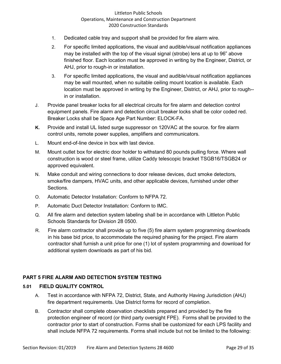- 1. Dedicated cable tray and support shall be provided for fire alarm wire.
- 2. For specific limited applications, the visual and audible/visual notification appliances may be installed with the top of the visual signal (strobe) lens at up to 96" above finished floor. Each location must be approved in writing by the Engineer, District, or AHJ, prior to rough-in or installation.
- 3. For specific limited applications, the visual and audible/visual notification appliances may be wall mounted, when no suitable ceiling mount location is available. Each location must be approved in writing by the Engineer, District, or AHJ, prior to rough- in or installation.
- J. Provide panel breaker locks for all electrical circuits for fire alarm and detection control equipment panels. Fire alarm and detection circuit breaker locks shall be color coded red. Breaker Locks shall be Space Age Part Number: ELOCK-FA.
- **K.** Provide and install UL listed surge suppressor on 120VAC at the source. for fire alarm control units, remote power supplies, amplifiers and communicators.
- L. Mount end-of-line device in box with last device.
- M. Mount outlet box for electric door holder to withstand 80 pounds pulling force. Where wall construction is wood or steel frame, utilize Caddy telescopic bracket TSGB16/TSGB24 or approved equivalent.
- N. Make conduit and wiring connections to door release devices, duct smoke detectors, smoke/fire dampers, HVAC units, and other applicable devices, furnished under other Sections.
- O. Automatic Detector Installation: Conform to NFPA 72.
- P. Automatic Duct Detector Installation: Conform to IMC.
- Q. All fire alarm and detection system labeling shall be in accordance with Littleton Public Schools Standards for Division 28 0500.
- R. Fire alarm contractor shall provide up to five (5) fire alarm system programming downloads in his base bid price, to accommodate the required phasing for the project. Fire alarm contractor shall furnish a unit price for one (1) lot of system programming and download for additional system downloads as part of his bid.

## **PART 5 FIRE ALARM AND DETECTION SYSTEM TESTING**

#### **5.01 FIELD QUALITY CONTROL**

- A. Test in accordance with NFPA 72, District, State, and Authority Having Jurisdiction (AHJ) fire department requirements. Use District forms for record of completion.
- B. Contractor shall complete observation checklists prepared and provided by the fire protection engineer of record (or third party oversight FPE). Forms shall be provided to the contractor prior to start of construction. Forms shall be customized for each LPS facility and shall include NFPA 72 requirements. Forms shall include but not be limited to the following: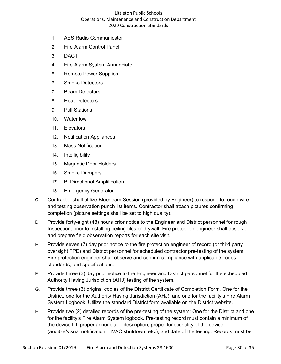- 1. AES Radio Communicator
- 2. Fire Alarm Control Panel
- 3. DACT
- 4. Fire Alarm System Annunciator
- 5. Remote Power Supplies
- 6. Smoke Detectors
- 7. Beam Detectors
- 8. Heat Detectors
- 9. Pull Stations
- 10. Waterflow
- 11. Elevators
- 12. Notification Appliances
- 13. Mass Notification
- 14. Intelligibility
- 15. Magnetic Door Holders
- 16. Smoke Dampers
- 17. Bi-Directional Amplification
- 18. Emergency Generator
- **C.** Contractor shall utilize Bluebeam Session (provided by Engineer) to respond to rough wire and testing observation punch list items. Contractor shall attach pictures confirming completion (picture settings shall be set to high quality).
- D. Provide forty-eight (48) hours prior notice to the Engineer and District personnel for rough Inspection, prior to installing ceiling tiles or drywall. Fire protection engineer shall observe and prepare field observation reports for each site visit.
- E. Provide seven (7) day prior notice to the fire protection engineer of record (or third party oversight FPE) and District personnel for scheduled contractor pre-testing of the system. Fire protection engineer shall observe and confirm compliance with applicable codes, standards, and specifications.
- F. Provide three (3) day prior notice to the Engineer and District personnel for the scheduled Authority Having Jurisdiction (AHJ) testing of the system.
- G. Provide three (3) original copies of the District Certificate of Completion Form. One for the District, one for the Authority Having Jurisdiction (AHJ), and one for the facility's Fire Alarm System Logbook. Utilize the standard District form available on the District website.
- H. Provide two (2) detailed records of the pre-testing of the system: One for the District and one for the facility's Fire Alarm System logbook. Pre-testing record must contain a minimum of the device ID, proper annunciator description, proper functionality of the device (audible/visual notification, HVAC shutdown, etc.), and date of the testing. Records must be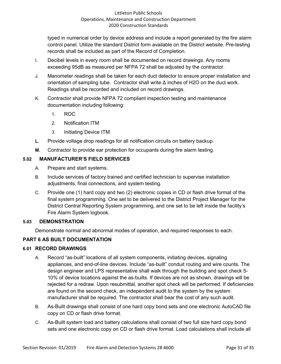typed in numerical order by device address and include a report generated by the fire alarm control panel. Utilize the standard District form available on the District website. Pre-testing records shall be included as part of the Record of Completion.

- I. Decibel levels in every room shall be documented on record drawings. Any rooms exceeding 95dB as measured per NFPA 72 shall be adjusted by the contractor.
- J. Manometer readings shall be taken for each duct detector to ensure proper installation and orientation of sampling tube. Contractor shall write  $\Delta$  inches of H2O on the duct work. Readings shall be recorded and included on record drawings.
- K. Contractor shall provide NFPA 72 compliant inspection testing and maintenance documentation including following:
	- 1. ROC
	- 2. Notification ITM
	- 3. Initiating Device ITM
- **L.** Provide voltage drop readings for all notification circuits on battery backup.
- **M.** Contractor to provide ear protection for occupants during fire alarm testing.

## **5.02 MANUFACTURER'S FIELD SERVICES**

- A. Prepare and start systems.
- B. Include services of factory trained and certified technician to supervise installation adjustments, final connections, and system testing.
- C. Provide one (1) hard copy and two (2) electronic copies in CD or flash drive format of the final system programming. One set to be delivered to the District Project Manager for the District Central Reporting System programming, and one set to be left inside the facility's Fire Alarm System logbook.

## **5.03 DEMONSTRATION**

Demonstrate normal and abnormal modes of operation, and required responses to each.

## **PART 6 AS BUILT DOCUMENTATION**

## **6.01 RECORD DRAWINGS**

- A. Record "as-built" locations of all system components, initiating devices, signaling appliances, and end-of-line devices. Include "as-built" conduit routing and wire counts. The design engineer and LPS representative shall walk through the building and spot check 5- 10% of device locations against the as-builts. If devices are not as shown, drawings will be rejected for a redraw. Upon resubmittal, another spot check will be performed. If deficiencies are found on the second check, an independent audit to the system by the system manufacturer shall be required. The contractor shall bear the cost of any such audit.
- B. As-Built drawings shall consist of one hard copy bond sets and one electronic AutoCAD file copy on CD or flash drive format.
- C. As-Built system load and battery calculations shall consist of two full size hard copy bond sets and one electronic copy on CD or flash drive format. Load calculations shall include all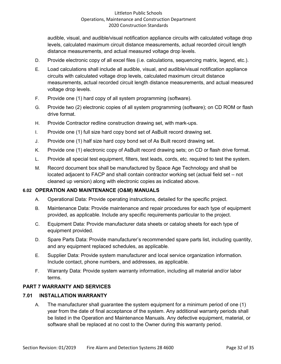audible, visual, and audible/visual notification appliance circuits with calculated voltage drop levels, calculated maximum circuit distance measurements, actual recorded circuit length distance measurements, and actual measured voltage drop levels.

- D. Provide electronic copy of all excel files (i.e. calculations, sequencing matrix, legend, etc.).
- E. Load calculations shall include all audible, visual, and audible/visual notification appliance circuits with calculated voltage drop levels, calculated maximum circuit distance measurements, actual recorded circuit length distance measurements, and actual measured voltage drop levels.
- F. Provide one (1) hard copy of all system programming (software).
- G. Provide two (2) electronic copies of all system programming (software); on CD ROM or flash drive format.
- H. Provide Contractor redline construction drawing set, with mark-ups.
- I. Provide one (1) full size hard copy bond set of AsBuilt record drawing set.
- J. Provide one (1) half size hard copy bond set of As Built record drawing set.
- K. Provide one (1) electronic copy of AsBuilt record drawing sets; on CD or flash drive format.
- L. Provide all special test equipment, filters, test leads, cords, etc. required to test the system.
- M. Record document box shall be manufactured by Space Age Technology and shall be located adjacent to FACP and shall contain contractor working set (actual field set – not cleaned up version) along with electronic copies as indicated above.

#### **6.02 OPERATION AND MAINTENANCE (O&M) MANUALS**

- A. Operational Data: Provide operating instructions, detailed for the specific project.
- B. Maintenance Data: Provide maintenance and repair procedures for each type of equipment provided, as applicable. Include any specific requirements particular to the project.
- C. Equipment Data: Provide manufacturer data sheets or catalog sheets for each type of equipment provided.
- D. Spare Parts Data: Provide manufacturer's recommended spare parts list, including quantity, and any equipment replaced schedules, as applicable.
- E. Supplier Data: Provide system manufacturer and local service organization information. Include contact, phone numbers, and addresses, as applicable.
- F. Warranty Data: Provide system warranty information, including all material and/or labor terms.

## **PART 7 WARRANTY AND SERVICES**

#### **7.01 INSTALLATION WARRANTY**

A. The manufacturer shall guarantee the system equipment for a minimum period of one (1) year from the date of final acceptance of the system. Any additional warranty periods shall be listed in the Operation and Maintenance Manuals. Any defective equipment, material, or software shall be replaced at no cost to the Owner during this warranty period.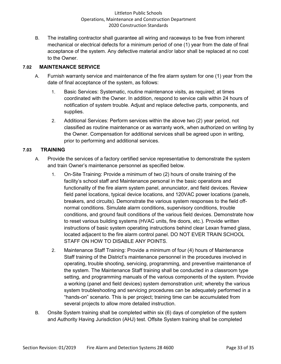B. The installing contractor shall guarantee all wiring and raceways to be free from inherent mechanical or electrical defects for a minimum period of one (1) year from the date of final acceptance of the system. Any defective material and/or labor shall be replaced at no cost to the Owner.

## **7.02 MAINTENANCE SERVICE**

- A. Furnish warranty service and maintenance of the fire alarm system for one (1) year from the date of final acceptance of the system, as follows:
	- 1. Basic Services: Systematic, routine maintenance visits, as required; at times coordinated with the Owner. In addition, respond to service calls within 24 hours of notification of system trouble. Adjust and replace defective parts, components, and supplies.
	- 2. Additional Services: Perform services within the above two (2) year period, not classified as routine maintenance or as warranty work, when authorized on writing by the Owner. Compensation for additional services shall be agreed upon in writing, prior to performing and additional services.

## **7.03 TRAINING**

- A. Provide the services of a factory certified service representative to demonstrate the system and train Owner's maintenance personnel as specified below.
	- 1. On-Site Training: Provide a minimum of two (2) hours of onsite training of the facility's school staff and Maintenance personal in the basic operations and functionality of the fire alarm system panel, annunciator, and field devices. Review field panel locations, typical device locations, and 120VAC power locations (panels, breakers, and circuits). Demonstrate the various system responses to the field offnormal conditions. Simulate alarm conditions, supervisory conditions, trouble conditions, and ground fault conditions of the various field devices. Demonstrate how to reset various building systems (HVAC units, fire doors, etc.). Provide written instructions of basic system operating instructions behind clear Lexan framed glass, located adjacent to the fire alarm control panel. DO NOT EVER TRAIN SCHOOL STAFF ON HOW TO DISABLE ANY POINTS.
	- 2. Maintenance Staff Training: Provide a minimum of four (4) hours of Maintenance Staff training of the District's maintenance personnel in the procedures involved in operating, trouble shooting, servicing, programming, and preventive maintenance of the system. The Maintenance Staff training shall be conducted in a classroom type setting, and programming manuals of the various components of the system. Provide a working (panel and field devices) system demonstration unit; whereby the various system troubleshooting and servicing procedures can be adequately performed in a "hands-on" scenario. This is per project; training time can be accumulated from several projects to allow more detailed instruction.
- B. Onsite System training shall be completed within six (6) days of completion of the system and Authority Having Jurisdiction (AHJ) test. Offsite System training shall be completed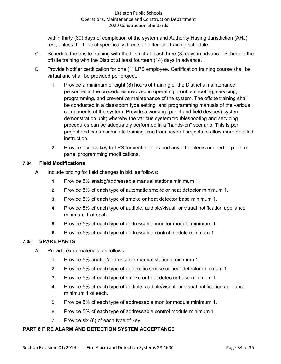within thirty (30) days of completion of the system and Authority Having Jurisdiction (AHJ) test, unless the District specifically directs an alternate training schedule.

- C. Schedule the onsite training with the District at least three (3) days in advance. Schedule the offsite training with the District at least fourteen (14) days in advance.
- D. Provide Notifier certification for one (1) LPS employee. Certification training course shall be virtual and shall be provided per project.
	- 1. Provide a minimum of eight (8) hours of training of the District's maintenance personnel in the procedures involved in operating, trouble shooting, servicing, programming, and preventive maintenance of the system. The offsite training shall be conducted in a classroom type setting, and programming manuals of the various components of the system. Provide a working (panel and field devices) system demonstration unit; whereby the various system troubleshooting and servicing procedures can be adequately performed in a "hands-on" scenario. This is per project and can accumulate training time from several projects to allow more detailed instruction.
	- 2. Provide access key to LPS for verifier tools and any other items needed to perform panel programming modifications.

## **7.04 Field Modifications**

- **A.** Include pricing for field changes in bid, as follows:
	- **1.** Provide 5% analog/addressable manual stations minimum 1.
	- **2.** Provide 5% of each type of automatic smoke or heat detector minimum 1.
	- **3.** Provide 5% of each type of smoke or heat detector base minimum 1.
	- **4.** Provide 5% of each type of audible, audible/visual, or visual notification appliance minimum 1 of each.
	- **5.** Provide 5% of each type of addressable monitor module minimum 1.
	- **6.** Provide 5% of each type of addressable control module minimum 1.

## **7.05 SPARE PARTS**

- A. Provide extra materials, as follows:
	- 1. Provide 5% analog/addressable manual stations minimum 1.
	- 2. Provide 5% of each type of automatic smoke or heat detector minimum 1.
	- 3. Provide 5% of each type of smoke or heat detector base minimum 1.
	- 4. Provide 5% of each type of audible, audible/visual, or visual notification appliance minimum 1 of each.
	- 5. Provide 5% of each type of addressable monitor module minimum 1.
	- 6. Provide 5% of each type of addressable control module minimum 1.
	- 7. Provide six (6) of each type of key.

## **PART 8 FIRE ALARM AND DETECTION SYSTEM ACCEPTANCE**